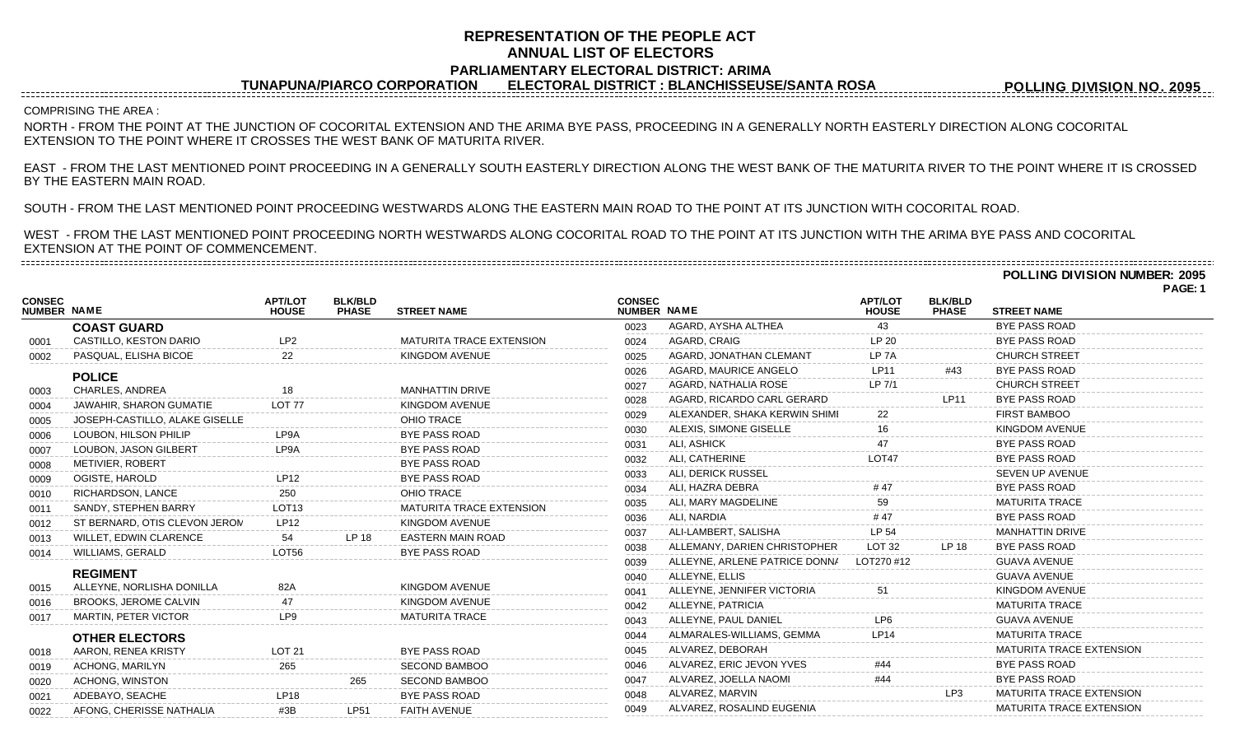# **REPRESENTATION OF THE PEOPLE ACT ANNUAL LIST OF ELECTORS PARLIAMENTARY ELECTORAL DISTRICT: ARIMA**

**TUNAPUNA/PIARCO CORPORATION ELECTORAL DISTRICT : BLANCHISSEUSE/SANTA ROSA**

**POLLING DIVISION NO. 2095**

COMPRISING THE AREA :

------------------------------------

NORTH - FROM THE POINT AT THE JUNCTION OF COCORITAL EXTENSION AND THE ARIMA BYE PASS, PROCEEDING IN A GENERALLY NORTH EASTERLY DIRECTION ALONG COCORITAL EXTENSION TO THE POINT WHERE IT CROSSES THE WEST BANK OF MATURITA RIVER.

EAST - FROM THE LAST MENTIONED POINT PROCEEDING IN A GENERALLY SOUTH EASTERLY DIRECTION ALONG THE WEST BANK OF THE MATURITA RIVER TO THE POINT WHERE IT IS CROSSED BY THE EASTERN MAIN ROAD.

SOUTH - FROM THE LAST MENTIONED POINT PROCEEDING WESTWARDS ALONG THE EASTERN MAIN ROAD TO THE POINT AT ITS JUNCTION WITH COCORITAL ROAD.

WEST - FROM THE LAST MENTIONED POINT PROCEEDING NORTH WESTWARDS ALONG COCORITAL ROAD TO THE POINT AT ITS JUNCTION WITH THE ARIMA BYE PASS AND COCORITAL EXTENSION AT THE POINT OF COMMENCEMENT. 

**POLLING DIVISION NUMBER: 2095**

|                              |                                |                                |                                |                                 |                              |                               |                                |                                |                                 | PAGE |
|------------------------------|--------------------------------|--------------------------------|--------------------------------|---------------------------------|------------------------------|-------------------------------|--------------------------------|--------------------------------|---------------------------------|------|
| <b>CONSEC</b><br>NUMBER NAME |                                | <b>APT/LOT</b><br><b>HOUSE</b> | <b>BLK/BLD</b><br><b>PHASE</b> | <b>STREET NAME</b>              | <b>CONSEC</b><br>NUMBER NAME |                               | <b>APT/LOT</b><br><b>HOUSE</b> | <b>BLK/BLD</b><br><b>PHASE</b> | <b>STREET NAME</b>              |      |
|                              | <b>COAST GUARD</b>             |                                |                                |                                 | 0023                         | AGARD, AYSHA ALTHEA           | 43                             |                                | <b>BYE PASS ROAD</b>            |      |
| 0001                         | CASTILLO, KESTON DARIO         | LP <sub>2</sub>                |                                | <b>MATURITA TRACE EXTENSION</b> | 0024                         | AGARD, CRAIG                  | LP <sub>20</sub>               |                                | <b>BYE PASS ROAD</b>            |      |
| 0002                         | PASQUAL, ELISHA BICOE          | 22                             |                                | KINGDOM AVENUE                  | 0025                         | AGARD, JONATHAN CLEMANT       | LP <sub>7</sub> A              |                                | <b>CHURCH STREET</b>            |      |
|                              | <b>POLICE</b>                  |                                |                                |                                 | 0026                         | AGARD, MAURICE ANGELO         | <b>LP11</b>                    | #43                            | <b>BYE PASS ROAD</b>            |      |
| 0003                         | CHARLES, ANDREA                | 18                             |                                | <b>MANHATTIN DRIVE</b>          | 0027                         | AGARD, NATHALIA ROSE          | LP 7/1                         |                                | <b>CHURCH STREET</b>            |      |
| 0004                         | JAWAHIR, SHARON GUMATIE        | LOT <sub>77</sub>              |                                | KINGDOM AVENUE                  | 0028                         | AGARD, RICARDO CARL GERARD    |                                | <b>LP11</b>                    | <b>BYE PASS ROAD</b>            |      |
| 0005                         | JOSEPH-CASTILLO, ALAKE GISELLE |                                |                                | OHIO TRACE                      | 0029                         | ALEXANDER, SHAKA KERWIN SHIMI | 22                             |                                | <b>FIRST BAMBOO</b>             |      |
| 0006                         | LOUBON, HILSON PHILIP          | LP9A                           |                                | <b>BYE PASS ROAD</b>            | 0030                         | ALEXIS, SIMONE GISELLE        |                                |                                | <b>KINGDOM AVENUE</b>           |      |
| 0007                         | LOUBON, JASON GILBERT          | LP9A                           |                                | <b>BYE PASS ROAD</b>            | 0031                         | ALI, ASHICK                   |                                |                                | <b>BYE PASS ROAD</b>            |      |
| 0008                         | METIVIER, ROBERT               |                                |                                | <b>BYE PASS ROAD</b>            | 0032                         | ALI, CATHERINE                | LOT47                          |                                | <b>BYE PASS ROAD</b>            |      |
| 0009                         | OGISTE, HAROLD                 | <b>LP12</b>                    |                                | <b>BYE PASS ROAD</b>            | 0033                         | ALI, DERICK RUSSEL            |                                |                                | <b>SEVEN UP AVENUE</b>          |      |
| 0010                         | RICHARDSON, LANCE              | 250                            |                                | OHIO TRACE                      | 0034                         | ALI, HAZRA DEBRA              |                                |                                | <b>BYE PASS ROAD</b>            |      |
| 0011                         | SANDY, STEPHEN BARRY           | LOT <sub>13</sub>              |                                | <b>MATURITA TRACE EXTENSION</b> | 0035                         | ALI, MARY MAGDELINE           | 59                             |                                | <b>MATURITA TRACE</b>           |      |
| 0012                         | ST BERNARD, OTIS CLEVON JERON  | LP12                           |                                | <b>KINGDOM AVENUE</b>           | 0036                         | ALI, NARDIA                   | #47                            |                                | <b>BYE PASS ROAD</b>            |      |
| 0013                         | WILLET, EDWIN CLARENCE         | 54                             | LP 18                          | <b>EASTERN MAIN ROAD</b>        | 0037                         | ALI-LAMBERT, SALISHA          | LP 54                          |                                | <b>MANHATTIN DRIVE</b>          |      |
| 0014                         | WILLIAMS, GERALD               | LOT56                          |                                | <b>BYE PASS ROAD</b>            | 0038                         | ALLEMANY, DARIEN CHRISTOPHER  | <b>LOT 32</b>                  | LP 18                          | <b>BYE PASS ROAD</b>            |      |
|                              |                                |                                |                                |                                 | 0039                         | ALLEYNE, ARLENE PATRICE DONNA | LOT270 #12                     |                                | <b>GUAVA AVENUE</b>             |      |
|                              | <b>REGIMENT</b>                |                                |                                |                                 | 0040                         | ALLEYNE, ELLIS                |                                |                                | <b>GUAVA AVENUE</b>             |      |
| 0015                         | ALLEYNE, NORLISHA DONILLA      | 82A                            |                                | <b>KINGDOM AVENUE</b>           | 0041                         | ALLEYNE, JENNIFER VICTORIA    |                                |                                | <b>KINGDOM AVENUE</b>           |      |
| 0016                         | BROOKS, JEROME CALVIN          |                                |                                | <b>KINGDOM AVENUE</b>           | 0042                         | ALLEYNE, PATRICIA             |                                |                                | <b>MATURITA TRACE</b>           |      |
| 0017                         | <b>MARTIN, PETER VICTOR</b>    | LP9                            |                                | <b>MATURITA TRACE</b>           | 0043                         | ALLEYNE, PAUL DANIEL          | LP6                            |                                | <b>GUAVA AVENUE</b>             |      |
|                              | <b>OTHER ELECTORS</b>          |                                |                                |                                 | 0044                         | ALMARALES-WILLIAMS, GEMMA     | I P <sub>14</sub>              |                                | <b>MATURITA TRACE</b>           |      |
| 0018                         | AARON, RENEA KRISTY            | <b>LOT 21</b>                  |                                | <b>BYE PASS ROAD</b>            | 0045                         | ALVAREZ, DEBORAH              |                                |                                | <b>MATURITA TRACE EXTENSION</b> |      |
| 0019                         | <b>ACHONG, MARILYN</b>         | 265                            |                                | <b>SECOND BAMBOO</b>            | 0046                         | ALVAREZ, ERIC JEVON YVES      |                                |                                | <b>BYE PASS ROAD</b>            |      |
| 0020                         | ACHONG, WINSTON                |                                | 265                            | <b>SECOND BAMBOO</b>            | 0047                         | ALVAREZ, JOELLA NAOMI         |                                |                                | <b>BYE PASS ROAD</b>            |      |
| 0021                         | ADEBAYO, SEACHE                | LP18                           |                                | <b>BYE PASS ROAD</b>            | 0048                         | ALVAREZ, MARVIN               |                                | LP <sub>3</sub>                | <b>MATURITA TRACE EXTENSION</b> |      |
| 0022                         | AFONG, CHERISSE NATHALIA       | #3B                            | <b>LP51</b>                    | <b>FAITH AVENUE</b>             | 0049                         | ALVAREZ, ROSALIND EUGENIA     |                                |                                | <b>MATURITA TRACE EXTENSION</b> |      |
|                              |                                |                                |                                |                                 |                              |                               |                                |                                |                                 |      |

**PAGE: 1**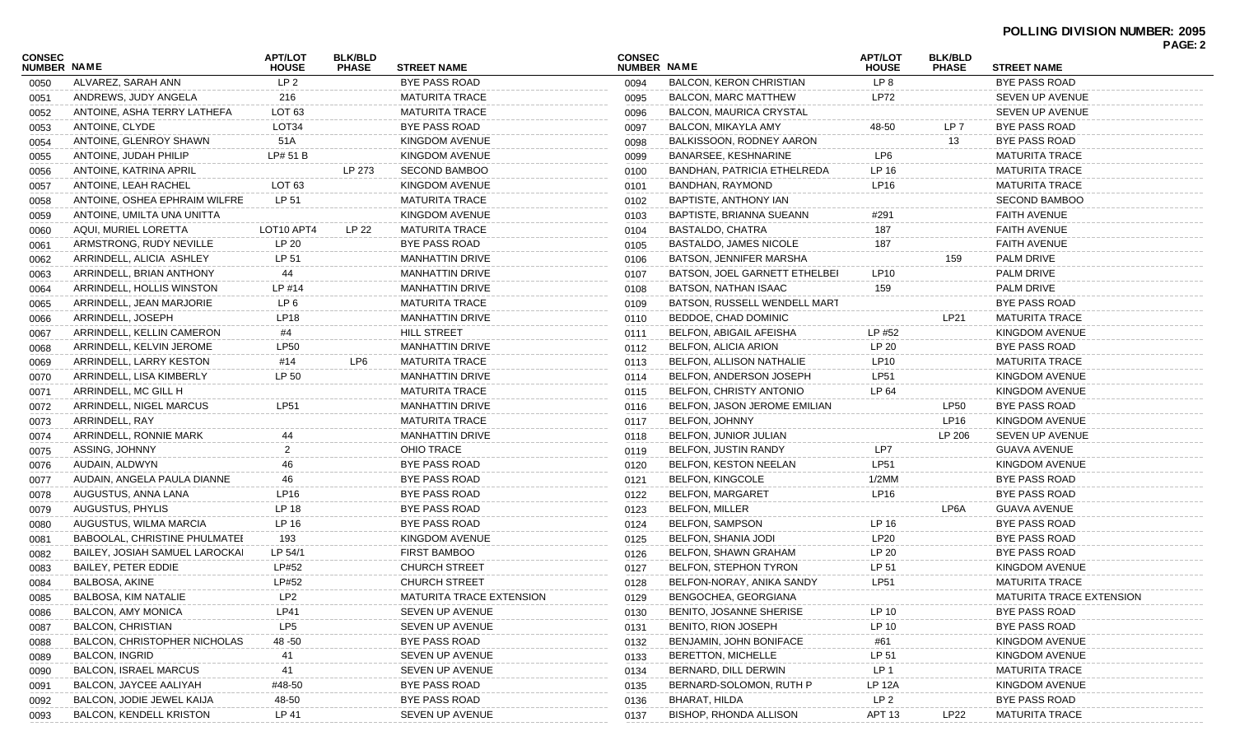| <b>CONSEC</b><br>NUMBER NAME |                                      | <b>APT/LOT</b><br><b>HOUSE</b> | <b>BLK/BLD</b><br><b>PHASE</b> | <b>STREET NAME</b>       | <b>CONSEC</b><br><b>NUMBER NAME</b> |                                | <b>APT/LOT</b><br><b>HOUSE</b> | <b>BLK/BLD</b><br><b>PHASE</b> | <b>STREET NAME</b>       | FAGE.Z |
|------------------------------|--------------------------------------|--------------------------------|--------------------------------|--------------------------|-------------------------------------|--------------------------------|--------------------------------|--------------------------------|--------------------------|--------|
| 0050                         | ALVAREZ, SARAH ANN                   | LP <sub>2</sub>                |                                | <b>BYE PASS ROAD</b>     | 0094                                | <b>BALCON, KERON CHRISTIAN</b> | LP 8                           |                                | BYE PASS ROAD            |        |
| 0051                         | ANDREWS, JUDY ANGELA                 | 216                            |                                | <b>MATURITA TRACE</b>    | 0095                                | BALCON, MARC MATTHEW           | LP72                           |                                | SEVEN UP AVENUE          |        |
| 0052                         | ANTOINE, ASHA TERRY LATHEFA          | LOT 63                         |                                | <b>MATURITA TRACE</b>    | 0096                                | <b>BALCON, MAURICA CRYSTAL</b> |                                |                                | SEVEN UP AVENUE          |        |
| 0053                         | ANTOINE, CLYDE                       | LOT34                          |                                | BYE PASS ROAD            | 0097                                | BALCON, MIKAYLA AMY            | 48-50                          | LP 7                           | BYE PASS ROAD            |        |
| 0054                         | ANTOINE, GLENROY SHAWN               | 51A                            |                                | KINGDOM AVENUE           | 0098                                | BALKISSOON, RODNEY AARON       |                                | 13                             | BYE PASS ROAD            |        |
| 0055                         | ANTOINE, JUDAH PHILIP                | LP# 51 B                       |                                | KINGDOM AVENUE           | 0099                                | BANARSEE, KESHNARINE           | LP6                            |                                | <b>MATURITA TRACE</b>    |        |
| 0056                         | ANTOINE, KATRINA APRIL               |                                | LP 273                         | <b>SECOND BAMBOO</b>     | 0100                                | BANDHAN, PATRICIA ETHELREDA    | LP 16                          |                                | MATURITA TRACE           |        |
| 0057                         | ANTOINE, LEAH RACHEL                 | LOT 63                         |                                | KINGDOM AVENUE           | 0101                                | BANDHAN, RAYMOND               | LP16                           |                                | <b>MATURITA TRACE</b>    |        |
| 0058                         | ANTOINE, OSHEA EPHRAIM WILFRE        | LP 51                          |                                | <b>MATURITA TRACE</b>    | 0102                                | BAPTISTE, ANTHONY IAN          |                                |                                | <b>SECOND BAMBOO</b>     |        |
| 0059                         | ANTOINE, UMILTA UNA UNITTA           |                                |                                | KINGDOM AVENUE           | 0103                                | BAPTISTE, BRIANNA SUEANN       | #291                           |                                | FAITH AVENUE             |        |
| 0060                         | AQUI, MURIEL LORETTA                 | LOT10 APT4                     | LP 22                          | <b>MATURITA TRACE</b>    | 0104                                | BASTALDO, CHATRA               | 187                            |                                | FAITH AVENUE             |        |
| 0061                         | ARMSTRONG, RUDY NEVILLE              | LP 20                          |                                | BYE PASS ROAD            | 0105                                | BASTALDO, JAMES NICOLE         | 187                            |                                | <b>FAITH AVENUE</b>      |        |
| 0062                         | ARRINDELL, ALICIA ASHLEY             | LP 51                          |                                | <b>MANHATTIN DRIVE</b>   | 0106                                | BATSON, JENNIFER MARSHA        |                                | 159                            | PALM DRIVE               |        |
| 0063                         | ARRINDELL, BRIAN ANTHONY             | 44                             |                                | <b>MANHATTIN DRIVE</b>   | 0107                                | BATSON, JOEL GARNETT ETHELBEI  | LP10                           |                                | PALM DRIVE               |        |
| 0064                         | ARRINDELL, HOLLIS WINSTON            | LP #14                         |                                | <b>MANHATTIN DRIVE</b>   | 0108                                | BATSON, NATHAN ISAAC           | 159                            |                                | PALM DRIVE               |        |
| 0065                         | ARRINDELL, JEAN MARJORIE             | LP <sub>6</sub>                |                                | <b>MATURITA TRACE</b>    | 0109                                | BATSON, RUSSELL WENDELL MART   |                                |                                | BYE PASS ROAD            |        |
| 0066                         | ARRINDELL, JOSEPH                    | LP18                           |                                | <b>MANHATTIN DRIVE</b>   | 0110                                | BEDDOE, CHAD DOMINIC           |                                | <b>LP21</b>                    | <b>MATURITA TRACE</b>    |        |
| 0067                         | ARRINDELL, KELLIN CAMERON            | #4                             |                                | <b>HILL STREET</b>       | 0111                                | BELFON, ABIGAIL AFEISHA        | LP #52                         |                                | KINGDOM AVENUE           |        |
| 0068                         | ARRINDELL, KELVIN JEROME             | LP50                           |                                | <b>MANHATTIN DRIVE</b>   | 0112                                | BELFON, ALICIA ARION           | LP 20                          |                                | BYE PASS ROAD            |        |
| 0069                         | ARRINDELL, LARRY KESTON              | #14                            | LP6                            | <b>MATURITA TRACE</b>    | 0113                                | BELFON, ALLISON NATHALIE       | LP10                           |                                | MATURITA TRACE           |        |
| 0070                         | ARRINDELL, LISA KIMBERLY             | LP 50                          |                                | <b>MANHATTIN DRIVE</b>   | 0114                                | BELFON, ANDERSON JOSEPH        | LP51                           |                                | KINGDOM AVENUE           |        |
| 0071                         | ARRINDELL, MC GILL H                 |                                |                                | <b>MATURITA TRACE</b>    | 0115                                | BELFON, CHRISTY ANTONIO        | LP 64                          |                                | KINGDOM AVENUE           |        |
| 0072                         | ARRINDELL, NIGEL MARCUS              | LP51                           |                                | <b>MANHATTIN DRIVE</b>   | 0116                                | BELFON, JASON JEROME EMILIAN   |                                | LP50                           | BYE PASS ROAD            |        |
| 0073                         | ARRINDELL, RAY                       |                                |                                | <b>MATURITA TRACE</b>    | 0117                                | <b>BELFON, JOHNNY</b>          |                                | LP16                           | KINGDOM AVENUE           |        |
| 0074                         | ARRINDELL, RONNIE MARK               |                                |                                | <b>MANHATTIN DRIVE</b>   | 0118                                | BELFON, JUNIOR JULIAN          |                                | LP 206                         | <b>SEVEN UP AVENUE</b>   |        |
| 0075                         | ASSING, JOHNNY                       | 2                              |                                | OHIO TRACE               | 0119                                | BELFON, JUSTIN RANDY           | LP7                            |                                | <b>GUAVA AVENUE</b>      |        |
| 0076                         | AUDAIN, ALDWYN                       | 46                             |                                | BYE PASS ROAD            | 0120                                | BELFON, KESTON NEELAN          | LP51                           |                                | KINGDOM AVENUE           |        |
| 0077                         | AUDAIN, ANGELA PAULA DIANNE          | 46                             |                                | <b>BYE PASS ROAD</b>     | 0121                                | <b>BELFON, KINGCOLE</b>        | 1/2MM                          |                                | BYE PASS ROAD            |        |
| 0078                         | AUGUSTUS, ANNA LANA                  | LP <sub>16</sub>               |                                | BYE PASS ROAD            | 0122                                | <b>BELFON, MARGARET</b>        | LP16                           |                                | BYE PASS ROAD            |        |
| 0079                         | AUGUSTUS, PHYLIS                     | LP 18                          |                                | BYE PASS ROAD            | 0123                                | <b>BELFON, MILLER</b>          |                                | LP6A                           | <b>GUAVA AVENUE</b>      |        |
| 0080                         | AUGUSTUS, WILMA MARCIA               | LP 16                          |                                | <b>BYE PASS ROAD</b>     | 0124                                | <b>BELFON, SAMPSON</b>         | LP 16                          |                                | BYE PASS ROAD            |        |
| 0081                         | <b>BABOOLAL, CHRISTINE PHULMATEI</b> | 193                            |                                | KINGDOM AVENUE           | 0125                                | BELFON, SHANIA JODI            | LP20                           |                                | BYE PASS ROAD            |        |
| 0082                         | BAILEY, JOSIAH SAMUEL LAROCKAI       | LP 54/1                        |                                | FIRST BAMBOO             | 0126                                | BELFON, SHAWN GRAHAM           | LP 20                          |                                | BYE PASS ROAD            |        |
| 0083                         | BAILEY, PETER EDDIE                  | LP#52                          |                                | <b>CHURCH STREET</b>     | 0127                                | BELFON, STEPHON TYRON          | LP 51                          |                                | KINGDOM AVENUE           |        |
| 0084                         | BALBOSA, AKINE                       | LP#52                          |                                | <b>CHURCH STREET</b>     | 0128                                | BELFON-NORAY, ANIKA SANDY      | LP51                           |                                | <b>MATURITA TRACE</b>    |        |
| 0085                         | BALBOSA, KIM NATALIE                 | LP <sub>2</sub>                |                                | MATURITA TRACE EXTENSION | 0129                                | BENGOCHEA, GEORGIANA           |                                |                                | MATURITA TRACE EXTENSION |        |
| 0086                         | <b>BALCON, AMY MONICA</b>            | LP41                           |                                | SEVEN UP AVENUE          | 0130                                | BENITO, JOSANNE SHERISE        | LP 10                          |                                | BYE PASS ROAD            |        |
| 0087                         | <b>BALCON, CHRISTIAN</b>             | LP5                            |                                | SEVEN UP AVENUE          | 0131                                | BENITO, RION JOSEPH            | LP 10                          |                                | BYE PASS ROAD            |        |
| 0088                         | <b>BALCON, CHRISTOPHER NICHOLAS</b>  | 48 -50                         |                                | BYE PASS ROAD            | 0132                                | BENJAMIN, JOHN BONIFACE        | #61                            |                                | KINGDOM AVENUE           |        |
| 0089                         | <b>BALCON, INGRID</b>                | 41                             |                                | SEVEN UP AVENUE          | 0133                                | <b>BERETTON, MICHELLE</b>      | LP 51                          |                                | KINGDOM AVENUE           |        |
| 0090                         | <b>BALCON, ISRAEL MARCUS</b>         | 41                             |                                | SEVEN UP AVENUE          | 0134                                | BERNARD, DILL DERWIN           | LP <sub>1</sub>                |                                | <b>MATURITA TRACE</b>    |        |
| 0091                         | BALCON, JAYCEE AALIYAH               | #48-50                         |                                | BYE PASS ROAD            | 0135                                | BERNARD-SOLOMON, RUTH P        | LP 12A                         |                                | KINGDOM AVENUE           |        |
| 0092                         | BALCON, JODIE JEWEL KAIJA            | 48-50                          |                                | BYE PASS ROAD            | 0136                                | BHARAT, HILDA                  | LP 2                           |                                | BYE PASS ROAD            |        |
| 0093                         | <b>BALCON, KENDELL KRISTON</b>       | LP 41                          |                                | SEVEN UP AVENUE          | 0137                                | BISHOP, RHONDA ALLISON         | APT 13                         | LP22                           | <b>MATURITA TRACE</b>    |        |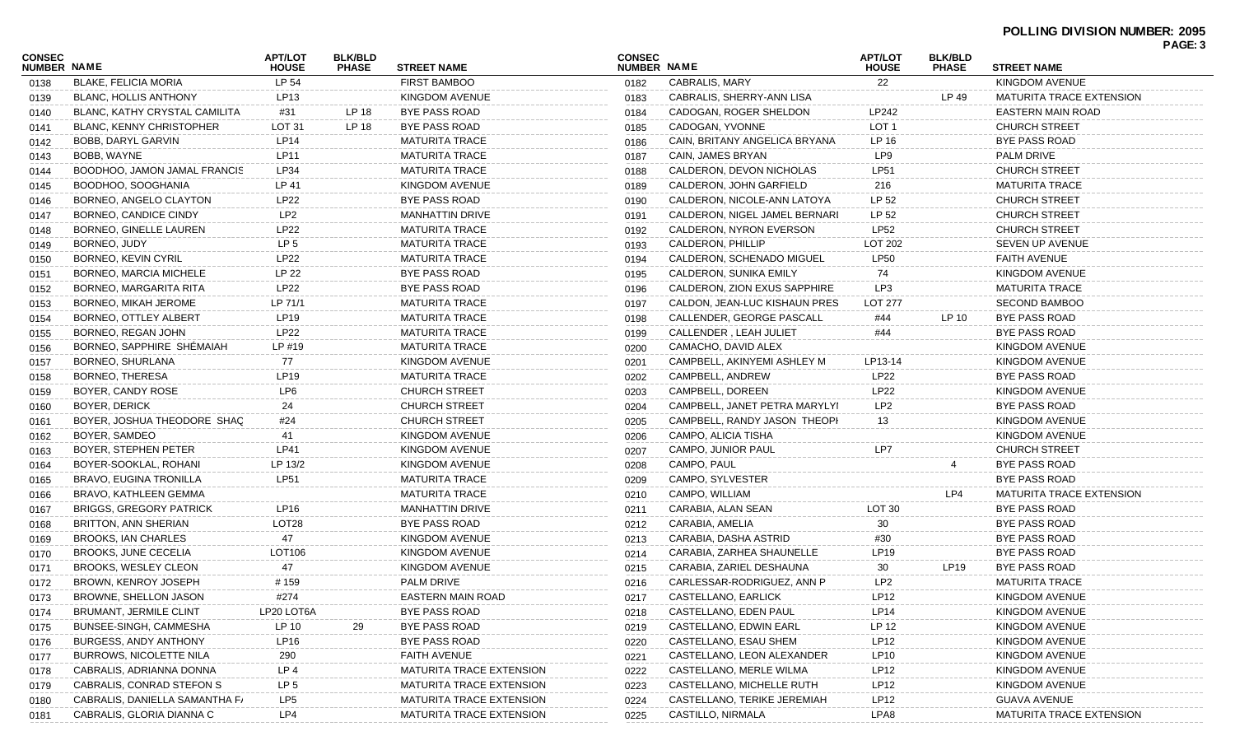|                              |                                 |                                |                                |                          |                              |                               |                                |                                |                          | <b>PAUL J</b> |
|------------------------------|---------------------------------|--------------------------------|--------------------------------|--------------------------|------------------------------|-------------------------------|--------------------------------|--------------------------------|--------------------------|---------------|
| CONSEC<br><b>NUMBER NAME</b> |                                 | <b>APT/LOT</b><br><b>HOUSE</b> | <b>BLK/BLD</b><br><b>PHASE</b> | <b>STREET NAME</b>       | <b>CONSEC</b><br>NUMBER NAME |                               | <b>APT/LOT</b><br><b>HOUSE</b> | <b>BLK/BLD</b><br><b>PHASE</b> | <b>STREET NAME</b>       |               |
| 0138                         | <b>BLAKE, FELICIA MORIA</b>     | LP 54                          |                                | <b>FIRST BAMBOO</b>      | 0182                         | CABRALIS, MARY                | 22                             |                                | KINGDOM AVENUE           |               |
| 0139                         | BLANC, HOLLIS ANTHONY           | LP13                           |                                | KINGDOM AVENUE           | 0183                         | CABRALIS, SHERRY-ANN LISA     |                                | LP 49                          | MATURITA TRACE EXTENSION |               |
| 0140                         | BLANC, KATHY CRYSTAL CAMILITA   | #31                            | LP 18                          | BYE PASS ROAD            | 0184                         | CADOGAN, ROGER SHELDON        | LP242                          |                                | EASTERN MAIN ROAD        |               |
| 0141                         | <b>BLANC, KENNY CHRISTOPHER</b> | LOT <sub>31</sub>              | LP 18                          | BYE PASS ROAD            | 0185                         | CADOGAN, YVONNE               | LOT <sub>1</sub>               |                                | <b>CHURCH STREET</b>     |               |
| 0142                         | BOBB, DARYL GARVIN              | LP14                           |                                | <b>MATURITA TRACE</b>    | 0186                         | CAIN, BRITANY ANGELICA BRYANA | LP 16                          |                                | BYE PASS ROAD            |               |
| 0143                         | BOBB, WAYNE                     | <b>LP11</b>                    |                                | <b>MATURITA TRACE</b>    | 0187                         | CAIN, JAMES BRYAN             | LP9                            |                                | PALM DRIVE               |               |
| 0144                         | BOODHOO, JAMON JAMAL FRANCIS    | LP34                           |                                | <b>MATURITA TRACE</b>    | 0188                         | CALDERON, DEVON NICHOLAS      | LP51                           |                                | <b>CHURCH STREET</b>     |               |
| 0145                         | BOODHOO, SOOGHANIA              | LP 41                          |                                | KINGDOM AVENUE           | 0189                         | CALDERON, JOHN GARFIELD       | 216                            |                                | <b>MATURITA TRACE</b>    |               |
| 0146                         | BORNEO, ANGELO CLAYTON          | <b>LP22</b>                    |                                | BYE PASS ROAD            | 0190                         | CALDERON, NICOLE-ANN LATOYA   | LP 52                          |                                | <b>CHURCH STREET</b>     |               |
| 0147                         | BORNEO, CANDICE CINDY           | LP <sub>2</sub>                |                                | <b>MANHATTIN DRIVE</b>   | 0191                         | CALDERON, NIGEL JAMEL BERNARI | LP 52                          |                                | <b>CHURCH STREET</b>     |               |
| 0148                         | BORNEO, GINELLE LAUREN          | <b>LP22</b>                    |                                | <b>MATURITA TRACE</b>    | 0192                         | CALDERON, NYRON EVERSON       | <b>LP52</b>                    |                                | <b>CHURCH STREET</b>     |               |
| 0149                         | BORNEO, JUDY                    | LP <sub>5</sub>                |                                | <b>MATURITA TRACE</b>    | 0193                         | CALDERON, PHILLIP             | <b>LOT 202</b>                 |                                | SEVEN UP AVENUE          |               |
| 0150                         | BORNEO, KEVIN CYRIL             | <b>LP22</b>                    |                                | <b>MATURITA TRACE</b>    | 0194                         | CALDERON, SCHENADO MIGUEL     | <b>LP50</b>                    |                                | <b>FAITH AVENUE</b>      |               |
| 0151                         | BORNEO, MARCIA MICHELE          | LP 22                          |                                | BYE PASS ROAD            | 0195                         | CALDERON, SUNIKA EMILY        | 74                             |                                | KINGDOM AVENUE           |               |
| 0152                         | BORNEO, MARGARITA RITA          | <b>LP22</b>                    |                                | BYE PASS ROAD            | 0196                         | CALDERON, ZION EXUS SAPPHIRE  | LP3                            |                                | <b>MATURITA TRACE</b>    |               |
| 0153                         | BORNEO, MIKAH JEROME            | LP 71/1                        |                                | <b>MATURITA TRACE</b>    | 0197                         | CALDON, JEAN-LUC KISHAUN PRES | LOT 277                        |                                | <b>SECOND BAMBOO</b>     |               |
| 0154                         | BORNEO, OTTLEY ALBERT           | LP19                           |                                | <b>MATURITA TRACE</b>    | 0198                         | CALLENDER, GEORGE PASCALL     | #44                            | LP 10                          | BYE PASS ROAD            |               |
| 0155                         | BORNEO, REGAN JOHN              | <b>LP22</b>                    |                                | <b>MATURITA TRACE</b>    | 0199                         | CALLENDER, LEAH JULIET        | #44                            |                                | BYE PASS ROAD            |               |
| 0156                         | BORNEO, SAPPHIRE SHEMAIAH       | LP #19                         |                                | <b>MATURITA TRACE</b>    | 0200                         | CAMACHO, DAVID ALEX           |                                |                                | KINGDOM AVENUE           |               |
| 0157                         | BORNEO, SHURLANA                | 77                             |                                | KINGDOM AVENUE           | 0201                         | CAMPBELL, AKINYEMI ASHLEY M   | LP13-14                        |                                | KINGDOM AVENUE           |               |
| 0158                         | BORNEO, THERESA                 | <b>LP19</b>                    |                                | <b>MATURITA TRACE</b>    | 0202                         | CAMPBELL, ANDREW              | <b>LP22</b>                    |                                | BYE PASS ROAD            |               |
| 0159                         | BOYER, CANDY ROSE               | LP6                            |                                | <b>CHURCH STREET</b>     | 0203                         | CAMPBELL, DOREEN              | LP22                           |                                | KINGDOM AVENUE           |               |
| 0160                         | BOYER, DERICK                   | 24                             |                                | <b>CHURCH STREET</b>     | 0204                         | CAMPBELL, JANET PETRA MARYLYI | LP <sub>2</sub>                |                                | BYE PASS ROAD            |               |
| 0161                         | BOYER, JOSHUA THEODORE SHAG     | #24                            |                                | <b>CHURCH STREET</b>     | 0205                         | CAMPBELL, RANDY JASON THEOPH  | 13                             |                                | KINGDOM AVENUE           |               |
| 0162                         | BOYER, SAMDEO                   | 41                             |                                | KINGDOM AVENUE           | 0206                         | CAMPO, ALICIA TISHA           |                                |                                | KINGDOM AVENUE           |               |
| 0163                         | BOYER, STEPHEN PETER            | <b>LP41</b>                    |                                | KINGDOM AVENUE           | 0207                         | CAMPO, JUNIOR PAUL            | LP7                            |                                | <b>CHURCH STREET</b>     |               |
| 0164                         | BOYER-SOOKLAL, ROHANI           | LP 13/2                        |                                | KINGDOM AVENUE           | 0208                         | CAMPO, PAUL                   |                                |                                | <b>BYE PASS ROAD</b>     |               |
| 0165                         | BRAVO, EUGINA TRONILLA          | <b>LP51</b>                    |                                | <b>MATURITA TRACE</b>    | 0209                         | CAMPO, SYLVESTER              |                                |                                | BYE PASS ROAD            |               |
| 0166                         | BRAVO, KATHLEEN GEMMA           |                                |                                | <b>MATURITA TRACE</b>    | 0210                         | CAMPO, WILLIAM                |                                | LP4                            | MATURITA TRACE EXTENSION |               |
| 0167                         | <b>BRIGGS, GREGORY PATRICK</b>  | LP16                           |                                | <b>MANHATTIN DRIVE</b>   | 0211                         | CARABIA, ALAN SEAN            | LOT 30                         |                                | <b>BYE PASS ROAD</b>     |               |
| 0168                         | BRITTON, ANN SHERIAN            | LOT <sub>28</sub>              |                                | BYE PASS ROAD            | 0212                         | CARABIA, AMELIA               | 30                             |                                | <b>BYE PASS ROAD</b>     |               |
| 0169                         | BROOKS, IAN CHARLES             | 47                             |                                | KINGDOM AVENUE           | 0213                         | CARABIA, DASHA ASTRID         | #30                            |                                | <b>BYE PASS ROAD</b>     |               |
| 0170                         | BROOKS, JUNE CECELIA            | LOT106                         |                                | KINGDOM AVENUE           | 0214                         | CARABIA, ZARHEA SHAUNELLE     | <b>LP19</b>                    |                                | <b>BYE PASS ROAD</b>     |               |
| 0171                         | BROOKS, WESLEY CLEON            | 47                             |                                | KINGDOM AVENUE           | 0215                         | CARABIA, ZARIEL DESHAUNA      | 30                             | LP <sub>19</sub>               | BYE PASS ROAD            |               |
| 0172                         | BROWN, KENROY JOSEPH            | # 159                          |                                | PALM DRIVE               | 0216                         | CARLESSAR-RODRIGUEZ, ANN P    | LP <sub>2</sub>                |                                | <b>MATURITA TRACE</b>    |               |
| 0173                         | BROWNE, SHELLON JASON           | #274                           |                                | EASTERN MAIN ROAD        | 0217                         | CASTELLANO, EARLICK           | LP12                           |                                | <b>KINGDOM AVENUE</b>    |               |
| 0174                         | BRUMANT, JERMILE CLINT          | LP20 LOT6A                     |                                | BYE PASS ROAD            | 0218                         | CASTELLANO, EDEN PAUL         | LP <sub>14</sub>               |                                | KINGDOM AVENUE           |               |
| 0175                         | BUNSEE-SINGH, CAMMESHA          | LP 10                          | 29                             | BYE PASS ROAD            | 0219                         | CASTELLANO, EDWIN EARL        | LP 12                          |                                | KINGDOM AVENUE           |               |
| 0176                         | BURGESS, ANDY ANTHONY           | LP16                           |                                | BYE PASS ROAD            | 0220                         | CASTELLANO, ESAU SHEM         | LP12                           |                                | KINGDOM AVENUE           |               |
| 0177                         | <b>BURROWS, NICOLETTE NILA</b>  | 290                            |                                | <b>FAITH AVENUE</b>      | 0221                         | CASTELLANO, LEON ALEXANDER    | LP10                           |                                | KINGDOM AVENUE           |               |
| 0178                         | CABRALIS, ADRIANNA DONNA        | LP <sub>4</sub>                |                                | MATURITA TRACE EXTENSION | 0222                         | CASTELLANO, MERLE WILMA       | <b>LP12</b>                    |                                | KINGDOM AVENUE           |               |
| 0179                         | CABRALIS, CONRAD STEFON S       | LP <sub>5</sub>                |                                | MATURITA TRACE EXTENSION | 0223                         | CASTELLANO, MICHELLE RUTH     | LP12                           |                                | KINGDOM AVENUE           |               |
| 0180                         | CABRALIS, DANIELLA SAMANTHA F/  | LP5                            |                                | MATURITA TRACE EXTENSION | 0224                         | CASTELLANO, TERIKE JEREMIAH   | LP12                           |                                | <b>GUAVA AVENUE</b>      |               |
| 0181                         | CABRALIS, GLORIA DIANNA C       | LP4                            |                                | MATURITA TRACE EXTENSION | 0225                         | CASTILLO, NIRMALA             | LPA8                           |                                | MATURITA TRACE EXTENSION |               |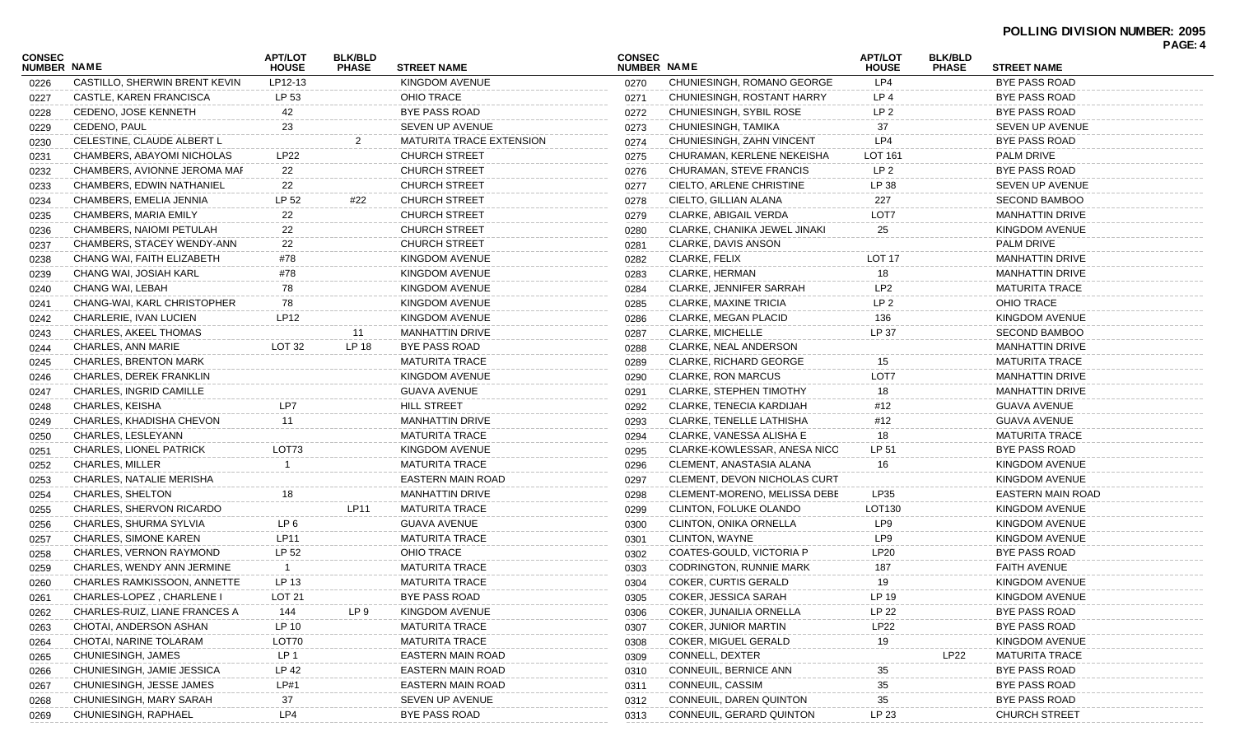| CONSEC<br><b>NUMBER NAME</b> |                                  | <b>APT/LOT</b><br><b>HOUSE</b> | <b>BLK/BLD</b><br><b>PHASE</b> | <b>STREET NAME</b>       | <b>CONSEC</b><br><b>NUMBER NAME</b> |                                 | <b>APT/LOT</b><br><b>HOUSE</b> | <b>BLK/BLD</b><br><b>PHASE</b> | <b>STREET NAME</b>     | PAGE: 4 |
|------------------------------|----------------------------------|--------------------------------|--------------------------------|--------------------------|-------------------------------------|---------------------------------|--------------------------------|--------------------------------|------------------------|---------|
| 0226                         | CASTILLO, SHERWIN BRENT KEVIN    | LP12-13                        |                                | KINGDOM AVENUE           | 0270                                | CHUNIESINGH, ROMANO GEORGE      | LP4                            |                                | <b>BYE PASS ROAD</b>   |         |
| 0227                         | CASTLE, KAREN FRANCISCA          | LP 53                          |                                | OHIO TRACE               | 0271                                | CHUNIESINGH, ROSTANT HARRY      | LP 4                           |                                | BYE PASS ROAD          |         |
| 0228                         | CEDENO, JOSE KENNETH             | 42                             |                                | BYE PASS ROAD            | 0272                                | CHUNIESINGH, SYBIL ROSE         | LP <sub>2</sub>                |                                | <b>BYE PASS ROAD</b>   |         |
| 0229                         | CEDENO, PAUL                     | 23                             |                                | SEVEN UP AVENUE          | 0273                                | CHUNIESINGH, TAMIKA             | 37                             |                                | <b>SEVEN UP AVENUE</b> |         |
| 0230                         | CELESTINE, CLAUDE ALBERT L       |                                | 2                              | MATURITA TRACE EXTENSION | 0274                                | CHUNIESINGH, ZAHN VINCENT       | LP4                            |                                | <b>BYE PASS ROAD</b>   |         |
| 0231                         | CHAMBERS, ABAYOMI NICHOLAS       | LP22                           |                                | <b>CHURCH STREET</b>     | 0275                                | CHURAMAN, KERLENE NEKEISHA      | LOT 161                        |                                | PALM DRIVE             |         |
| 0232                         | CHAMBERS, AVIONNE JEROMA MAF     | 22                             |                                | <b>CHURCH STREET</b>     | 0276                                | CHURAMAN, STEVE FRANCIS         | LP 2                           |                                | BYE PASS ROAD          |         |
| 0233                         | <b>CHAMBERS, EDWIN NATHANIEL</b> | 22                             |                                | <b>CHURCH STREET</b>     | 0277                                | CIELTO, ARLENE CHRISTINE        | LP 38                          |                                | <b>SEVEN UP AVENUE</b> |         |
| 0234                         | CHAMBERS, EMELIA JENNIA          | LP 52                          | #22                            | <b>CHURCH STREET</b>     | 0278                                | CIELTO, GILLIAN ALANA           | 227                            |                                | <b>SECOND BAMBOO</b>   |         |
| 0235                         | <b>CHAMBERS, MARIA EMILY</b>     | 22                             |                                | <b>CHURCH STREET</b>     | 0279                                | <b>CLARKE, ABIGAIL VERDA</b>    | LOT7                           |                                | <b>MANHATTIN DRIVE</b> |         |
| 0236                         | CHAMBERS, NAIOMI PETULAH         | 22                             |                                | <b>CHURCH STREET</b>     | 0280                                | CLARKE, CHANIKA JEWEL JINAKI    | 25                             |                                | KINGDOM AVENUE         |         |
| 0237                         | CHAMBERS, STACEY WENDY-ANN       | 22                             |                                | CHURCH STREET            | 0281                                | CLARKE, DAVIS ANSON             |                                |                                | PALM DRIVE             |         |
| 0238                         | CHANG WAI, FAITH ELIZABETH       | #78                            |                                | KINGDOM AVENUE           | 0282                                | CLARKE, FELIX                   | LOT 17                         |                                | <b>MANHATTIN DRIVE</b> |         |
| 0239                         | CHANG WAI, JOSIAH KARL           | #78                            |                                | KINGDOM AVENUE           | 0283                                | <b>CLARKE, HERMAN</b>           | 18                             |                                | <b>MANHATTIN DRIVE</b> |         |
| 0240                         | CHANG WAI, LEBAH                 | 78                             |                                | KINGDOM AVENUE           | 0284                                | <b>CLARKE, JENNIFER SARRAH</b>  | LP <sub>2</sub>                |                                | <b>MATURITA TRACE</b>  |         |
| 0241                         | CHANG-WAI, KARL CHRISTOPHER      | 78                             |                                | KINGDOM AVENUE           | 0285                                | CLARKE, MAXINE TRICIA           | LP <sub>2</sub>                |                                | OHIO TRACE             |         |
| 0242                         | CHARLERIE, IVAN LUCIEN           | <b>LP12</b>                    |                                | KINGDOM AVENUE           | 0286                                | <b>CLARKE, MEGAN PLACID</b>     | 136                            |                                | KINGDOM AVENUE         |         |
| 0243                         | CHARLES, AKEEL THOMAS            |                                | 11                             | <b>MANHATTIN DRIVE</b>   | 0287                                | <b>CLARKE, MICHELLE</b>         | LP 37                          |                                | <b>SECOND BAMBOO</b>   |         |
| 0244                         | CHARLES, ANN MARIE               | LOT 32                         | LP 18                          | BYE PASS ROAD            | 0288                                | CLARKE, NEAL ANDERSON           |                                |                                | <b>MANHATTIN DRIVE</b> |         |
| 0245                         | <b>CHARLES, BRENTON MARK</b>     |                                |                                | <b>MATURITA TRACE</b>    | 0289                                | <b>CLARKE, RICHARD GEORGE</b>   | 15                             |                                | <b>MATURITA TRACE</b>  |         |
| 0246                         | CHARLES, DEREK FRANKLIN          |                                |                                | KINGDOM AVENUE           | 0290                                | <b>CLARKE, RON MARCUS</b>       | LOT7                           |                                | <b>MANHATTIN DRIVE</b> |         |
| 0247                         | CHARLES, INGRID CAMILLE          |                                |                                | <b>GUAVA AVENUE</b>      | 0291                                | <b>CLARKE, STEPHEN TIMOTHY</b>  | 18                             |                                | <b>MANHATTIN DRIVE</b> |         |
| 0248                         | CHARLES, KEISHA                  | LP7                            |                                | <b>HILL STREET</b>       | 0292                                | CLARKE, TENECIA KARDIJAH        | #12                            |                                | <b>GUAVA AVENUE</b>    |         |
| 0249                         | CHARLES, KHADISHA CHEVON         | 11                             |                                | <b>MANHATTIN DRIVE</b>   | 0293                                | <b>CLARKE, TENELLE LATHISHA</b> | #12                            |                                | GUAVA AVENUE           |         |
| 0250                         | CHARLES, LESLEYANN               |                                |                                | <b>MATURITA TRACE</b>    | 0294                                | CLARKE, VANESSA ALISHA E        | 18                             |                                | <b>MATURITA TRACE</b>  |         |
| 0251                         | CHARLES, LIONEL PATRICK          | LOT73                          |                                | KINGDOM AVENUE           | 0295                                | CLARKE-KOWLESSAR, ANESA NICO    | LP 51                          |                                | <b>BYE PASS ROAD</b>   |         |
| 0252                         | <b>CHARLES, MILLER</b>           |                                |                                | <b>MATURITA TRACE</b>    | 0296                                | CLEMENT, ANASTASIA ALANA        | 16                             |                                | KINGDOM AVENUE         |         |
| 0253                         | CHARLES, NATALIE MERISHA         |                                |                                | EASTERN MAIN ROAD        | 0297                                | CLEMENT, DEVON NICHOLAS CURT    |                                |                                | KINGDOM AVENUE         |         |
| 0254                         | CHARLES, SHELTON                 | 18                             |                                | <b>MANHATTIN DRIVE</b>   | 0298                                | CLEMENT-MORENO, MELISSA DEBE    | LP35                           |                                | EASTERN MAIN ROAD      |         |
| 0255                         | CHARLES, SHERVON RICARDO         |                                | LP11                           | <b>MATURITA TRACE</b>    | 0299                                | CLINTON, FOLUKE OLANDO          | LOT130                         |                                | KINGDOM AVENUE         |         |
| 0256                         | CHARLES, SHURMA SYLVIA           | LP 6                           |                                | <b>GUAVA AVENUE</b>      | 0300                                | CLINTON, ONIKA ORNELLA          | LP9                            |                                | KINGDOM AVENUE         |         |
| 0257                         | <b>CHARLES, SIMONE KAREN</b>     | LP11                           |                                | <b>MATURITA TRACE</b>    | 0301                                | <b>CLINTON, WAYNE</b>           | LP9                            |                                | KINGDOM AVENUE         |         |
| 0258                         | CHARLES, VERNON RAYMOND          | LP 52                          |                                | OHIO TRACE               | 0302                                | COATES-GOULD, VICTORIA P        | LP20                           |                                | <b>BYE PASS ROAD</b>   |         |
| 0259                         | CHARLES, WENDY ANN JERMINE       | -1                             |                                | <b>MATURITA TRACE</b>    | 0303                                | <b>CODRINGTON, RUNNIE MARK</b>  | 187                            |                                | <b>FAITH AVENUE</b>    |         |
| 0260                         | CHARLES RAMKISSOON, ANNETTE      | LP 13                          |                                | <b>MATURITA TRACE</b>    | 0304                                | <b>COKER, CURTIS GERALD</b>     | 19                             |                                | KINGDOM AVENUE         |         |
| 0261                         | CHARLES-LOPEZ, CHARLENE I        | LOT <sub>21</sub>              |                                | BYE PASS ROAD            | 0305                                | COKER, JESSICA SARAH            | LP 19                          |                                | KINGDOM AVENUE         |         |
| 0262                         | CHARLES-RUIZ, LIANE FRANCES A    | 144                            | LP 9                           | KINGDOM AVENUE           | 0306                                | COKER, JUNAILIA ORNELLA         | LP 22                          |                                | <b>BYE PASS ROAD</b>   |         |
| 0263                         | CHOTAI, ANDERSON ASHAN           | LP 10                          |                                | <b>MATURITA TRACE</b>    | 0307                                | COKER, JUNIOR MARTIN            | <b>LP22</b>                    |                                | <b>BYE PASS ROAD</b>   |         |
| 0264                         | CHOTAI, NARINE TOLARAM           | LOT70                          |                                | <b>MATURITA TRACE</b>    | 0308                                | COKER, MIGUEL GERALD            | 19                             |                                | <b>KINGDOM AVENUE</b>  |         |
| 0265                         | CHUNIESINGH, JAMES               | LP 1                           |                                | EASTERN MAIN ROAD        | 0309                                | CONNELL, DEXTER                 |                                | <b>LP22</b>                    | <b>MATURITA TRACE</b>  |         |
| 0266                         | CHUNIESINGH, JAMIE JESSICA       | LP 42                          |                                | EASTERN MAIN ROAD        | 0310                                | CONNEUIL, BERNICE ANN           | 35                             |                                | <b>BYE PASS ROAD</b>   |         |
| 0267                         | CHUNIESINGH, JESSE JAMES         | LP#1                           |                                | EASTERN MAIN ROAD        | 0311                                | CONNEUIL, CASSIM                | 35                             |                                | <b>BYE PASS ROAD</b>   |         |
| 0268                         | CHUNIESINGH, MARY SARAH          | 37                             |                                | SEVEN UP AVENUE          | 0312                                | CONNEUIL, DAREN QUINTON         | 35                             |                                | <b>BYE PASS ROAD</b>   |         |
| 0269                         | CHUNIESINGH, RAPHAEL             | LP4                            |                                | BYE PASS ROAD            | 0313                                | CONNEUIL, GERARD QUINTON        | LP 23                          |                                | <b>CHURCH STREET</b>   |         |
|                              |                                  |                                |                                |                          |                                     |                                 |                                |                                |                        |         |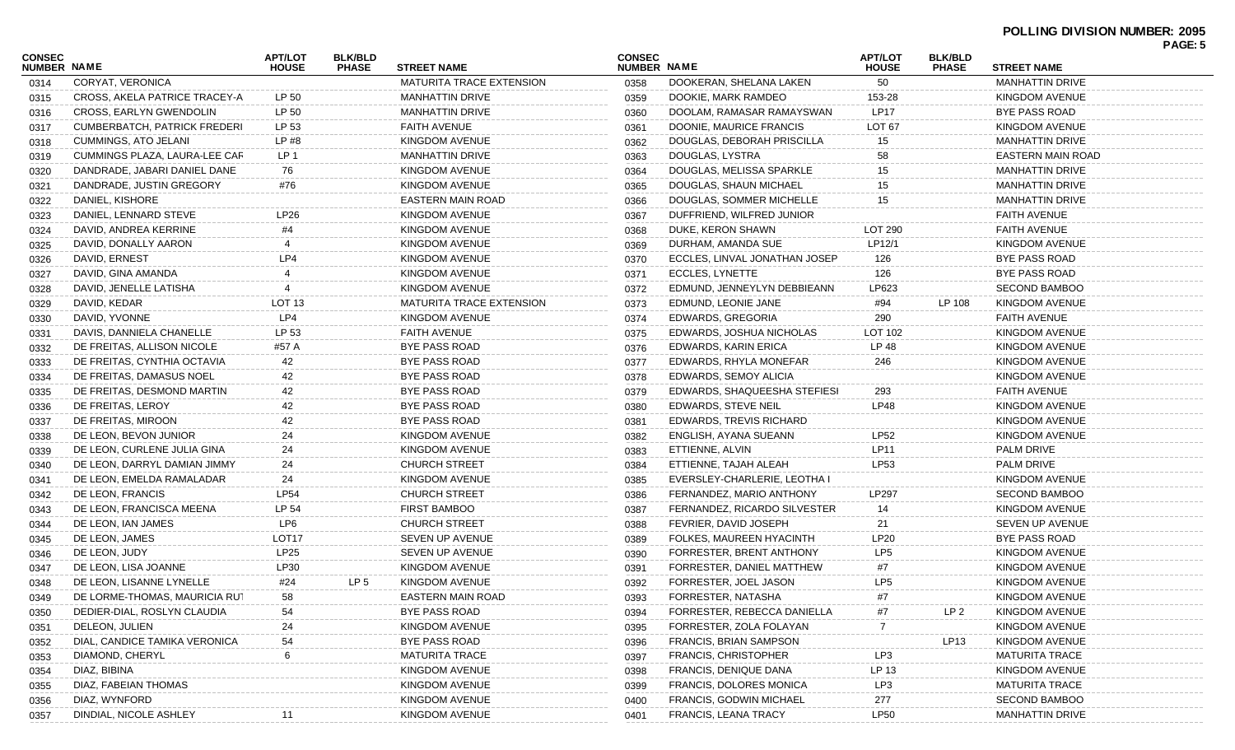| CONSEC             |                                     | <b>APT/LOT</b>    | <b>BLK/BLD</b> |                                 | <b>CONSEC</b> |                                | <b>APT/LOT</b>    | <b>BLK/BLD</b>  |                        | PAGE: 5 |
|--------------------|-------------------------------------|-------------------|----------------|---------------------------------|---------------|--------------------------------|-------------------|-----------------|------------------------|---------|
| <b>NUMBER NAME</b> |                                     | <b>HOUSE</b>      | <b>PHASE</b>   | <b>STREET NAME</b>              | NUMBER NAME   |                                | <b>HOUSE</b>      | <b>PHASE</b>    | <b>STREET NAME</b>     |         |
| 0314               | CORYAT, VERONICA                    |                   |                | MATURITA TRACE EXTENSION        | 0358          | DOOKERAN, SHELANA LAKEN        | 50                |                 | <b>MANHATTIN DRIVE</b> |         |
| 0315               | CROSS, AKELA PATRICE TRACEY-A       | LP 50             |                | <b>MANHATTIN DRIVE</b>          | 0359          | DOOKIE, MARK RAMDEO            | 153-28            |                 | KINGDOM AVENUE         |         |
| 0316               | CROSS, EARLYN GWENDOLIN             | LP 50             |                | <b>MANHATTIN DRIVE</b>          | 0360          | DOOLAM, RAMASAR RAMAYSWAN      | <b>LP17</b>       |                 | <b>BYE PASS ROAD</b>   |         |
| 0317               | <b>CUMBERBATCH, PATRICK FREDERI</b> | LP 53             |                | <b>FAITH AVENUE</b>             | 0361          | DOONIE, MAURICE FRANCIS        | LOT <sub>67</sub> |                 | KINGDOM AVENUE         |         |
| 0318               | CUMMINGS, ATO JELANI                | LP #8             |                | <b>KINGDOM AVENUE</b>           | 0362          | DOUGLAS, DEBORAH PRISCILLA     | 15                |                 | <b>MANHATTIN DRIVE</b> |         |
| 0319               | CUMMINGS PLAZA, LAURA-LEE CAR       | LP 1              |                | <b>MANHATTIN DRIVE</b>          | 0363          | DOUGLAS, LYSTRA                | 58                |                 | EASTERN MAIN ROAD      |         |
| 0320               | DANDRADE, JABARI DANIEL DANE        | 76                |                | KINGDOM AVENUE                  | 0364          | DOUGLAS, MELISSA SPARKLE       | 15                |                 | <b>MANHATTIN DRIVE</b> |         |
| 0321               | DANDRADE, JUSTIN GREGORY            | #76               |                | <b>KINGDOM AVENUE</b>           | 0365          | DOUGLAS, SHAUN MICHAEL         | 15                |                 | <b>MANHATTIN DRIVE</b> |         |
| 0322               | DANIEL, KISHORE                     |                   |                | <b>EASTERN MAIN ROAD</b>        | 0366          | DOUGLAS, SOMMER MICHELLE       | 15                |                 | <b>MANHATTIN DRIVE</b> |         |
| 0323               | DANIEL, LENNARD STEVE               | LP26              |                | KINGDOM AVENUE                  | 0367          | DUFFRIEND, WILFRED JUNIOR      |                   |                 | <b>FAITH AVENUE</b>    |         |
| 0324               | DAVID, ANDREA KERRINE               | #4                |                | KINGDOM AVENUE                  | 0368          | DUKE, KERON SHAWN              | LOT 290           |                 | <b>FAITH AVENUE</b>    |         |
| 0325               | DAVID, DONALLY AARON                |                   |                | <b>KINGDOM AVENUE</b>           | 0369          | DURHAM, AMANDA SUE             | LP12/1            |                 | KINGDOM AVENUE         |         |
| 0326               | DAVID, ERNEST                       | LP4               |                | KINGDOM AVENUE                  | 0370          | ECCLES, LINVAL JONATHAN JOSEP  | 126               |                 | <b>BYE PASS ROAD</b>   |         |
| 0327               | DAVID, GINA AMANDA                  |                   |                | KINGDOM AVENUE                  | 0371          | ECCLES, LYNETTE                | 126               |                 | <b>BYE PASS ROAD</b>   |         |
| 0328               | DAVID, JENELLE LATISHA              |                   |                | KINGDOM AVENUE                  | 0372          | EDMUND, JENNEYLYN DEBBIEANN    | LP623             |                 | <b>SECOND BAMBOO</b>   |         |
| 0329               | DAVID, KEDAR                        | LOT 13            |                | <b>MATURITA TRACE EXTENSION</b> | 0373          | EDMUND, LEONIE JANE            | #94               | LP 108          | KINGDOM AVENUE         |         |
| 0330               | DAVID, YVONNE                       | LP4               |                | KINGDOM AVENUE                  | 0374          | EDWARDS, GREGORIA              | 290               |                 | <b>FAITH AVENUE</b>    |         |
| 0331               | DAVIS, DANNIELA CHANELLE            | LP 53             |                | FAITH AVENUE                    | 0375          | EDWARDS, JOSHUA NICHOLAS       | LOT 102           |                 | KINGDOM AVENUE         |         |
| 0332               | DE FREITAS, ALLISON NICOLE          | #57 A             |                | BYE PASS ROAD                   | 0376          | EDWARDS, KARIN ERICA           | LP 48             |                 | KINGDOM AVENUE         |         |
| 0333               | DE FREITAS, CYNTHIA OCTAVIA         | 42                |                | <b>BYE PASS ROAD</b>            | 0377          | EDWARDS, RHYLA MONEFAR         | 246               |                 | KINGDOM AVENUE         |         |
| 0334               | DE FREITAS, DAMASUS NOEL            | 42                |                | BYE PASS ROAD                   | 0378          | EDWARDS, SEMOY ALICIA          |                   |                 | KINGDOM AVENUE         |         |
| 0335               | DE FREITAS, DESMOND MARTIN          | 42                |                | BYE PASS ROAD                   | 0379          | EDWARDS, SHAQUEESHA STEFIESH   | 293               |                 | <b>FAITH AVENUE</b>    |         |
| 0336               | DE FREITAS, LEROY                   | 42                |                | BYE PASS ROAD                   | 0380          | EDWARDS, STEVE NEIL            | <b>LP48</b>       |                 | KINGDOM AVENUE         |         |
| 0337               | DE FREITAS, MIROON                  | 42                |                | BYE PASS ROAD                   | 0381          | EDWARDS, TREVIS RICHARD        |                   |                 | KINGDOM AVENUE         |         |
| 0338               | DE LEON, BEVON JUNIOR               | 24                |                | KINGDOM AVENUE                  | 0382          | ENGLISH, AYANA SUEANN          | LP52              |                 | KINGDOM AVENUE         |         |
| 0339               | DE LEON, CURLENE JULIA GINA         | 24                |                | KINGDOM AVENUE                  | 0383          | ETTIENNE, ALVIN                | LP11              |                 | <b>PALM DRIVE</b>      |         |
| 0340               | DE LEON, DARRYL DAMIAN JIMMY        | 24                |                | <b>CHURCH STREET</b>            | 0384          | ETTIENNE, TAJAH ALEAH          | LP53              |                 | <b>PALM DRIVE</b>      |         |
| 0341               | DE LEON, EMELDA RAMALADAR           | 24                |                | KINGDOM AVENUE                  | 0385          | EVERSLEY-CHARLERIE, LEOTHA I   |                   |                 | KINGDOM AVENUE         |         |
| 0342               | DE LEON, FRANCIS                    | <b>LP54</b>       |                | <b>CHURCH STREET</b>            | 0386          | FERNANDEZ, MARIO ANTHONY       | LP297             |                 | <b>SECOND BAMBOO</b>   |         |
| 0343               | DE LEON, FRANCISCA MEENA            | LP 54             |                | <b>FIRST BAMBOO</b>             | 0387          | FERNANDEZ, RICARDO SILVESTER   | 14                |                 | KINGDOM AVENUE         |         |
| 0344               | DE LEON, IAN JAMES                  | LP6               |                | <b>CHURCH STREET</b>            | 0388          | FEVRIER, DAVID JOSEPH          | 21                |                 | SEVEN UP AVENUE        |         |
| 0345               | DE LEON, JAMES                      | LOT <sub>17</sub> |                | SEVEN UP AVENUE                 | 0389          | FOLKES, MAUREEN HYACINTH       | <b>LP20</b>       |                 | BYE PASS ROAD          |         |
| 0346               | DE LEON, JUDY                       | LP25              |                | SEVEN UP AVENUE                 | 0390          | FORRESTER, BRENT ANTHONY       | LP <sub>5</sub>   |                 | KINGDOM AVENUE         |         |
| 0347               | DE LEON, LISA JOANNE                | LP30              |                | KINGDOM AVENUE                  | 0391          | FORRESTER, DANIEL MATTHEW      | #7                |                 | KINGDOM AVENUE         |         |
| 0348               | DE LEON, LISANNE LYNELLE            | #24               | LP 5           | KINGDOM AVENUE                  | 0392          | FORRESTER, JOEL JASON          | LP5               |                 | KINGDOM AVENUE         |         |
| 0349               | DE LORME-THOMAS, MAURICIA RUT       | 58                |                | <b>EASTERN MAIN ROAD</b>        | 0393          | FORRESTER, NATASHA             | #7                |                 | KINGDOM AVENUE         |         |
| 0350               | DEDIER-DIAL, ROSLYN CLAUDIA         | 54                |                | BYE PASS ROAD                   | 0394          | FORRESTER, REBECCA DANIELLA    | #7                | LP <sub>2</sub> | KINGDOM AVENUE         |         |
| 0351               | DELEON, JULIEN                      | 24                |                | KINGDOM AVENUE                  | 0395          | FORRESTER, ZOLA FOLAYAN        | 7                 |                 | KINGDOM AVENUE         |         |
| 0352               | DIAL, CANDICE TAMIKA VERONICA       | 54                |                | BYE PASS ROAD                   | 0396          | FRANCIS, BRIAN SAMPSON         |                   | LP13            | KINGDOM AVENUE         |         |
| 0353               | DIAMOND, CHERYL                     | 6                 |                | <b>MATURITA TRACE</b>           | 0397          | <b>FRANCIS, CHRISTOPHER</b>    | LP3               |                 | <b>MATURITA TRACE</b>  |         |
| 0354               | DIAZ, BIBINA                        |                   |                | KINGDOM AVENUE                  | 0398          | <b>FRANCIS, DENIQUE DANA</b>   | LP 13             |                 | KINGDOM AVENUE         |         |
| 0355               | DIAZ, FABEIAN THOMAS                |                   |                | KINGDOM AVENUE                  | 0399          | <b>FRANCIS, DOLORES MONICA</b> | LP3               |                 | <b>MATURITA TRACE</b>  |         |
| 0356               | DIAZ, WYNFORD                       |                   |                | KINGDOM AVENUE                  | 0400          | <b>FRANCIS, GODWIN MICHAEL</b> | 277               |                 | <b>SECOND BAMBOO</b>   |         |
| 0357               | DINDIAL, NICOLE ASHLEY              |                   |                | KINGDOM AVENUE                  | 0401          | FRANCIS, LEANA TRACY           | <b>LP50</b>       |                 | <b>MANHATTIN DRIVE</b> |         |
|                    |                                     |                   |                |                                 |               |                                |                   |                 |                        |         |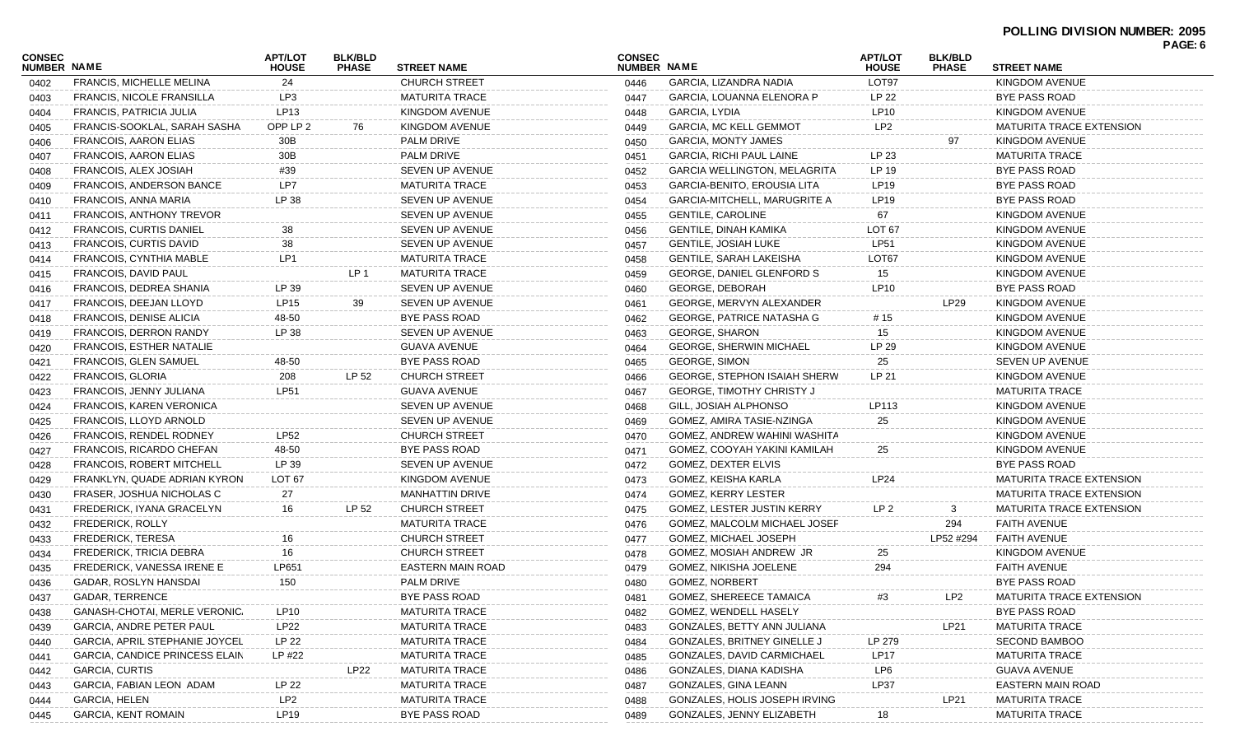| <b>CONSEC</b><br>NUMBER NAME |                                      | <b>APT/LOT</b><br><b>HOUSE</b> | <b>BLK/BLD</b><br><b>PHASE</b> | <b>STREET NAME</b>                            | <b>CONSEC</b><br>NUMBER NAME |                                     | <b>APT/LOT</b><br><b>HOUSE</b> | <b>BLK/BLD</b><br><b>PHASE</b> | <b>STREET NAME</b>              | PAGE: 6 |
|------------------------------|--------------------------------------|--------------------------------|--------------------------------|-----------------------------------------------|------------------------------|-------------------------------------|--------------------------------|--------------------------------|---------------------------------|---------|
| 0402                         | <b>FRANCIS, MICHELLE MELINA</b>      | 24                             |                                | <b>CHURCH STREET</b>                          | 0446                         | GARCIA, LIZANDRA NADIA              | LOT97                          |                                | KINGDOM AVENUE                  |         |
| 0403                         | <b>FRANCIS, NICOLE FRANSILLA</b>     | LP3                            |                                | MATURITA TRACE                                | 0447                         | GARCIA, LOUANNA ELENORA P           | LP 22                          |                                | BYE PASS ROAD                   |         |
| 0404                         | FRANCIS, PATRICIA JULIA              | LP13                           |                                | KINGDOM AVENUE                                | 0448                         | GARCIA, LYDIA                       | <b>LP10</b>                    |                                | KINGDOM AVENUE                  |         |
| 0405                         | FRANCIS-SOOKLAL, SARAH SASHA         | OPP LP 2                       | 76                             | KINGDOM AVENUE                                | 0449                         | <b>GARCIA, MC KELL GEMMOT</b>       | LP <sub>2</sub>                |                                | <b>MATURITA TRACE EXTENSION</b> |         |
| 0406                         | FRANCOIS, AARON ELIAS                | 30B                            |                                | PALM DRIVE                                    | 0450                         | GARCIA, MONTY JAMES                 |                                | 97                             | KINGDOM AVENUE                  |         |
| 0407                         | FRANCOIS, AARON ELIAS                | 30B                            |                                | PALM DRIVE                                    | 0451                         | GARCIA, RICHI PAUL LAINE            | LP 23                          |                                | <b>MATURITA TRACE</b>           |         |
| 0408                         | <b>FRANCOIS, ALEX JOSIAH</b>         | #39                            |                                | SEVEN UP AVENUE                               | 0452                         | <b>GARCIA WELLINGTON, MELAGRITA</b> | LP 19                          |                                | BYE PASS ROAD                   |         |
| 0409                         | <b>FRANCOIS, ANDERSON BANCE</b>      | LP7                            |                                | <b>MATURITA TRACE</b>                         | 0453                         | GARCIA-BENITO, EROUSIA LITA         | LP19                           |                                | BYE PASS ROAD                   |         |
| 0410                         | <b>FRANCOIS, ANNA MARIA</b>          | LP 38                          |                                | SEVEN UP AVENUE                               | 0454                         | <b>GARCIA-MITCHELL, MARUGRITE A</b> | LP19                           |                                | BYE PASS ROAD                   |         |
| 0411                         | <b>FRANCOIS, ANTHONY TREVOR</b>      |                                |                                | SEVEN UP AVENUE                               | 0455                         | <b>GENTILE, CAROLINE</b>            | 67                             |                                | KINGDOM AVENUE                  |         |
| 0412                         | <b>FRANCOIS, CURTIS DANIEL</b>       | 38                             |                                | SEVEN UP AVENUE                               | 0456                         | GENTILE, DINAH KAMIKA               | LOT <sub>67</sub>              |                                | KINGDOM AVENUE                  |         |
| 0413                         | FRANCOIS, CURTIS DAVID               | 38                             |                                | SEVEN UP AVENUE                               | 0457                         | <b>GENTILE, JOSIAH LUKE</b>         | <b>LP51</b>                    |                                | KINGDOM AVENUE                  |         |
| 0414                         | FRANCOIS, CYNTHIA MABLE              | LP1                            |                                | <b>MATURITA TRACE</b>                         | 0458                         | GENTILE, SARAH LAKEISHA             | LOT67                          |                                | <b>KINGDOM AVENUE</b>           |         |
| 0415                         | FRANCOIS, DAVID PAUL                 |                                | LP 1                           | <b>MATURITA TRACE</b>                         | 0459                         | GEORGE, DANIEL GLENFORD S           | 15                             |                                | KINGDOM AVENUE                  |         |
| 0416                         | FRANCOIS, DEDREA SHANIA              | LP 39                          |                                | <b>SEVEN UP AVENUE</b>                        | 0460                         | <b>GEORGE, DEBORAH</b>              | LP10                           |                                | BYE PASS ROAD                   |         |
| 0417                         | FRANCOIS, DEEJAN LLOYD               | LP15                           | 39                             | SEVEN UP AVENUE                               | 0461                         | GEORGE, MERVYN ALEXANDER            |                                | LP <sub>29</sub>               | KINGDOM AVENUE                  |         |
| 0418                         | FRANCOIS, DENISE ALICIA              | 48-50                          |                                | BYE PASS ROAD                                 | 0462                         | GEORGE, PATRICE NATASHA G           | # 15                           |                                | KINGDOM AVENUE                  |         |
| 0419                         | FRANCOIS, DERRON RANDY               | LP 38                          |                                | SEVEN UP AVENUE                               | 0463                         | <b>GEORGE, SHARON</b>               | 15                             |                                | KINGDOM AVENUE                  |         |
| 0420                         | <b>FRANCOIS, ESTHER NATALIE</b>      |                                |                                | <b>GUAVA AVENUE</b>                           | 0464                         | <b>GEORGE, SHERWIN MICHAEL</b>      | LP 29                          |                                | KINGDOM AVENUE                  |         |
| 0421                         | <b>FRANCOIS, GLEN SAMUEL</b>         | 48-50                          |                                | BYE PASS ROAD                                 | 0465                         | <b>GEORGE, SIMON</b>                | 25                             |                                | SEVEN UP AVENUE                 |         |
| 0422                         | FRANCOIS, GLORIA                     | 208                            | LP 52                          | <b>CHURCH STREET</b>                          | 0466                         | <b>GEORGE, STEPHON ISAIAH SHERW</b> | LP 21                          |                                | KINGDOM AVENUE                  |         |
| 0423                         | FRANCOIS, JENNY JULIANA              | <b>LP51</b>                    |                                | GUAVA AVENUE                                  | 0467                         | <b>GEORGE, TIMOTHY CHRISTY J</b>    |                                |                                | <b>MATURITA TRACE</b>           |         |
|                              | FRANCOIS, KAREN VERONICA             |                                |                                | SEVEN UP AVENUE                               | 0468                         | GILL, JOSIAH ALPHONSO               | LP113                          |                                | <b>KINGDOM AVENUE</b>           |         |
| 0424                         | FRANCOIS, LLOYD ARNOLD               |                                |                                | SEVEN UP AVENUE                               | 0469                         | GOMEZ, AMIRA TASIE-NZINGA           | 25                             |                                | <b>KINGDOM AVENUE</b>           |         |
| 0425                         | <b>FRANCOIS, RENDEL RODNEY</b>       | <b>LP52</b>                    |                                | <b>CHURCH STREET</b>                          | 0470                         | GOMEZ, ANDREW WAHINI WASHITA        |                                |                                | KINGDOM AVENUE                  |         |
| 0426                         | FRANCOIS, RICARDO CHEFAN             | 48-50                          |                                | BYE PASS ROAD                                 | 0471                         | GOMEZ, COOYAH YAKINI KAMILAH        | 25                             |                                | KINGDOM AVENUE                  |         |
| 0427                         | <b>FRANCOIS, ROBERT MITCHELL</b>     | LP 39                          |                                | SEVEN UP AVENUE                               |                              | <b>GOMEZ, DEXTER ELVIS</b>          |                                |                                | <b>BYE PASS ROAD</b>            |         |
| 0428                         |                                      | LOT <sub>67</sub>              |                                | KINGDOM AVENUE                                | 0472                         |                                     | <b>LP24</b>                    |                                | MATURITA TRACE EXTENSION        |         |
| 0429                         | FRANKLYN, QUADE ADRIAN KYRON         |                                |                                | <b>MANHATTIN DRIVE</b>                        | 0473                         | GOMEZ, KEISHA KARLA                 |                                |                                |                                 |         |
| 0430                         | FRASER, JOSHUA NICHOLAS C            | 27<br>16                       |                                |                                               | 0474                         | GOMEZ, KERRY LESTER                 |                                |                                | MATURITA TRACE EXTENSION        |         |
| 0431                         | FREDERICK, IYANA GRACELYN            |                                | LP 52                          | <b>CHURCH STREET</b><br><b>MATURITA TRACE</b> | 0475                         | <b>GOMEZ, LESTER JUSTIN KERRY</b>   | LP <sub>2</sub>                | 3                              | <b>MATURITA TRACE EXTENSION</b> |         |
| 0432                         | FREDERICK, ROLLY                     |                                |                                |                                               | 0476                         | GOMEZ, MALCOLM MICHAEL JOSEP        |                                | 294                            | <b>FAITH AVENUE</b>             |         |
| 0433                         | <b>FREDERICK, TERESA</b>             | 16                             |                                | <b>CHURCH STREET</b>                          | 0477                         | GOMEZ, MICHAEL JOSEPH               |                                | LP52 #294                      | <b>FAITH AVENUE</b>             |         |
| 0434                         | FREDERICK, TRICIA DEBRA              | 16                             |                                | CHURCH STREET                                 | 0478                         | GOMEZ, MOSIAH ANDREW JR             | 25                             |                                | KINGDOM AVENUE                  |         |
| 0435                         | FREDERICK, VANESSA IRENE E           | LP651                          |                                | EASTERN MAIN ROAD                             | 0479                         | GOMEZ, NIKISHA JOELENE              | 294                            |                                | <b>FAITH AVENUE</b>             |         |
| 0436                         | GADAR, ROSLYN HANSDAI                | 150                            |                                | PALM DRIVE                                    | 0480                         | <b>GOMEZ, NORBERT</b>               |                                |                                | <b>BYE PASS ROAD</b>            |         |
| 0437                         | GADAR, TERRENCE                      |                                |                                | BYE PASS ROAD                                 | 0481                         | <b>GOMEZ, SHEREECE TAMAICA</b>      | #3                             | LP <sub>2</sub>                | MATURITA TRACE EXTENSION        |         |
| 0438                         | <b>GANASH-CHOTAI, MERLE VERONIC.</b> | <b>LP10</b>                    |                                | <b>MATURITA TRACE</b>                         | 0482                         | GOMEZ, WENDELL HASELY               |                                |                                | <b>BYE PASS ROAD</b>            |         |
| 0439                         | <b>GARCIA, ANDRE PETER PAUL</b>      | LP22                           |                                | MATURITA TRACE                                | 0483                         | GONZALES, BETTY ANN JULIANA         |                                | LP21                           | <b>MATURITA TRACE</b>           |         |
| 0440                         | GARCIA, APRIL STEPHANIE JOYCEL       | LP 22                          |                                | <b>MATURITA TRACE</b>                         | 0484                         | GONZALES, BRITNEY GINELLE J         | LP 279                         |                                | <b>SECOND BAMBOO</b>            |         |
| 0441                         | GARCIA, CANDICE PRINCESS ELAIN       | LP #22                         |                                | <b>MATURITA TRACE</b>                         | 0485                         | <b>GONZALES, DAVID CARMICHAEL</b>   | <b>LP17</b>                    |                                | MATURITA TRACE                  |         |
| 0442                         | GARCIA, CURTIS                       |                                | LP22                           | <b>MATURITA TRACE</b>                         | 0486                         | GONZALES, DIANA KADISHA             | LP6                            |                                | <b>GUAVA AVENUE</b>             |         |
| 0443                         | GARCIA, FABIAN LEON ADAM             | LP 22                          |                                | MATURITA TRACE                                | 0487                         | GONZALES, GINA LEANN                | <b>LP37</b>                    |                                | EASTERN MAIN ROAD               |         |
| 0444                         | <b>GARCIA, HELEN</b>                 | LP <sub>2</sub>                |                                | <b>MATURITA TRACE</b>                         | 0488                         | GONZALES, HOLIS JOSEPH IRVING       |                                | LP21                           | <b>MATURITA TRACE</b>           |         |
| 0445                         | <b>GARCIA, KENT ROMAIN</b>           | <b>LP19</b>                    |                                | BYE PASS ROAD                                 | 0489                         | GONZALES, JENNY ELIZABETH           | 18                             |                                | <b>MATURITA TRACE</b>           |         |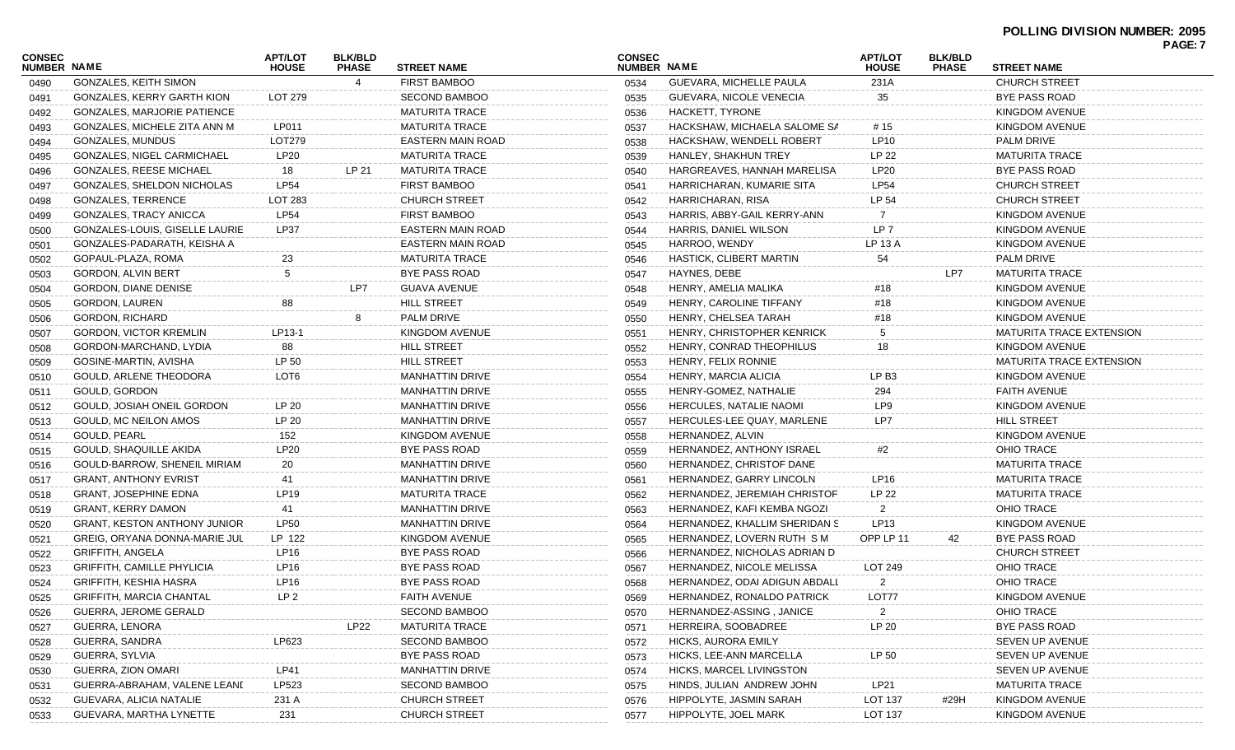| CONSEC<br><b>NUMBER NAME</b> |                                     | <b>APT/LOT</b><br><b>HOUSE</b> | <b>BLK/BLD</b><br><b>PHASE</b> | <b>STREET NAME</b>       | <b>CONSEC</b><br>NUMBER NAME |                               | <b>APT/LOT</b><br><b>HOUSE</b> | <b>BLK/BLD</b><br><b>PHASE</b> | <b>STREET NAME</b>              | <b>PAGE: 7</b> |
|------------------------------|-------------------------------------|--------------------------------|--------------------------------|--------------------------|------------------------------|-------------------------------|--------------------------------|--------------------------------|---------------------------------|----------------|
| 0490                         | <b>GONZALES, KEITH SIMON</b>        |                                | 4                              | <b>FIRST BAMBOO</b>      | 0534                         | GUEVARA, MICHELLE PAULA       | 231A                           |                                | <b>CHURCH STREET</b>            |                |
| 0491                         | <b>GONZALES, KERRY GARTH KION</b>   | LOT 279                        |                                | <b>SECOND BAMBOO</b>     | 0535                         | GUEVARA, NICOLE VENECIA       | 35                             |                                | BYE PASS ROAD                   |                |
| 0492                         | <b>GONZALES, MARJORIE PATIENCE</b>  |                                |                                | <b>MATURITA TRACE</b>    | 0536                         | HACKETT, TYRONE               |                                |                                | KINGDOM AVENUE                  |                |
| 0493                         | GONZALES, MICHELE ZITA ANN M        | LP011                          |                                | <b>MATURITA TRACE</b>    | 0537                         | HACKSHAW, MICHAELA SALOME SA  | # 15                           |                                | KINGDOM AVENUE                  |                |
| 0494                         | GONZALES, MUNDUS                    | LOT279                         |                                | <b>EASTERN MAIN ROAD</b> | 0538                         | HACKSHAW, WENDELL ROBERT      | LP10                           |                                | <b>PALM DRIVE</b>               |                |
| 0495                         | GONZALES, NIGEL CARMICHAEL          | <b>LP20</b>                    |                                | <b>MATURITA TRACE</b>    | 0539                         | HANLEY, SHAKHUN TREY          | LP 22                          |                                | <b>MATURITA TRACE</b>           |                |
| 0496                         | <b>GONZALES, REESE MICHAEL</b>      | 18                             | LP 21                          | <b>MATURITA TRACE</b>    | 0540                         | HARGREAVES, HANNAH MARELISA   | LP20                           |                                | BYE PASS ROAD                   |                |
| 0497                         | <b>GONZALES, SHELDON NICHOLAS</b>   | LP54                           |                                | <b>FIRST BAMBOO</b>      | 0541                         | HARRICHARAN, KUMARIE SITA     | <b>LP54</b>                    |                                | <b>CHURCH STREET</b>            |                |
| 0498                         | GONZALES, TERRENCE                  | LOT 283                        |                                | <b>CHURCH STREET</b>     | 0542                         | HARRICHARAN, RISA             | LP 54                          |                                | <b>CHURCH STREET</b>            |                |
| 0499                         | GONZALES, TRACY ANICCA              | <b>LP54</b>                    |                                | <b>FIRST BAMBOO</b>      | 0543                         | HARRIS, ABBY-GAIL KERRY-ANN   | 7                              |                                | KINGDOM AVENUE                  |                |
| 0500                         | GONZALES-LOUIS, GISELLE LAURIE      | <b>LP37</b>                    |                                | <b>EASTERN MAIN ROAD</b> | 0544                         | HARRIS, DANIEL WILSON         | LP <sub>7</sub>                |                                | KINGDOM AVENUE                  |                |
| 0501                         | GONZALES-PADARATH, KEISHA A         |                                |                                | <b>EASTERN MAIN ROAD</b> | 0545                         | HARROO, WENDY                 | LP 13 A                        |                                | KINGDOM AVENUE                  |                |
| 0502                         | GOPAUL-PLAZA, ROMA                  | 23                             |                                | <b>MATURITA TRACE</b>    | 0546                         | HASTICK, CLIBERT MARTIN       | 54                             |                                | <b>PALM DRIVE</b>               |                |
| 0503                         | GORDON, ALVIN BERT                  | $\sqrt{5}$                     |                                | <b>BYE PASS ROAD</b>     | 0547                         | HAYNES, DEBE                  |                                | LP7                            | <b>MATURITA TRACE</b>           |                |
| 0504                         | <b>GORDON, DIANE DENISE</b>         |                                | LP7                            | <b>GUAVA AVENUE</b>      | 0548                         | HENRY, AMELIA MALIKA          | #18                            |                                | KINGDOM AVENUE                  |                |
| 0505                         | GORDON, LAUREN                      | 88                             |                                | <b>HILL STREET</b>       | 0549                         | HENRY, CAROLINE TIFFANY       | #18                            |                                | KINGDOM AVENUE                  |                |
| 0506                         | <b>GORDON, RICHARD</b>              |                                | 8                              | <b>PALM DRIVE</b>        | 0550                         | HENRY, CHELSEA TARAH          | #18                            |                                | KINGDOM AVENUE                  |                |
| 0507                         | GORDON, VICTOR KREMLIN              | LP13-1                         |                                | KINGDOM AVENUE           | 0551                         | HENRY, CHRISTOPHER KENRICK    | 5                              |                                | <b>MATURITA TRACE EXTENSION</b> |                |
| 0508                         | GORDON-MARCHAND, LYDIA              | 88                             |                                | <b>HILL STREET</b>       | 0552                         | HENRY, CONRAD THEOPHILUS      | 18                             |                                | KINGDOM AVENUE                  |                |
| 0509                         | GOSINE-MARTIN, AVISHA               | LP 50                          |                                | <b>HILL STREET</b>       | 0553                         | HENRY, FELIX RONNIE           |                                |                                | <b>MATURITA TRACE EXTENSION</b> |                |
| 0510                         | GOULD, ARLENE THEODORA              | LOT <sub>6</sub>               |                                | <b>MANHATTIN DRIVE</b>   | 0554                         | HENRY, MARCIA ALICIA          | LP B3                          |                                | <b>KINGDOM AVENUE</b>           |                |
| 0511                         | GOULD, GORDON                       |                                |                                | <b>MANHATTIN DRIVE</b>   | 0555                         | HENRY-GOMEZ, NATHALIE         | 294                            |                                | <b>FAITH AVENUE</b>             |                |
| 0512                         | GOULD, JOSIAH ONEIL GORDON          | LP 20                          |                                | <b>MANHATTIN DRIVE</b>   | 0556                         | HERCULES, NATALIE NAOMI       | LP9                            |                                | <b>KINGDOM AVENUE</b>           |                |
| 0513                         | GOULD, MC NEILON AMOS               | LP 20                          |                                | <b>MANHATTIN DRIVE</b>   | 0557                         | HERCULES-LEE QUAY, MARLENE    | LP7                            |                                | <b>HILL STREET</b>              |                |
| 0514                         | GOULD, PEARL                        | 152                            |                                | KINGDOM AVENUE           | 0558                         | HERNANDEZ, ALVIN              |                                |                                | <b>KINGDOM AVENUE</b>           |                |
| 0515                         | GOULD, SHAQUILLE AKIDA              | <b>LP20</b>                    |                                | BYE PASS ROAD            | 0559                         | HERNANDEZ, ANTHONY ISRAEL     | #2                             |                                | <b>OHIO TRACE</b>               |                |
| 0516                         | GOULD-BARROW, SHENEIL MIRIAM        | 20                             |                                | <b>MANHATTIN DRIVE</b>   | 0560                         | HERNANDEZ, CHRISTOF DANE      |                                |                                | <b>MATURITA TRACE</b>           |                |
| 0517                         | <b>GRANT, ANTHONY EVRIST</b>        | 41                             |                                | <b>MANHATTIN DRIVE</b>   | 0561                         | HERNANDEZ, GARRY LINCOLN      | LP <sub>16</sub>               |                                | <b>MATURITA TRACE</b>           |                |
| 0518                         | <b>GRANT, JOSEPHINE EDNA</b>        | <b>LP19</b>                    |                                | <b>MATURITA TRACE</b>    | 0562                         | HERNANDEZ, JEREMIAH CHRISTOF  | LP 22                          |                                | <b>MATURITA TRACE</b>           |                |
| 0519                         | <b>GRANT, KERRY DAMON</b>           | 41                             |                                | <b>MANHATTIN DRIVE</b>   | 0563                         | HERNANDEZ, KAFI KEMBA NGOZI   | $\overline{2}$                 |                                | <b>OHIO TRACE</b>               |                |
| 0520                         | <b>GRANT, KESTON ANTHONY JUNIOR</b> | <b>LP50</b>                    |                                | <b>MANHATTIN DRIVE</b>   | 0564                         | HERNANDEZ, KHALLIM SHERIDAN S | LP <sub>13</sub>               |                                | KINGDOM AVENUE                  |                |
| 0521                         | GREIG, ORYANA DONNA-MARIE JUL       | LP 122                         |                                | KINGDOM AVENUE           | 0565                         | HERNANDEZ, LOVERN RUTH SM     | OPP LP 11                      | 42                             | BYE PASS ROAD                   |                |
| 0522                         | <b>GRIFFITH, ANGELA</b>             | <b>LP16</b>                    |                                | <b>BYE PASS ROAD</b>     | 0566                         | HERNANDEZ, NICHOLAS ADRIAN D  |                                |                                | <b>CHURCH STREET</b>            |                |
| 0523                         | <b>GRIFFITH, CAMILLE PHYLICIA</b>   | <b>LP16</b>                    |                                | BYE PASS ROAD            | 0567                         | HERNANDEZ, NICOLE MELISSA     | LOT 249                        |                                | <b>OHIO TRACE</b>               |                |
| 0524                         | <b>GRIFFITH, KESHIA HASRA</b>       | LP16                           |                                | BYE PASS ROAD            | 0568                         | HERNANDEZ, ODAI ADIGUN ABDALL | $\overline{2}$                 |                                | <b>OHIO TRACE</b>               |                |
| 0525                         | <b>GRIFFITH, MARCIA CHANTAL</b>     | LP <sub>2</sub>                |                                | <b>FAITH AVENUE</b>      | 0569                         | HERNANDEZ, RONALDO PATRICK    | LOT77                          |                                | KINGDOM AVENUE                  |                |
| 0526                         | <b>GUERRA, JEROME GERALD</b>        |                                |                                | <b>SECOND BAMBOO</b>     | 0570                         | HERNANDEZ-ASSING, JANICE      | $\overline{2}$                 |                                | <b>OHIO TRACE</b>               |                |
| 0527                         | GUERRA, LENORA                      |                                | LP22                           | <b>MATURITA TRACE</b>    | 0571                         | HERREIRA, SOOBADREE           | LP 20                          |                                | <b>BYE PASS ROAD</b>            |                |
| 0528                         | GUERRA, SANDRA                      | LP623                          |                                | <b>SECOND BAMBOO</b>     | 0572                         | HICKS, AURORA EMILY           |                                |                                | SEVEN UP AVENUE                 |                |
| 0529                         | GUERRA, SYLVIA                      |                                |                                | <b>BYE PASS ROAD</b>     | 0573                         | HICKS, LEE-ANN MARCELLA       | LP 50                          |                                | SEVEN UP AVENUE                 |                |
| 0530                         | GUERRA, ZION OMARI                  | LP41                           |                                | <b>MANHATTIN DRIVE</b>   | 0574                         | HICKS, MARCEL LIVINGSTON      |                                |                                | <b>SEVEN UP AVENUE</b>          |                |
| 0531                         | GUERRA-ABRAHAM, VALENE LEANI        | LP523                          |                                | <b>SECOND BAMBOO</b>     | 0575                         | HINDS, JULIAN ANDREW JOHN     | LP21                           |                                | <b>MATURITA TRACE</b>           |                |
| 0532                         | GUEVARA, ALICIA NATALIE             | 231 A                          |                                | <b>CHURCH STREET</b>     | 0576                         | HIPPOLYTE, JASMIN SARAH       | <b>LOT 137</b>                 | #29H                           | KINGDOM AVENUE                  |                |
| 0533                         | GUEVARA, MARTHA LYNETTE             | 231                            |                                | <b>CHURCH STREET</b>     | 0577                         | HIPPOLYTE, JOEL MARK          | <b>LOT 137</b>                 |                                | KINGDOM AVENUE                  |                |
|                              |                                     |                                |                                |                          |                              |                               |                                |                                |                                 |                |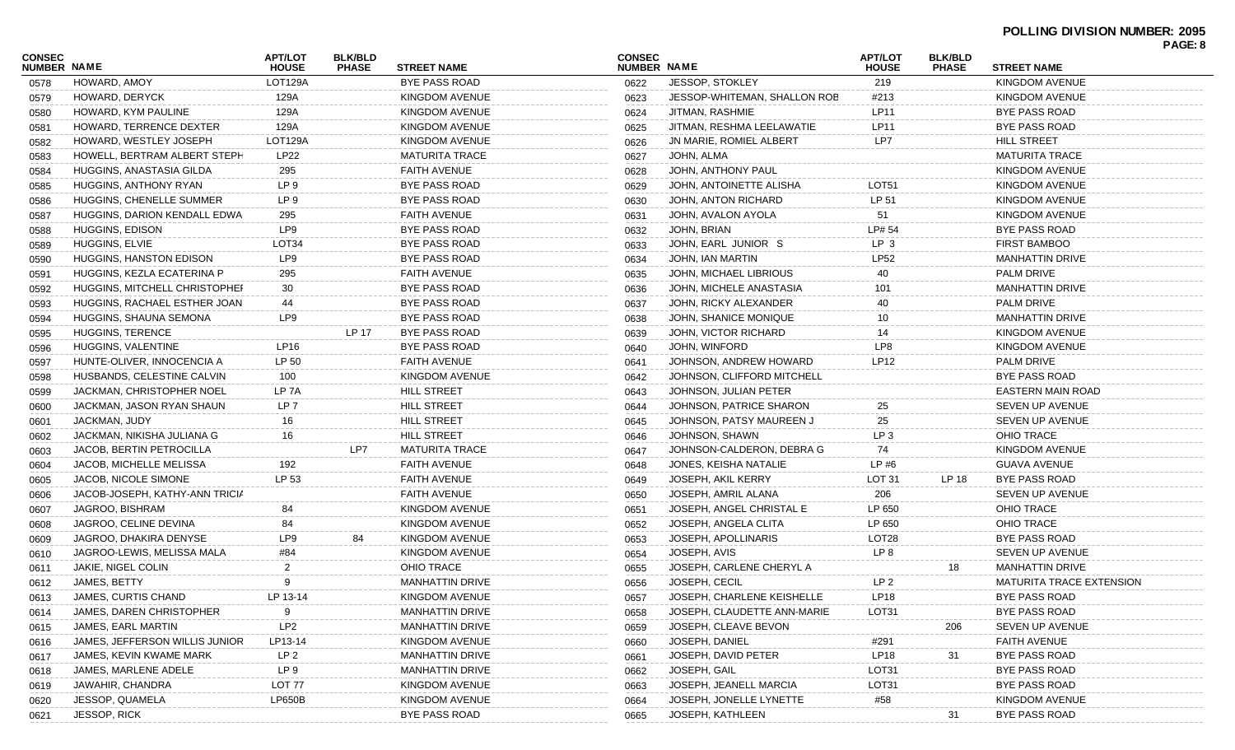|                              |                                  |                                |                                |                        |                              |                              |                                |                                |                                 | г дос. о |
|------------------------------|----------------------------------|--------------------------------|--------------------------------|------------------------|------------------------------|------------------------------|--------------------------------|--------------------------------|---------------------------------|----------|
| CONSEC<br><b>NUMBER NAME</b> |                                  | <b>APT/LOT</b><br><b>HOUSE</b> | <b>BLK/BLD</b><br><b>PHASE</b> | <b>STREET NAME</b>     | <b>CONSEC</b><br>NUMBER NAME |                              | <b>APT/LOT</b><br><b>HOUSE</b> | <b>BLK/BLD</b><br><b>PHASE</b> | <b>STREET NAME</b>              |          |
| 0578                         | HOWARD, AMOY                     | LOT129A                        |                                | <b>BYE PASS ROAD</b>   | 0622                         | JESSOP. STOKLEY              | 219                            |                                | KINGDOM AVENUE                  |          |
| 0579                         | HOWARD, DERYCK                   | 129A                           |                                | KINGDOM AVENUE         | 0623                         | JESSOP-WHITEMAN, SHALLON ROB | #213                           |                                | KINGDOM AVENUE                  |          |
| 0580                         | HOWARD, KYM PAULINE              | 129A                           |                                | KINGDOM AVENUE         | 0624                         | JITMAN, RASHMIE              | LP11                           |                                | BYE PASS ROAD                   |          |
| 0581                         | HOWARD, TERRENCE DEXTER          | 129A                           |                                | KINGDOM AVENUE         | 0625                         | JITMAN, RESHMA LEELAWATIE    | LP11                           |                                | BYE PASS ROAD                   |          |
| 0582                         | HOWARD, WESTLEY JOSEPH           | LOT129A                        |                                | KINGDOM AVENUE         | 0626                         | JN MARIE, ROMIEL ALBERT      | LP7                            |                                | <b>HILL STREET</b>              |          |
| 0583                         | HOWELL, BERTRAM ALBERT STEPH     | LP22                           |                                | <b>MATURITA TRACE</b>  | 0627                         | JOHN, ALMA                   |                                |                                | <b>MATURITA TRACE</b>           |          |
| 0584                         | HUGGINS, ANASTASIA GILDA         | 295                            |                                | <b>FAITH AVENUE</b>    | 0628                         | JOHN, ANTHONY PAUL           |                                |                                | KINGDOM AVENUE                  |          |
| 0585                         | HUGGINS, ANTHONY RYAN            | LP 9                           |                                | BYE PASS ROAD          | 0629                         | JOHN, ANTOINETTE ALISHA      | LOT51                          |                                | KINGDOM AVENUE                  |          |
| 0586                         | HUGGINS, CHENELLE SUMMER         | LP 9                           |                                | BYE PASS ROAD          | 0630                         | JOHN, ANTON RICHARD          | LP 51                          |                                | KINGDOM AVENUE                  |          |
| 0587                         | HUGGINS, DARION KENDALL EDWA     | 295                            |                                | <b>FAITH AVENUE</b>    | 0631                         | JOHN, AVALON AYOLA           | 51                             |                                | KINGDOM AVENUE                  |          |
| 0588                         | HUGGINS, EDISON                  | LP9                            |                                | <b>BYE PASS ROAD</b>   | 0632                         | JOHN, BRIAN                  | LP# 54                         |                                | BYE PASS ROAD                   |          |
| 0589                         | HUGGINS, ELVIE                   | LOT34                          |                                | BYE PASS ROAD          | 0633                         | JOHN, EARL JUNIOR S          | LP 3                           |                                | <b>FIRST BAMBOO</b>             |          |
| 0590                         | HUGGINS, HANSTON EDISON          | LP9                            |                                | BYE PASS ROAD          | 0634                         | JOHN, IAN MARTIN             | LP52                           |                                | <b>MANHATTIN DRIVE</b>          |          |
| 0591                         | HUGGINS, KEZLA ECATERINA P       | 295                            |                                | <b>FAITH AVENUE</b>    | 0635                         | JOHN, MICHAEL LIBRIOUS       | 40                             |                                | <b>PALM DRIVE</b>               |          |
| 0592                         | HUGGINS, MITCHELL CHRISTOPHEI    | 30                             |                                | BYE PASS ROAD          | 0636                         | JOHN, MICHELE ANASTASIA      | 101                            |                                | <b>MANHATTIN DRIVE</b>          |          |
| 0593                         | HUGGINS, RACHAEL ESTHER JOAN     | 44                             |                                | BYE PASS ROAD          | 0637                         | JOHN, RICKY ALEXANDER        | 40                             |                                | PALM DRIVE                      |          |
| 0594                         | HUGGINS, SHAUNA SEMONA           | LP9                            |                                | BYE PASS ROAD          | 0638                         | JOHN, SHANICE MONIQUE        | 10                             |                                | <b>MANHATTIN DRIVE</b>          |          |
| 0595                         | HUGGINS, TERENCE                 |                                | LP 17                          | <b>BYE PASS ROAD</b>   | 0639                         | JOHN, VICTOR RICHARD         | 14                             |                                | KINGDOM AVENUE                  |          |
| 0596                         | HUGGINS, VALENTINE               | LP16                           |                                | BYE PASS ROAD          | 0640                         | JOHN, WINFORD                | LP8                            |                                | KINGDOM AVENUE                  |          |
| 0597                         | HUNTE-OLIVER, INNOCENCIA A       | LP 50                          |                                | <b>FAITH AVENUE</b>    | 0641                         | JOHNSON, ANDREW HOWARD       | LP12                           |                                | <b>PALM DRIVE</b>               |          |
| 0598                         | HUSBANDS, CELESTINE CALVIN       | 100                            |                                | KINGDOM AVENUE         | 0642                         | JOHNSON, CLIFFORD MITCHELL   |                                |                                | BYE PASS ROAD                   |          |
| 0599                         | <b>JACKMAN, CHRISTOPHER NOEL</b> | LP 7A                          |                                | <b>HILL STREET</b>     | 0643                         | JOHNSON, JULIAN PETER        |                                |                                | EASTERN MAIN ROAD               |          |
| 0600                         | JACKMAN, JASON RYAN SHAUN        | LP 7                           |                                | <b>HILL STREET</b>     | 0644                         | JOHNSON, PATRICE SHARON      | 25                             |                                | SEVEN UP AVENUE                 |          |
| 0601                         | JACKMAN, JUDY                    | 16                             |                                | <b>HILL STREET</b>     | 0645                         | JOHNSON, PATSY MAUREEN J     | 25                             |                                | SEVEN UP AVENUE                 |          |
| 0602                         | JACKMAN, NIKISHA JULIANA G       | 16                             |                                | <b>HILL STREET</b>     | 0646                         | JOHNSON, SHAWN               | LP 3                           |                                | <b>OHIO TRACE</b>               |          |
| 0603                         | JACOB, BERTIN PETROCILLA         |                                | LP7                            | <b>MATURITA TRACE</b>  | 0647                         | JOHNSON-CALDERON, DEBRA G    | 74                             |                                | KINGDOM AVENUE                  |          |
| 0604                         | JACOB, MICHELLE MELISSA          | 192                            |                                | <b>FAITH AVENUE</b>    | 0648                         | JONES, KEISHA NATALIE        | LP#6                           |                                | <b>GUAVA AVENUE</b>             |          |
| 0605                         | <b>JACOB, NICOLE SIMONE</b>      | LP 53                          |                                | <b>FAITH AVENUE</b>    | 0649                         | <b>JOSEPH, AKIL KERRY</b>    | LOT <sub>31</sub>              | LP 18                          | BYE PASS ROAD                   |          |
| 0606                         | JACOB-JOSEPH, KATHY-ANN TRICIA   |                                |                                | FAITH AVENUE           | 0650                         | JOSEPH, AMRIL ALANA          | 206                            |                                | SEVEN UP AVENUE                 |          |
| 0607                         | JAGROO, BISHRAM                  | 84                             |                                | KINGDOM AVENUE         | 0651                         | JOSEPH, ANGEL CHRISTAL E     | LP 650                         |                                | OHIO TRACE                      |          |
| 0608                         | JAGROO, CELINE DEVINA            | 84                             |                                | KINGDOM AVENUE         | 0652                         | JOSEPH, ANGELA CLITA         | LP 650                         |                                | <b>OHIO TRACE</b>               |          |
| 0609                         | JAGROO, DHAKIRA DENYSE           | LP9                            | 84                             | KINGDOM AVENUE         | 0653                         | JOSEPH, APOLLINARIS          | LOT <sub>28</sub>              |                                | BYE PASS ROAD                   |          |
| 0610                         | JAGROO-LEWIS, MELISSA MALA       | #84                            |                                | KINGDOM AVENUE         | 0654                         | JOSEPH, AVIS                 | LP 8                           |                                | SEVEN UP AVENUE                 |          |
| 0611                         | JAKIE, NIGEL COLIN               |                                |                                | OHIO TRACE             | 0655                         | JOSEPH, CARLENE CHERYL A     |                                | 18                             | <b>MANHATTIN DRIVE</b>          |          |
| 0612                         | JAMES, BETTY                     |                                |                                | MANHATTIN DRIVE        | 0656                         | JOSEPH, CECIL                | LP 2                           |                                | <b>MATURITA TRACE EXTENSION</b> |          |
| 0613                         | JAMES, CURTIS CHAND              | LP 13-14                       |                                | KINGDOM AVENUE         | 0657                         | JOSEPH, CHARLENE KEISHELLE   | <b>LP18</b>                    |                                | BYE PASS ROAD                   |          |
| 0614                         | JAMES, DAREN CHRISTOPHER         |                                |                                | <b>MANHATTIN DRIVE</b> | 0658                         | JOSEPH, CLAUDETTE ANN-MARIE  | LOT31                          |                                | BYE PASS ROAD                   |          |
| 0615                         | JAMES, EARL MARTIN               | LP <sub>2</sub>                |                                | <b>MANHATTIN DRIVE</b> | 0659                         | JOSEPH, CLEAVE BEVON         |                                | 206                            | <b>SEVEN UP AVENUE</b>          |          |
| 0616                         | JAMES, JEFFERSON WILLIS JUNIOR   | LP13-14                        |                                | KINGDOM AVENUE         | 0660                         | JOSEPH, DANIEL               | #291                           |                                | <b>FAITH AVENUE</b>             |          |
| 0617                         | JAMES, KEVIN KWAME MARK          | LP 2                           |                                | <b>MANHATTIN DRIVE</b> | 0661                         | JOSEPH, DAVID PETER          | LP18                           | 31                             | BYE PASS ROAD                   |          |
| 0618                         | JAMES, MARLENE ADELE             | LP 9                           |                                | <b>MANHATTIN DRIVE</b> | 0662                         | JOSEPH, GAIL                 | LOT31                          |                                | BYE PASS ROAD                   |          |
| 0619                         | JAWAHIR, CHANDRA                 | LOT 77                         |                                | KINGDOM AVENUE         | 0663                         | JOSEPH, JEANELL MARCIA       | LOT31                          |                                | BYE PASS ROAD                   |          |
| 0620                         | JESSOP, QUAMELA                  | <b>LP650B</b>                  |                                | KINGDOM AVENUE         | 0664                         | JOSEPH, JONELLE LYNETTE      | #58                            |                                | KINGDOM AVENUE                  |          |
| 0621                         | <b>JESSOP, RICK</b>              |                                |                                | <b>BYE PASS ROAD</b>   | 0665                         | JOSEPH, KATHLEEN             |                                | 31                             | BYE PASS ROAD                   |          |
|                              |                                  |                                |                                |                        |                              |                              |                                |                                |                                 |          |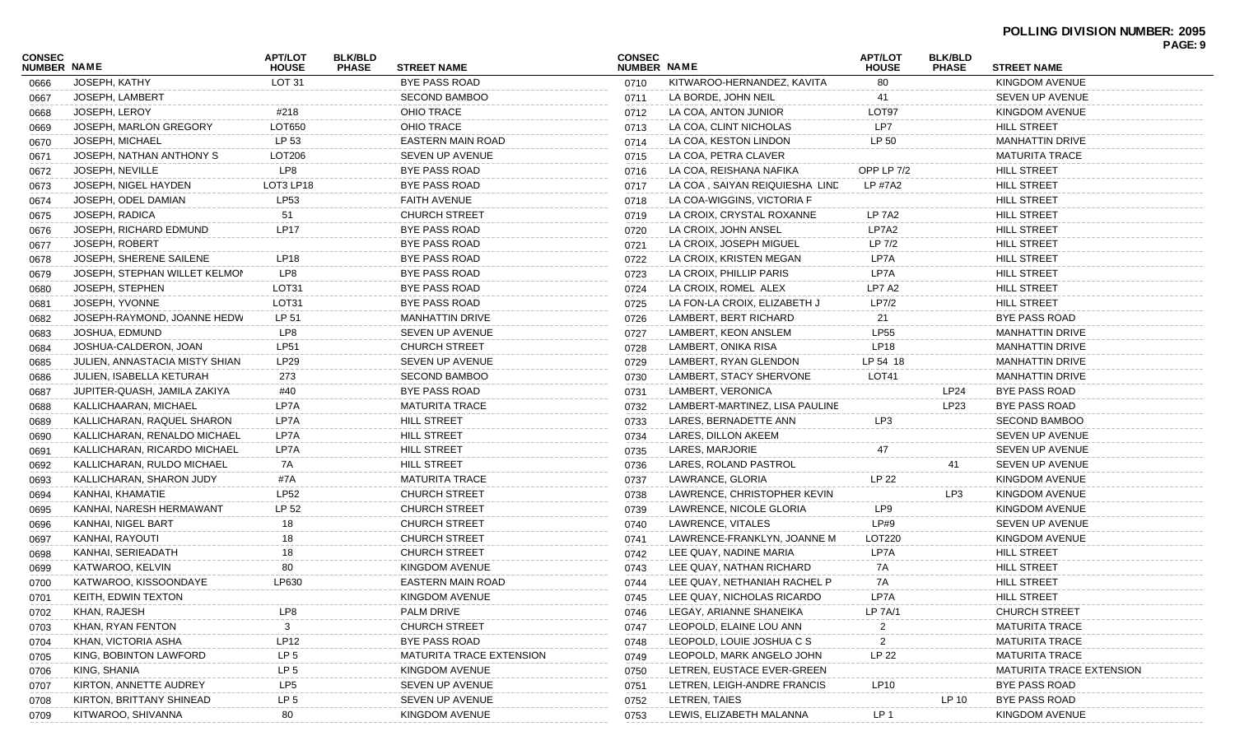| <b>CONSEC</b> |                                | APT/LOT           | <b>BLK/BLD</b> |                          | <b>CONSEC</b>      |                                | <b>APT/LOT</b>  | <b>BLK/BLD</b> |                          | PAGE: 9 |
|---------------|--------------------------------|-------------------|----------------|--------------------------|--------------------|--------------------------------|-----------------|----------------|--------------------------|---------|
| NUMBER NAME   |                                | <b>HOUSE</b>      | <b>PHASE</b>   | <b>STREET NAME</b>       | <b>NUMBER NAME</b> |                                | <b>HOUSE</b>    | <b>PHASE</b>   | <b>STREET NAME</b>       |         |
| 0666          | JOSEPH, KATHY                  | LOT <sub>31</sub> |                | <b>BYE PASS ROAD</b>     | 0710               | KITWAROO-HERNANDEZ, KAVITA     | 80              |                | KINGDOM AVENUE           |         |
| 0667          | JOSEPH, LAMBERT                |                   |                | <b>SECOND BAMBOO</b>     | 0711               | LA BORDE, JOHN NEIL            | 41              |                | SEVEN UP AVENUE          |         |
| 0668          | <b>JOSEPH, LEROY</b>           | #218              |                | <b>OHIO TRACE</b>        | 0712               | LA COA, ANTON JUNIOR           | LOT97           |                | <b>KINGDOM AVENUE</b>    |         |
| 0669          | JOSEPH, MARLON GREGORY         | LOT650            |                | <b>OHIO TRACE</b>        | 0713               | LA COA, CLINT NICHOLAS         | LP7             |                | <b>HILL STREET</b>       |         |
| 0670          | <b>JOSEPH, MICHAEL</b>         | LP 53             |                | <b>EASTERN MAIN ROAD</b> | 0714               | LA COA, KESTON LINDON          | LP 50           |                | <b>MANHATTIN DRIVE</b>   |         |
| 0671          | JOSEPH, NATHAN ANTHONY S       | LOT206            |                | SEVEN UP AVENUE          | 0715               | LA COA, PETRA CLAVER           |                 |                | MATURITA TRACE           |         |
| 0672          | <b>JOSEPH, NEVILLE</b>         | LP8               |                | BYE PASS ROAD            | 0716               | LA COA, REISHANA NAFIKA        | OPP LP 7/2      |                | <b>HILL STREET</b>       |         |
| 0673          | JOSEPH, NIGEL HAYDEN           | LOT3 LP18         |                | BYE PASS ROAD            | 0717               | LA COA, SAIYAN REIQUIESHA LIND | LP #7A2         |                | <b>HILL STREET</b>       |         |
| 0674          | JOSEPH, ODEL DAMIAN            | LP53              |                | FAITH AVENUE             | 0718               | LA COA-WIGGINS, VICTORIA F     |                 |                | <b>HILL STREET</b>       |         |
| 0675          | JOSEPH, RADICA                 | 51                |                | <b>CHURCH STREET</b>     | 0719               | LA CROIX, CRYSTAL ROXANNE      | <b>LP 7A2</b>   |                | <b>HILL STREET</b>       |         |
| 0676          | JOSEPH, RICHARD EDMUND         | <b>LP17</b>       |                | BYE PASS ROAD            | 0720               | LA CROIX, JOHN ANSEL           | LP7A2           |                | <b>HILL STREET</b>       |         |
| 0677          | <b>JOSEPH, ROBERT</b>          |                   |                | BYE PASS ROAD            | 0721               | LA CROIX, JOSEPH MIGUEL        | LP 7/2          |                | <b>HILL STREET</b>       |         |
| 0678          | JOSEPH, SHERENE SAILENE        | LP18              |                | BYE PASS ROAD            | 0722               | LA CROIX, KRISTEN MEGAN        | LP7A            |                | <b>HILL STREET</b>       |         |
| 0679          | JOSEPH, STEPHAN WILLET KELMON  | LP8               |                | BYE PASS ROAD            | 0723               | LA CROIX, PHILLIP PARIS        | LP7A            |                | <b>HILL STREET</b>       |         |
| 0680          | JOSEPH, STEPHEN                | LOT31             |                | BYE PASS ROAD            | 0724               | LA CROIX, ROMEL ALEX           | LP7 A2          |                | <b>HILL STREET</b>       |         |
| 0681          | JOSEPH, YVONNE                 | LOT31             |                | BYE PASS ROAD            | 0725               | LA FON-LA CROIX, ELIZABETH J   | LP7/2           |                | <b>HILL STREET</b>       |         |
| 0682          | JOSEPH-RAYMOND, JOANNE HEDW    | LP 51             |                | <b>MANHATTIN DRIVE</b>   | 0726               | LAMBERT, BERT RICHARD          | 21              |                | BYE PASS ROAD            |         |
| 0683          | JOSHUA, EDMUND                 | LP8               |                | SEVEN UP AVENUE          | 0727               | LAMBERT, KEON ANSLEM           | <b>LP55</b>     |                | <b>MANHATTIN DRIVE</b>   |         |
| 0684          | JOSHUA-CALDERON, JOAN          | LP51              |                | <b>CHURCH STREET</b>     | 0728               | LAMBERT, ONIKA RISA            | LP18            |                | <b>MANHATTIN DRIVE</b>   |         |
| 0685          | JULIEN, ANNASTACIA MISTY SHIAN | LP29              |                | SEVEN UP AVENUE          | 0729               | LAMBERT, RYAN GLENDON          | LP 54 18        |                | <b>MANHATTIN DRIVE</b>   |         |
| 0686          | JULIEN, ISABELLA KETURAH       | 273               |                | SECOND BAMBOO            | 0730               | LAMBERT, STACY SHERVONE        | LOT41           |                | <b>MANHATTIN DRIVE</b>   |         |
| 0687          | JUPITER-QUASH, JAMILA ZAKIYA   | #40               |                | BYE PASS ROAD            | 0731               | LAMBERT, VERONICA              |                 | LP24           | <b>BYE PASS ROAD</b>     |         |
| 0688          | KALLICHAARAN, MICHAEL          | LP7A              |                | <b>MATURITA TRACE</b>    | 0732               | LAMBERT-MARTINEZ, LISA PAULINE |                 | LP23           | BYE PASS ROAD            |         |
| 0689          | KALLICHARAN, RAQUEL SHARON     | LP7A              |                | <b>HILL STREET</b>       | 0733               | LARES, BERNADETTE ANN          | LP3             |                | <b>SECOND BAMBOO</b>     |         |
| 0690          | KALLICHARAN, RENALDO MICHAEL   | LP7A              |                | <b>HILL STREET</b>       | 0734               | LARES, DILLON AKEEM            |                 |                | SEVEN UP AVENUE          |         |
| 0691          | KALLICHARAN, RICARDO MICHAEL   | LP7A              |                | <b>HILL STREET</b>       | 0735               | LARES, MARJORIE                | 47              |                | <b>SEVEN UP AVENUE</b>   |         |
| 0692          | KALLICHARAN, RULDO MICHAEL     | 7A                |                | <b>HILL STREET</b>       | 0736               | LARES, ROLAND PASTROL          |                 | 41             | SEVEN UP AVENUE          |         |
| 0693          | KALLICHARAN, SHARON JUDY       | #7A               |                | <b>MATURITA TRACE</b>    | 0737               | LAWRANCE, GLORIA               | LP 22           |                | KINGDOM AVENUE           |         |
| 0694          | KANHAI, KHAMATIE               | <b>LP52</b>       |                | <b>CHURCH STREET</b>     | 0738               | LAWRENCE, CHRISTOPHER KEVIN    |                 | LP3            | KINGDOM AVENUE           |         |
| 0695          | KANHAI, NARESH HERMAWANT       | LP 52             |                | <b>CHURCH STREET</b>     | 0739               | LAWRENCE, NICOLE GLORIA        | LP9             |                | KINGDOM AVENUE           |         |
| 0696          | KANHAI, NIGEL BART             | 18                |                | <b>CHURCH STREET</b>     | 0740               | LAWRENCE, VITALES              | LP#9            |                | SEVEN UP AVENUE          |         |
| 0697          | KANHAI, RAYOUTI                | 18                |                | <b>CHURCH STREET</b>     | 0741               | LAWRENCE-FRANKLYN, JOANNE M    | LOT220          |                | KINGDOM AVENUE           |         |
| 0698          | KANHAI, SERIEADATH             | 18                |                | CHURCH STREET            | 0742               | LEE QUAY, NADINE MARIA         | LP7A            |                | <b>HILL STREET</b>       |         |
| 0699          | KATWAROO, KELVIN               | 80                |                | KINGDOM AVENUE           | 0743               | LEE QUAY, NATHAN RICHARD       | 7A              |                | <b>HILL STREET</b>       |         |
| 0700          | KATWAROO, KISSOONDAYE          | LP630             |                | EASTERN MAIN ROAD        | 0744               | LEE QUAY, NETHANIAH RACHEL P   | 7A              |                | <b>HILL STREET</b>       |         |
| 0701          | KEITH, EDWIN TEXTON            |                   |                | KINGDOM AVENUE           | 0745               | LEE QUAY, NICHOLAS RICARDO     | LP7A            |                | <b>HILL STREET</b>       |         |
| 0702          | KHAN, RAJESH                   | LP8               |                | PALM DRIVE               | 0746               | LEGAY, ARIANNE SHANEIKA        | LP 7A/1         |                | <b>CHURCH STREET</b>     |         |
| 0703          | KHAN, RYAN FENTON              | 3                 |                | <b>CHURCH STREET</b>     | 0747               | LEOPOLD, ELAINE LOU ANN        |                 |                | <b>MATURITA TRACE</b>    |         |
| 0704          | KHAN, VICTORIA ASHA            | LP12              |                | BYE PASS ROAD            | 0748               | LEOPOLD, LOUIE JOSHUA C S      | 2               |                | <b>MATURITA TRACE</b>    |         |
| 0705          | KING, BOBINTON LAWFORD         | LP <sub>5</sub>   |                | MATURITA TRACE EXTENSION | 0749               | LEOPOLD, MARK ANGELO JOHN      | LP 22           |                | <b>MATURITA TRACE</b>    |         |
| 0706          | KING, SHANIA                   | LP <sub>5</sub>   |                | KINGDOM AVENUE           | 0750               | LETREN, EUSTACE EVER-GREEN     |                 |                | MATURITA TRACE EXTENSION |         |
| 0707          | KIRTON, ANNETTE AUDREY         | LP <sub>5</sub>   |                | SEVEN UP AVENUE          | 0751               | LETREN, LEIGH-ANDRE FRANCIS    | LP10            |                | <b>BYE PASS ROAD</b>     |         |
| 0708          | KIRTON, BRITTANY SHINEAD       | LP <sub>5</sub>   |                | SEVEN UP AVENUE          | 0752               | LETREN, TAIES                  |                 | LP 10          | <b>BYE PASS ROAD</b>     |         |
| 0709          | KITWAROO, SHIVANNA             | 80                |                | KINGDOM AVENUE           | 0753               | LEWIS, ELIZABETH MALANNA       | LP <sub>1</sub> |                | KINGDOM AVENUE           |         |
|               |                                |                   |                |                          |                    |                                |                 |                |                          |         |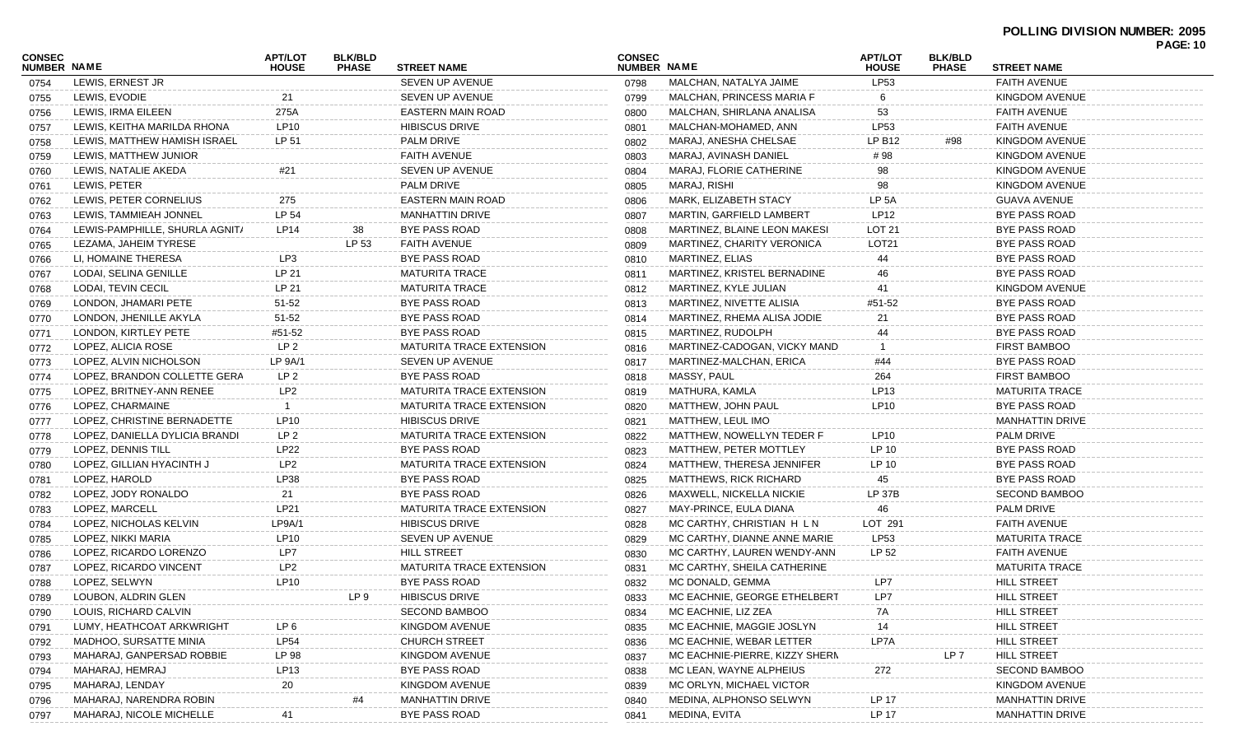| <b>CONSEC</b> |                                | <b>APT/LOT</b>  | <b>BLK/BLD</b> |                                 | <b>CONSEC</b> |                                | <b>APT/LOT</b>    | <b>BLK/BLD</b> |                        | <b>FAGL.IV</b> |
|---------------|--------------------------------|-----------------|----------------|---------------------------------|---------------|--------------------------------|-------------------|----------------|------------------------|----------------|
| NUMBER NAME   |                                | <b>HOUSE</b>    | <b>PHASE</b>   | <b>STREET NAME</b>              | NUMBER NAME   |                                | <b>HOUSE</b>      | <b>PHASE</b>   | <b>STREET NAME</b>     |                |
| 0754          | LEWIS, ERNEST JR               |                 |                | SEVEN UP AVENUE                 | 0798          | MALCHAN, NATALYA JAIME         | LP53              |                | <b>FAITH AVENUE</b>    |                |
| 0755          | LEWIS, EVODIE                  | 21              |                | SEVEN UP AVENUE                 | 0799          | MALCHAN, PRINCESS MARIA F      |                   |                | KINGDOM AVENUE         |                |
| 0756          | LEWIS, IRMA EILEEN             | 275A            |                | EASTERN MAIN ROAD               | 0800          | MALCHAN, SHIRLANA ANALISA      | 53                |                | <b>FAITH AVENUE</b>    |                |
| 0757          | LEWIS. KEITHA MARILDA RHONA    | <b>LP10</b>     |                | <b>HIBISCUS DRIVE</b>           | 0801          | MALCHAN-MOHAMED, ANN           | LP53              |                | <b>FAITH AVENUE</b>    |                |
| 0758          | LEWIS, MATTHEW HAMISH ISRAEL   | LP 51           |                | <b>PALM DRIVE</b>               | 0802          | MARAJ, ANESHA CHELSAE          | LP B12            | #98            | KINGDOM AVENUE         |                |
| 0759          | LEWIS, MATTHEW JUNIOR          |                 |                | <b>FAITH AVENUE</b>             | 0803          | MARAJ, AVINASH DANIEL          | # 98              |                | KINGDOM AVENUE         |                |
| 0760          | LEWIS, NATALIE AKEDA           | #21             |                | SEVEN UP AVENUE                 | 0804          | MARAJ, FLORIE CATHERINE        | 98                |                | KINGDOM AVENUE         |                |
| 0761          | LEWIS, PETER                   |                 |                | <b>PALM DRIVE</b>               | 0805          | MARAJ, RISHI                   | 98                |                | KINGDOM AVENUE         |                |
| 0762          | LEWIS, PETER CORNELIUS         | 275             |                | EASTERN MAIN ROAD               | 0806          | <b>MARK, ELIZABETH STACY</b>   | LP <sub>5</sub> A |                | <b>GUAVA AVENUE</b>    |                |
| 0763          | LEWIS. TAMMIEAH JONNEL         | LP 54           |                | <b>MANHATTIN DRIVE</b>          | 0807          | MARTIN, GARFIELD LAMBERT       | <b>LP12</b>       |                | <b>BYE PASS ROAD</b>   |                |
| 0764          | LEWIS-PAMPHILLE, SHURLA AGNIT/ | LP14            | 38             | BYE PASS ROAD                   | 0808          | MARTINEZ, BLAINE LEON MAKESI   | LOT <sub>21</sub> |                | BYE PASS ROAD          |                |
| 0765          | LEZAMA, JAHEIM TYRESE          |                 | LP 53          | FAITH AVENUE                    | 0809          | MARTINEZ, CHARITY VERONICA     | LOT <sub>21</sub> |                | BYE PASS ROAD          |                |
| 0766          | LI, HOMAINE THERESA            | LP3             |                | <b>BYE PASS ROAD</b>            | 0810          | <b>MARTINEZ, ELIAS</b>         | 44                |                | BYE PASS ROAD          |                |
| 0767          | LODAI, SELINA GENILLE          | LP 21           |                | <b>MATURITA TRACE</b>           | 0811          | MARTINEZ, KRISTEL BERNADINE    | 46                |                | <b>BYE PASS ROAD</b>   |                |
| 0768          | LODAI, TEVIN CECIL             | LP 21           |                | <b>MATURITA TRACE</b>           | 0812          | MARTINEZ, KYLE JULIAN          | 41                |                | KINGDOM AVENUE         |                |
| 0769          | LONDON, JHAMARI PETE           | $51 - 52$       |                | BYE PASS ROAD                   | 0813          | MARTINEZ, NIVETTE ALISIA       | #51-52            |                | BYE PASS ROAD          |                |
| 0770          | LONDON, JHENILLE AKYLA         | $51 - 52$       |                | BYE PASS ROAD                   | 0814          | MARTINEZ, RHEMA ALISA JODIE    | 21                |                | BYE PASS ROAD          |                |
| 0771          | LONDON, KIRTLEY PETE           | #51-52          |                | <b>BYE PASS ROAD</b>            | 0815          | MARTINEZ, RUDOLPH              |                   |                | BYE PASS ROAD          |                |
| 0772          | LOPEZ, ALICIA ROSE             | LP <sub>2</sub> |                | <b>MATURITA TRACE EXTENSION</b> | 0816          | MARTINEZ-CADOGAN, VICKY MAND   |                   |                | <b>FIRST BAMBOO</b>    |                |
| 0773          | LOPEZ, ALVIN NICHOLSON         | LP 9A/1         |                | SEVEN UP AVENUE                 | 0817          | MARTINEZ-MALCHAN, ERICA        | #44               |                | <b>BYE PASS ROAD</b>   |                |
| 0774          | LOPEZ, BRANDON COLLETTE GERA   | LP 2            |                | <b>BYE PASS ROAD</b>            | 0818          | MASSY, PAUL                    | 264               |                | <b>FIRST BAMBOO</b>    |                |
| 0775          | LOPEZ, BRITNEY-ANN RENEE       | LP <sub>2</sub> |                | <b>MATURITA TRACE EXTENSION</b> | 0819          | MATHURA, KAMLA                 | LP13              |                | <b>MATURITA TRACE</b>  |                |
| 0776          | LOPEZ, CHARMAINE               |                 |                | <b>MATURITA TRACE EXTENSION</b> | 0820          | MATTHEW, JOHN PAUL             | LP10              |                | BYE PASS ROAD          |                |
| 0777          | LOPEZ, CHRISTINE BERNADETTE    | LP10            |                | <b>HIBISCUS DRIVE</b>           | 0821          | MATTHEW, LEUL IMO              |                   |                | <b>MANHATTIN DRIVE</b> |                |
| 0778          | LOPEZ, DANIELLA DYLICIA BRANDI | LP 2            |                | MATURITA TRACE EXTENSION        | 0822          | MATTHEW, NOWELLYN TEDER F      | LP10              |                | <b>PALM DRIVE</b>      |                |
| 0779          | LOPEZ, DENNIS TILL             | LP22            |                | <b>BYE PASS ROAD</b>            | 0823          | MATTHEW, PETER MOTTLEY         | LP 10             |                | BYE PASS ROAD          |                |
| 0780          | LOPEZ, GILLIAN HYACINTH J      | LP <sub>2</sub> |                | <b>MATURITA TRACE EXTENSION</b> | 0824          | MATTHEW, THERESA JENNIFER      | LP 10             |                | BYE PASS ROAD          |                |
| 0781          | LOPEZ, HAROLD                  | <b>LP38</b>     |                | BYE PASS ROAD                   | 0825          | <b>MATTHEWS, RICK RICHARD</b>  | 45                |                | BYE PASS ROAD          |                |
| 0782          | LOPEZ, JODY RONALDO            | 21              |                | BYE PASS ROAD                   | 0826          | MAXWELL, NICKELLA NICKIE       | LP 37B            |                | <b>SECOND BAMBOO</b>   |                |
|               | LOPEZ, MARCELL                 | LP21            |                | <b>MATURITA TRACE EXTENSION</b> |               | MAY-PRINCE, EULA DIANA         | 46                |                | <b>PALM DRIVE</b>      |                |
| 0783          | LOPEZ, NICHOLAS KELVIN         | LP9A/1          |                | <b>HIBISCUS DRIVE</b>           | 0827          | MC CARTHY, CHRISTIAN H L N     | LOT 291           |                | <b>FAITH AVENUE</b>    |                |
| 0784          | LOPEZ, NIKKI MARIA             | LP10            |                | SEVEN UP AVENUE                 | 0828          |                                | <b>LP53</b>       |                |                        |                |
| 0785          |                                |                 |                |                                 | 0829          | MC CARTHY, DIANNE ANNE MARIE   |                   |                | <b>MATURITA TRACE</b>  |                |
| 0786          | LOPEZ, RICARDO LORENZO         | LP7             |                | <b>HILL STREET</b>              | 0830          | MC CARTHY, LAUREN WENDY-ANN    | LP 52             |                | <b>FAITH AVENUE</b>    |                |
| 0787          | LOPEZ, RICARDO VINCENT         | LP <sub>2</sub> |                | <b>MATURITA TRACE EXTENSION</b> | 0831          | MC CARTHY, SHEILA CATHERINE    |                   |                | <b>MATURITA TRACE</b>  |                |
| 0788          | LOPEZ, SELWYN                  | LP10            |                | <b>BYE PASS ROAD</b>            | 0832          | MC DONALD, GEMMA               | LP7               |                | <b>HILL STREET</b>     |                |
| 0789          | LOUBON, ALDRIN GLEN            |                 | LP 9           | HIBISCUS DRIVE                  | 0833          | MC EACHNIE, GEORGE ETHELBERT   | LP7               |                | HILL STREET            |                |
| 0790          | LOUIS, RICHARD CALVIN          |                 |                | SECOND BAMBOO                   | 0834          | MC EACHNIE, LIZ ZEA            | 7A                |                | <b>HILL STREET</b>     |                |
| 0791          | LUMY, HEATHCOAT ARKWRIGHT      | LP 6            |                | KINGDOM AVENUE                  | 0835          | MC EACHNIE, MAGGIE JOSLYN      | 14                |                | <b>HILL STREET</b>     |                |
| 0792          | MADHOO, SURSATTE MINIA         | <b>LP54</b>     |                | <b>CHURCH STREET</b>            | 0836          | MC EACHNIE, WEBAR LETTER       | LP7A              |                | <b>HILL STREET</b>     |                |
| 0793          | MAHARAJ, GANPERSAD ROBBIE      | LP 98           |                | KINGDOM AVENUE                  | 0837          | MC EACHNIE-PIERRE, KIZZY SHERN |                   | LP 7           | <b>HILL STREET</b>     |                |
| 0794          | MAHARAJ, HEMRAJ                | LP13            |                | <b>BYE PASS ROAD</b>            | 0838          | MC LEAN, WAYNE ALPHEIUS        | 272               |                | <b>SECOND BAMBOO</b>   |                |
| 0795          | MAHARAJ, LENDAY                | 20              |                | KINGDOM AVENUE                  | 0839          | MC ORLYN, MICHAEL VICTOR       |                   |                | KINGDOM AVENUE         |                |
| 0796          | MAHARAJ, NARENDRA ROBIN        |                 |                | <b>MANHATTIN DRIVE</b>          | 0840          | MEDINA, ALPHONSO SELWYN        | LP 17             |                | <b>MANHATTIN DRIVE</b> |                |
| 0797          | MAHARAJ, NICOLE MICHELLE       | 41              |                | <b>BYE PASS ROAD</b>            | 0841          | MEDINA, EVITA                  | LP 17             |                | <b>MANHATTIN DRIVE</b> |                |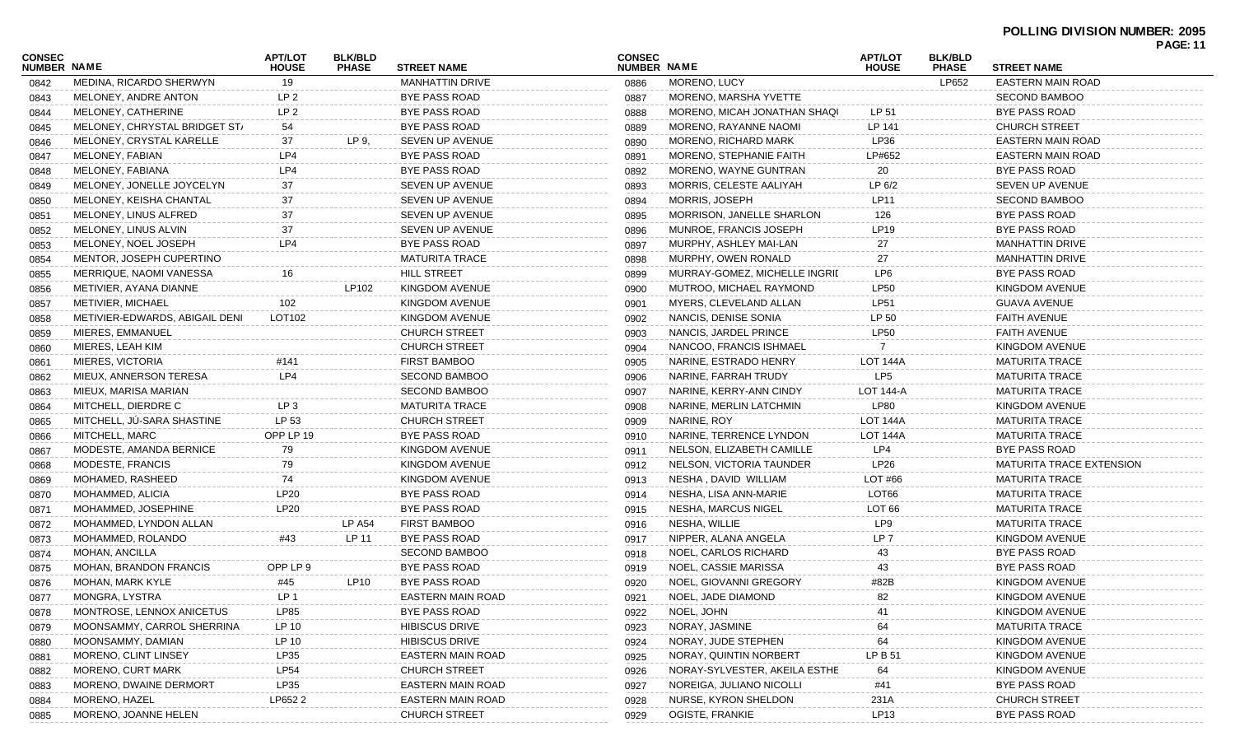## **POLLING DIVISION NUMBER: 2095**

| CONSEC      |                                                     | <b>APT/LOT</b>  | <b>BLK/BLD</b> |                                       | <b>CONSEC</b> |                               | <b>APT/LOT</b>    | <b>BLK/BLD</b>        |                                                | <b>PAGE: 11</b> |
|-------------|-----------------------------------------------------|-----------------|----------------|---------------------------------------|---------------|-------------------------------|-------------------|-----------------------|------------------------------------------------|-----------------|
| NUMBER NAME |                                                     | <b>HOUSE</b>    | <b>PHASE</b>   | <b>STREET NAME</b>                    | NUMBER NAME   |                               | <b>HOUSE</b>      | <b>PHASE</b><br>LP652 | <b>STREET NAME</b><br><b>EASTERN MAIN ROAD</b> |                 |
| 0842        | MEDINA, RICARDO SHERWYN                             | 19              |                | <b>MANHATTIN DRIVE</b>                | 0886          | MORENO, LUCY                  |                   |                       |                                                |                 |
| 0843        | MELONEY, ANDRE ANTON                                | LP 2            |                | <b>BYE PASS ROAD</b><br>BYE PASS ROAD | 0887          | MORENO, MARSHA YVETTE         |                   |                       | <b>SECOND BAMBOO</b><br><b>BYE PASS ROAD</b>   |                 |
| 0844        | MELONEY, CATHERINE<br>MELONEY, CHRYSTAL BRIDGET ST/ | LP <sub>2</sub> |                |                                       | 0888          | MORENO, MICAH JONATHAN SHAQI  | LP 51             |                       |                                                |                 |
| 0845        |                                                     | 54              |                | <b>BYE PASS ROAD</b>                  | 0889          | MORENO, RAYANNE NAOMI         | LP 141            |                       | <b>CHURCH STREET</b>                           |                 |
| 0846        | MELONEY, CRYSTAL KARELLE                            | 37              | LP 9.          | SEVEN UP AVENUE                       | 0890          | MORENO, RICHARD MARK          | LP36              |                       | EASTERN MAIN ROAD                              |                 |
| 0847        | MELONEY, FABIAN                                     | LP4             |                | <b>BYE PASS ROAD</b>                  | 0891          | MORENO, STEPHANIE FAITH       | LP#652            |                       | EASTERN MAIN ROAD                              |                 |
| 0848        | MELONEY, FABIANA                                    | LP4             |                | <b>BYE PASS ROAD</b>                  | 0892          | MORENO, WAYNE GUNTRAN         | 20                |                       | <b>BYE PASS ROAD</b>                           |                 |
| 0849        | MELONEY, JONELLE JOYCELYN                           | 37              |                | SEVEN UP AVENUE                       | 0893          | MORRIS, CELESTE AALIYAH       | LP 6/2            |                       | SEVEN UP AVENUE                                |                 |
| 0850        | MELONEY, KEISHA CHANTAL                             | 37              |                | SEVEN UP AVENUE                       | 0894          | MORRIS, JOSEPH                | LP11              |                       | <b>SECOND BAMBOO</b>                           |                 |
| 0851        | MELONEY, LINUS ALFRED                               | 37              |                | SEVEN UP AVENUE                       | 0895          | MORRISON, JANELLE SHARLON     | 126               |                       | <b>BYE PASS ROAD</b>                           |                 |
| 0852        | MELONEY, LINUS ALVIN                                | 37              |                | SEVEN UP AVENUE                       | 0896          | MUNROE, FRANCIS JOSEPH        | LP19              |                       | <b>BYE PASS ROAD</b>                           |                 |
| 0853        | MELONEY, NOEL JOSEPH                                | LP4             |                | BYE PASS ROAD                         | 0897          | MURPHY, ASHLEY MAI-LAN        | 27                |                       | <b>MANHATTIN DRIVE</b>                         |                 |
| 0854        | MENTOR, JOSEPH CUPERTINO                            |                 |                | <b>MATURITA TRACE</b>                 | 0898          | MURPHY, OWEN RONALD           | 27                |                       | <b>MANHATTIN DRIVE</b>                         |                 |
| 0855        | MERRIQUE, NAOMI VANESSA                             | 16              |                | <b>HILL STREET</b>                    | 0899          | MURRAY-GOMEZ, MICHELLE INGRIL | LP6               |                       | <b>BYE PASS ROAD</b>                           |                 |
| 0856        | METIVIER, AYANA DIANNE                              |                 | LP102          | <b>KINGDOM AVENUE</b>                 | 0900          | MUTROO, MICHAEL RAYMOND       | <b>LP50</b>       |                       | KINGDOM AVENUE                                 |                 |
| 0857        | <b>METIVIER, MICHAEL</b>                            | 102             |                | <b>KINGDOM AVENUE</b>                 | 0901          | MYERS, CLEVELAND ALLAN        | <b>LP51</b>       |                       | <b>GUAVA AVENUE</b>                            |                 |
| 0858        | METIVIER-EDWARDS, ABIGAIL DENI                      | LOT102          |                | <b>KINGDOM AVENUE</b>                 | 0902          | NANCIS, DENISE SONIA          | LP 50             |                       | FAITH AVENUE                                   |                 |
| 0859        | MIERES, EMMANUEL                                    |                 |                | <b>CHURCH STREET</b>                  | 0903          | NANCIS, JARDEL PRINCE         | <b>LP50</b>       |                       | <b>FAITH AVENUE</b>                            |                 |
| 0860        | MIERES, LEAH KIM                                    |                 |                | <b>CHURCH STREET</b>                  | 0904          | NANCOO, FRANCIS ISHMAEL       |                   |                       | KINGDOM AVENUE                                 |                 |
| 0861        | MIERES, VICTORIA                                    | #141            |                | <b>FIRST BAMBOO</b>                   | 0905          | NARINE, ESTRADO HENRY         | LOT 144A          |                       | <b>MATURITA TRACE</b>                          |                 |
| 0862        | MIEUX, ANNERSON TERESA                              | LP4             |                | <b>SECOND BAMBOO</b>                  | 0906          | NARINE, FARRAH TRUDY          | LP <sub>5</sub>   |                       | <b>MATURITA TRACE</b>                          |                 |
| 0863        | MIEUX, MARISA MARIAN                                |                 |                | <b>SECOND BAMBOO</b>                  | 0907          | NARINE, KERRY-ANN CINDY       | <b>LOT 144-A</b>  |                       | <b>MATURITA TRACE</b>                          |                 |
| 0864        | MITCHELL, DIERDRE C                                 | LP <sub>3</sub> |                | <b>MATURITA TRACE</b>                 | 0908          | NARINE, MERLIN LATCHMIN       | <b>LP80</b>       |                       | KINGDOM AVENUE                                 |                 |
| 0865        | MITCHELL, JÚ-SARA SHASTINE                          | LP 53           |                | <b>CHURCH STREET</b>                  | 0909          | NARINE, ROY                   | <b>LOT 144A</b>   |                       | <b>MATURITA TRACE</b>                          |                 |
| 0866        | MITCHELL, MARC                                      | OPP LP 19       |                | BYE PASS ROAD                         | 0910          | NARINE, TERRENCE LYNDON       | LOT 144A          |                       | <b>MATURITA TRACE</b>                          |                 |
| 0867        | MODESTE, AMANDA BERNICE                             | 79              |                | <b>KINGDOM AVENUE</b>                 | 0911          | NELSON, ELIZABETH CAMILLE     | LP4               |                       | <b>BYE PASS ROAD</b>                           |                 |
| 0868        | MODESTE, FRANCIS                                    | 79              |                | <b>KINGDOM AVENUE</b>                 | 0912          | NELSON, VICTORIA TAUNDER      | LP26              |                       | <b>MATURITA TRACE EXTENSION</b>                |                 |
| 0869        | MOHAMED, RASHEED                                    | 74              |                | <b>KINGDOM AVENUE</b>                 | 0913          | NESHA, DAVID WILLIAM          | LOT #66           |                       | <b>MATURITA TRACE</b>                          |                 |
| 0870        | MOHAMMED, ALICIA                                    | LP20            |                | BYE PASS ROAD                         | 0914          | NESHA, LISA ANN-MARIE         | LOT66             |                       | <b>MATURITA TRACE</b>                          |                 |
| 0871        | MOHAMMED, JOSEPHINE                                 | LP20            |                | <b>BYE PASS ROAD</b>                  | 0915          | <b>NESHA, MARCUS NIGEL</b>    | LOT <sub>66</sub> |                       | <b>MATURITA TRACE</b>                          |                 |
| 0872        | MOHAMMED, LYNDON ALLAN                              |                 | <b>LP A54</b>  | <b>FIRST BAMBOO</b>                   | 0916          | NESHA, WILLIE                 | LP9               |                       | <b>MATURITA TRACE</b>                          |                 |
| 0873        | MOHAMMED, ROLANDO                                   | #43             | LP 11          | <b>BYE PASS ROAD</b>                  | 0917          | NIPPER, ALANA ANGELA          | LP <sub>7</sub>   |                       | <b>KINGDOM AVENUE</b>                          |                 |
| 0874        | MOHAN, ANCILLA                                      |                 |                | <b>SECOND BAMBOO</b>                  | 0918          | NOEL, CARLOS RICHARD          | 43                |                       | <b>BYE PASS ROAD</b>                           |                 |
| 0875        | <b>MOHAN, BRANDON FRANCIS</b>                       | OPP LP 9        |                | <b>BYE PASS ROAD</b>                  | 0919          | NOEL, CASSIE MARISSA          | 43                |                       | <b>BYE PASS ROAD</b>                           |                 |
| 0876        | MOHAN, MARK KYLE                                    | #45             | LP10           | <b>BYE PASS ROAD</b>                  | 0920          | NOEL, GIOVANNI GREGORY        | #82B              |                       | KINGDOM AVENUE                                 |                 |
| 0877        | MONGRA, LYSTRA                                      | LP <sub>1</sub> |                | <b>EASTERN MAIN ROAD</b>              | 0921          | NOEL, JADE DIAMOND            | 82                |                       | KINGDOM AVENUE                                 |                 |
| 0878        | MONTROSE, LENNOX ANICETUS                           | LP85            |                | <b>BYE PASS ROAD</b>                  | 0922          | NOEL, JOHN                    |                   |                       | <b>KINGDOM AVENUE</b>                          |                 |
| 0879        | MOONSAMMY, CARROL SHERRINA                          | LP 10           |                | <b>HIBISCUS DRIVE</b>                 | 0923          | NORAY, JASMINE                |                   |                       | <b>MATURITA TRACE</b>                          |                 |
| 0880        | MOONSAMMY, DAMIAN                                   | LP 10           |                | <b>HIBISCUS DRIVE</b>                 | 0924          | NORAY, JUDE STEPHEN           | 64                |                       | <b>KINGDOM AVENUE</b>                          |                 |
| 0881        | MORENO, CLINT LINSEY                                | LP35            |                | EASTERN MAIN ROAD                     | 0925          | NORAY, QUINTIN NORBERT        | LP B 51           |                       | KINGDOM AVENUE                                 |                 |
| 0882        | MORENO, CURT MARK                                   | <b>LP54</b>     |                | <b>CHURCH STREET</b>                  | 0926          | NORAY-SYLVESTER, AKEILA ESTHE | 64                |                       | <b>KINGDOM AVENUE</b>                          |                 |
| 0883        | MORENO, DWAINE DERMORT                              | LP35            |                | EASTERN MAIN ROAD                     | 0927          | NOREIGA, JULIANO NICOLLI      | #41               |                       | <b>BYE PASS ROAD</b>                           |                 |
| 0884        | MORENO, HAZEL                                       | LP652 2         |                | EASTERN MAIN ROAD                     | 0928          | NURSE, KYRON SHELDON          | 231A              |                       | <b>CHURCH STREET</b>                           |                 |
| 0885        | MORENO, JOANNE HELEN                                |                 |                | <b>CHURCH STREET</b>                  | 0929          | OGISTE, FRANKIE               | LP13              |                       | BYE PASS ROAD                                  |                 |
|             |                                                     |                 |                |                                       |               |                               |                   |                       |                                                |                 |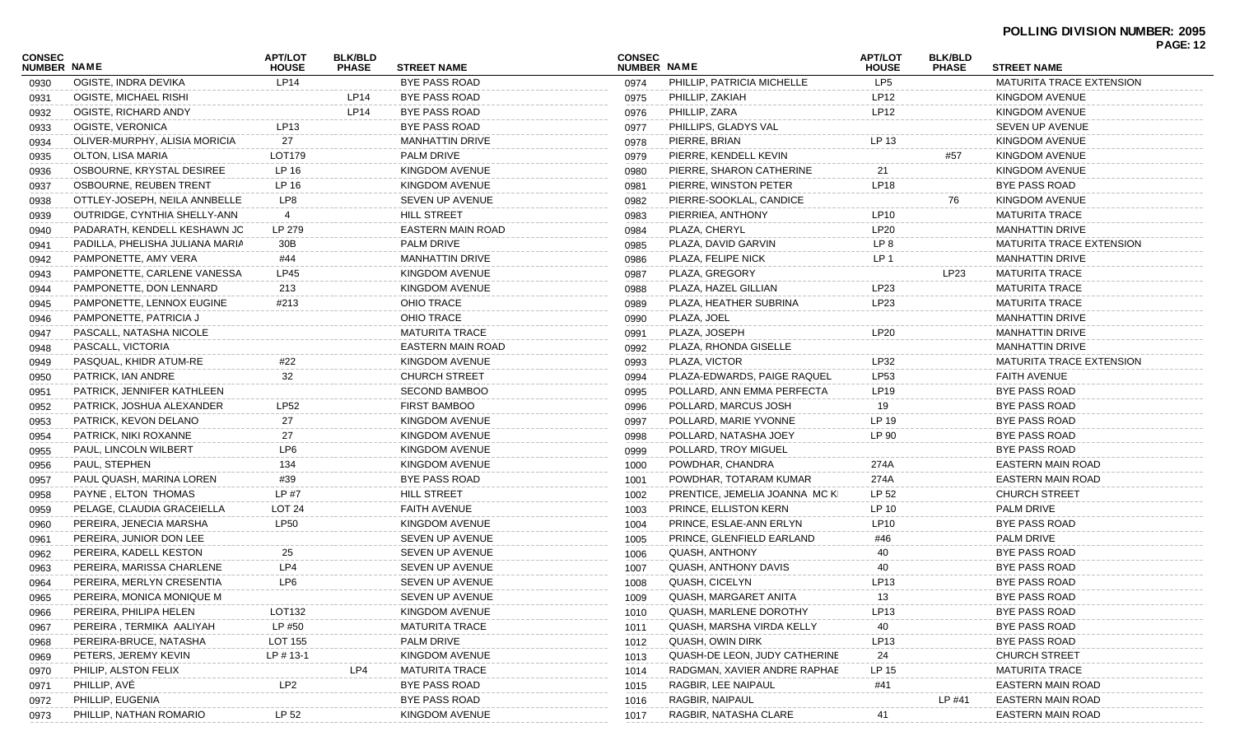| <b>CONSEC</b>      |                                 | <b>APT/LOT</b> | <b>BLK/BLD</b> |                          | <b>CONSEC</b> |                                                     | <b>APT/LOT</b>  | <b>BLK/BLD</b> |                                               | <b>PAGE: 12</b> |
|--------------------|---------------------------------|----------------|----------------|--------------------------|---------------|-----------------------------------------------------|-----------------|----------------|-----------------------------------------------|-----------------|
| <b>NUMBER NAME</b> |                                 | <b>HOUSE</b>   | <b>PHASE</b>   | <b>STREET NAME</b>       | NUMBER NAME   |                                                     | <b>HOUSE</b>    | <b>PHASE</b>   | <b>STREET NAME</b>                            |                 |
| 0930               | OGISTE, INDRA DEVIKA            | LP14           |                | <b>BYE PASS ROAD</b>     | 0974          | PHILLIP, PATRICIA MICHELLE                          | LP <sub>5</sub> |                | MATURITA TRACE EXTENSION                      |                 |
| 0931               | OGISTE, MICHAEL RISHI           |                | LP14           | BYE PASS ROAD            | 0975          | PHILLIP, ZAKIAH                                     | LP12            |                | KINGDOM AVENUE                                |                 |
| 0932               | OGISTE, RICHARD ANDY            |                | LP14           | <b>BYE PASS ROAD</b>     | 0976          | PHILLIP, ZARA                                       | <b>LP12</b>     |                | KINGDOM AVENUE                                |                 |
| 0933               | OGISTE, VERONICA                | LP13           |                | <b>BYE PASS ROAD</b>     | 0977          | PHILLIPS, GLADYS VAL                                |                 |                | SEVEN UP AVENUE                               |                 |
| 0934               | OLIVER-MURPHY, ALISIA MORICIA   | 27             |                | <b>MANHATTIN DRIVE</b>   | 0978          | PIERRE, BRIAN                                       | LP 13           |                | <b>KINGDOM AVENUE</b>                         |                 |
| 0935               | OLTON, LISA MARIA               | LOT179         |                | <b>PALM DRIVE</b>        | 0979          | PIERRE, KENDELL KEVIN                               |                 | #57            | KINGDOM AVENUE                                |                 |
| 0936               | OSBOURNE, KRYSTAL DESIREE       | LP 16          |                | <b>KINGDOM AVENUE</b>    | 0980          | PIERRE, SHARON CATHERINE                            | 21              |                | <b>KINGDOM AVENUE</b>                         |                 |
| 0937               | OSBOURNE, REUBEN TRENT          | LP 16          |                | KINGDOM AVENUE           | 0981          | PIERRE, WINSTON PETER                               | <b>LP18</b>     |                | BYE PASS ROAD                                 |                 |
| 0938               | OTTLEY-JOSEPH, NEILA ANNBELLE   | LP8            |                | SEVEN UP AVENUE          | 0982          | PIERRE-SOOKLAL, CANDICE                             |                 | 76             | KINGDOM AVENUE                                |                 |
| 0939               | OUTRIDGE, CYNTHIA SHELLY-ANN    | 4              |                | <b>HILL STREET</b>       | 0983          | PIERRIEA, ANTHONY                                   | LP10            |                | <b>MATURITA TRACE</b>                         |                 |
| 0940               | PADARATH, KENDELL KESHAWN JC    | LP 279         |                | <b>EASTERN MAIN ROAD</b> | 0984          | PLAZA, CHERYL                                       | <b>LP20</b>     |                | <b>MANHATTIN DRIVE</b>                        |                 |
| 0941               | PADILLA, PHELISHA JULIANA MARIA | 30B            |                | <b>PALM DRIVE</b>        | 0985          | PLAZA, DAVID GARVIN                                 | LP 8            |                | <b>MATURITA TRACE EXTENSION</b>               |                 |
| 0942               | PAMPONETTE, AMY VERA            | #44            |                | <b>MANHATTIN DRIVE</b>   | 0986          | PLAZA, FELIPE NICK                                  | LP <sub>1</sub> |                | <b>MANHATTIN DRIVE</b>                        |                 |
| 0943               | PAMPONETTE, CARLENE VANESSA     | LP45           |                | KINGDOM AVENUE           | 0987          | PLAZA, GREGORY                                      |                 | LP23           | <b>MATURITA TRACE</b>                         |                 |
| 0944               | PAMPONETTE, DON LENNARD         | 213            |                | <b>KINGDOM AVENUE</b>    | 0988          | PLAZA, HAZEL GILLIAN                                | LP23            |                | <b>MATURITA TRACE</b>                         |                 |
| 0945               | PAMPONETTE, LENNOX EUGINE       | #213           |                | OHIO TRACE               | 0989          | PLAZA, HEATHER SUBRINA                              | LP23            |                | <b>MATURITA TRACE</b>                         |                 |
| 0946               | PAMPONETTE, PATRICIA J          |                |                | OHIO TRACE               | 0990          | PLAZA, JOEL                                         |                 |                | <b>MANHATTIN DRIVE</b>                        |                 |
| 0947               | PASCALL, NATASHA NICOLE         |                |                | <b>MATURITA TRACE</b>    | 0991          | PLAZA, JOSEPH                                       | <b>LP20</b>     |                | <b>MANHATTIN DRIVE</b>                        |                 |
| 0948               | PASCALL, VICTORIA               |                |                | EASTERN MAIN ROAD        | 0992          | PLAZA, RHONDA GISELLE                               |                 |                | <b>MANHATTIN DRIVE</b>                        |                 |
| 0949               | PASQUAL, KHIDR ATUM-RE          | #22            |                | <b>KINGDOM AVENUE</b>    | 0993          | PLAZA, VICTOR                                       | LP32            |                | <b>MATURITA TRACE EXTENSION</b>               |                 |
| 0950               | PATRICK, IAN ANDRE              | 32             |                | <b>CHURCH STREET</b>     | 0994          | PLAZA-EDWARDS, PAIGE RAQUEL                         | LP53            |                | <b>FAITH AVENUE</b>                           |                 |
| 0951               | PATRICK, JENNIFER KATHLEEN      |                |                | <b>SECOND BAMBOO</b>     | 0995          | POLLARD, ANN EMMA PERFECTA                          | LP19            |                | BYE PASS ROAD                                 |                 |
| 0952               | PATRICK, JOSHUA ALEXANDER       | <b>LP52</b>    |                | <b>FIRST BAMBOO</b>      | 0996          | POLLARD, MARCUS JOSH                                | 19              |                | BYE PASS ROAD                                 |                 |
| 0953               | PATRICK, KEVON DELANO           | 27             |                | KINGDOM AVENUE           | 0997          | POLLARD, MARIE YVONNE                               | LP 19           |                | BYE PASS ROAD                                 |                 |
| 0954               | PATRICK, NIKI ROXANNE           | 27             |                | KINGDOM AVENUE           | 0998          | POLLARD, NATASHA JOEY                               | LP 90           |                | BYE PASS ROAD                                 |                 |
| 0955               | PAUL, LINCOLN WILBERT           | LP6            |                | KINGDOM AVENUE           | 0999          | POLLARD, TROY MIGUEL                                |                 |                | BYE PASS ROAD                                 |                 |
| 0956               | PAUL, STEPHEN                   | 134            |                | KINGDOM AVENUE           | 1000          | POWDHAR, CHANDRA                                    | 274A            |                | EASTERN MAIN ROAD                             |                 |
| 0957               | PAUL QUASH, MARINA LOREN        | #39            |                | <b>BYE PASS ROAD</b>     | 1001          | POWDHAR, TOTARAM KUMAR                              | 274A            |                | EASTERN MAIN ROAD                             |                 |
| 0958               | PAYNE, ELTON THOMAS             | LP #7          |                | <b>HILL STREET</b>       | 1002          | PRENTICE, JEMELIA JOANNA MC KI                      | LP 52           |                | <b>CHURCH STREET</b>                          |                 |
| 0959               | PELAGE, CLAUDIA GRACEIELLA      | LOT 24         |                | <b>FAITH AVENUE</b>      | 1003          | PRINCE, ELLISTON KERN                               | LP 10           |                | PALM DRIVE                                    |                 |
| 0960               | PEREIRA, JENECIA MARSHA         | <b>LP50</b>    |                | KINGDOM AVENUE           | 1004          | PRINCE, ESLAE-ANN ERLYN                             | LP10            |                | BYE PASS ROAD                                 |                 |
| 0961               | PEREIRA, JUNIOR DON LEE         |                |                | SEVEN UP AVENUE          | 1005          | PRINCE, GLENFIELD EARLAND                           | #46             |                | <b>PALM DRIVE</b>                             |                 |
| 0962               | PEREIRA, KADELL KESTON          | 25             |                | SEVEN UP AVENUE          | 1006          | <b>QUASH, ANTHONY</b>                               | 40              |                | BYE PASS ROAD                                 |                 |
| 0963               | PEREIRA, MARISSA CHARLENE       | LP4            |                | SEVEN UP AVENUE          | 1007          | <b>QUASH, ANTHONY DAVIS</b>                         | 40              |                | <b>BYE PASS ROAD</b>                          |                 |
| 0964               | PEREIRA, MERLYN CRESENTIA       | LP6            |                | SEVEN UP AVENUE          | 1008          | QUASH, CICELYN                                      | LP13            |                | <b>BYE PASS ROAD</b>                          |                 |
| 0965               | PEREIRA, MONICA MONIQUE M       |                |                | SEVEN UP AVENUE          | 1009          | QUASH, MARGARET ANITA                               | 13              |                | BYE PASS ROAD                                 |                 |
| 0966               | PEREIRA, PHILIPA HELEN          | LOT132         |                | KINGDOM AVENUE           | 1010          | <b>QUASH, MARLENE DOROTHY</b>                       | LP13            |                | <b>BYE PASS ROAD</b>                          |                 |
|                    | PEREIRA, TERMIKA AALIYAH        | LP #50         |                | MATURITA TRACE           |               | QUASH, MARSHA VIRDA KELLY                           | 40              |                | <b>BYE PASS ROAD</b>                          |                 |
| 0967               | PEREIRA-BRUCE, NATASHA          | LOT 155        |                | PALM DRIVE               | 1011          | QUASH, OWIN DIRK                                    | LP13            |                | <b>BYE PASS ROAD</b>                          |                 |
| 0968               | PETERS, JEREMY KEVIN            | $LP$ # 13-1    |                | KINGDOM AVENUE           | 1012          | QUASH-DE LEON, JUDY CATHERINE                       |                 |                |                                               |                 |
| 0969               | PHILIP, ALSTON FELIX            |                | LP4            | <b>MATURITA TRACE</b>    | 1013          |                                                     | 24              |                | <b>CHURCH STREET</b><br><b>MATURITA TRACE</b> |                 |
| 0970               | PHILLIP, AVÉ                    |                |                | <b>BYE PASS ROAD</b>     | 1014          | RADGMAN, XAVIER ANDRE RAPHAE<br>RAGBIR, LEE NAIPAUL | LP 15           |                | EASTERN MAIN ROAD                             |                 |
| 0971               |                                 | LP2            |                |                          | 1015          | RAGBIR, NAIPAUL                                     | #41             |                | EASTERN MAIN ROAD                             |                 |
| 0972               | PHILLIP, EUGENIA                |                |                | BYE PASS ROAD            | 1016          |                                                     |                 | LP #41         |                                               |                 |
| 0973               | PHILLIP, NATHAN ROMARIO         | LP 52          |                | KINGDOM AVENUE           | 1017          | RAGBIR, NATASHA CLARE                               | 41              |                | EASTERN MAIN ROAD                             |                 |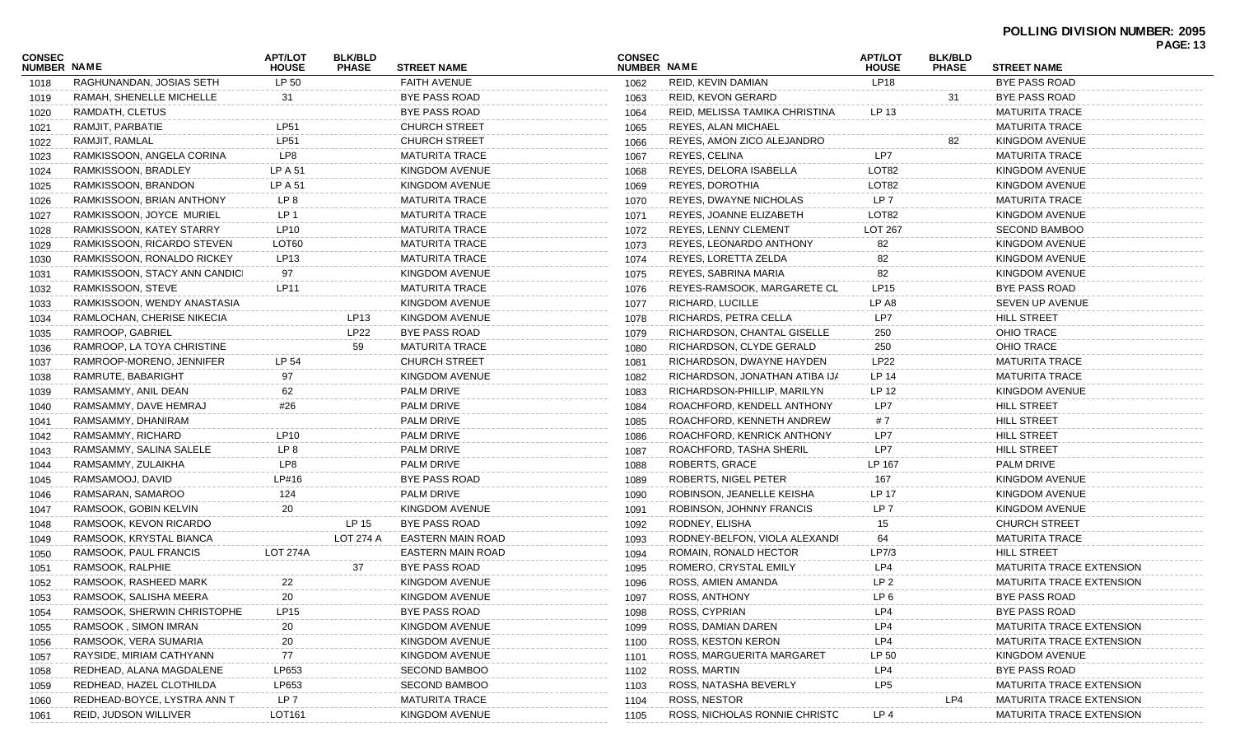# **POLLING DIVISION NUMBER: 2095**

|                              |                               |                                |                                |                          |                              |                                |                                |                                |                                 | <b>PAGE: 13</b> |
|------------------------------|-------------------------------|--------------------------------|--------------------------------|--------------------------|------------------------------|--------------------------------|--------------------------------|--------------------------------|---------------------------------|-----------------|
| CONSEC<br><b>NUMBER NAME</b> |                               | <b>APT/LOT</b><br><b>HOUSE</b> | <b>BLK/BLD</b><br><b>PHASE</b> | <b>STREET NAME</b>       | <b>CONSEC</b><br>NUMBER NAME |                                | <b>APT/LOT</b><br><b>HOUSE</b> | <b>BLK/BLD</b><br><b>PHASE</b> | <b>STREET NAME</b>              |                 |
| 1018                         | RAGHUNANDAN, JOSIAS SETH      | LP 50                          |                                | <b>FAITH AVENUE</b>      | 1062                         | REID, KEVIN DAMIAN             | <b>LP18</b>                    |                                | <b>BYE PASS ROAD</b>            |                 |
| 1019                         | RAMAH, SHENELLE MICHELLE      | 31                             |                                | <b>BYE PASS ROAD</b>     | 1063                         | REID, KEVON GERARD             |                                | 31                             | <b>BYE PASS ROAD</b>            |                 |
| 1020                         | RAMDATH, CLETUS               |                                |                                | <b>BYE PASS ROAD</b>     | 1064                         | REID, MELISSA TAMIKA CHRISTINA | LP 13                          |                                | <b>MATURITA TRACE</b>           |                 |
| 1021                         | RAMJIT, PARBATIE              | <b>LP51</b>                    |                                | <b>CHURCH STREET</b>     | 1065                         | REYES, ALAN MICHAEL            |                                |                                | <b>MATURITA TRACE</b>           |                 |
| 1022                         | RAMJIT, RAMLAL                | <b>LP51</b>                    |                                | <b>CHURCH STREET</b>     | 1066                         | REYES, AMON ZICO ALEJANDRO     |                                | 82                             | KINGDOM AVENUE                  |                 |
| 1023                         | RAMKISSOON, ANGELA CORINA     | LP8                            |                                | <b>MATURITA TRACE</b>    | 1067                         | REYES, CELINA                  | LP7                            |                                | <b>MATURITA TRACE</b>           |                 |
| 1024                         | RAMKISSOON, BRADLEY           | LP A 51                        |                                | KINGDOM AVENUE           | 1068                         | REYES, DELORA ISABELLA         | LOT <sub>82</sub>              |                                | KINGDOM AVENUE                  |                 |
| 1025                         | RAMKISSOON, BRANDON           | LP A 51                        |                                | <b>KINGDOM AVENUE</b>    | 1069                         | REYES, DOROTHIA                | LOT <sub>82</sub>              |                                | KINGDOM AVENUE                  |                 |
| 1026                         | RAMKISSOON, BRIAN ANTHONY     | LP 8                           |                                | <b>MATURITA TRACE</b>    | 1070                         | <b>REYES, DWAYNE NICHOLAS</b>  | LP <sub>7</sub>                |                                | <b>MATURITA TRACE</b>           |                 |
| 1027                         | RAMKISSOON, JOYCE MURIEL      | LP 1                           |                                | <b>MATURITA TRACE</b>    | 1071                         | REYES, JOANNE ELIZABETH        | LOT82                          |                                | KINGDOM AVENUE                  |                 |
| 1028                         | RAMKISSOON, KATEY STARRY      | <b>LP10</b>                    |                                | <b>MATURITA TRACE</b>    | 1072                         | <b>REYES, LENNY CLEMENT</b>    | <b>LOT 267</b>                 |                                | <b>SECOND BAMBOO</b>            |                 |
| 1029                         | RAMKISSOON, RICARDO STEVEN    | LOT60                          |                                | <b>MATURITA TRACE</b>    | 1073                         | REYES, LEONARDO ANTHONY        | 82                             |                                | <b>KINGDOM AVENUE</b>           |                 |
| 1030                         | RAMKISSOON, RONALDO RICKEY    | <b>LP13</b>                    |                                | <b>MATURITA TRACE</b>    | 1074                         | REYES, LORETTA ZELDA           | 82                             |                                | <b>KINGDOM AVENUE</b>           |                 |
| 1031                         | RAMKISSOON, STACY ANN CANDICI | 97                             |                                | <b>KINGDOM AVENUE</b>    | 1075                         | REYES, SABRINA MARIA           | 82                             |                                | KINGDOM AVENUE                  |                 |
| 1032                         | RAMKISSOON, STEVE             | <b>LP11</b>                    |                                | <b>MATURITA TRACE</b>    | 1076                         | REYES-RAMSOOK, MARGARETE CL    | <b>LP15</b>                    |                                | <b>BYE PASS ROAD</b>            |                 |
| 1033                         | RAMKISSOON, WENDY ANASTASIA   |                                |                                | <b>KINGDOM AVENUE</b>    | 1077                         | RICHARD, LUCILLE               | LP A8                          |                                | SEVEN UP AVENUE                 |                 |
| 1034                         | RAMLOCHAN, CHERISE NIKECIA    |                                | LP13                           | <b>KINGDOM AVENUE</b>    | 1078                         | RICHARDS, PETRA CELLA          | LP7                            |                                | <b>HILL STREET</b>              |                 |
| 1035                         | RAMROOP, GABRIEL              |                                | LP22                           | <b>BYE PASS ROAD</b>     | 1079                         | RICHARDSON, CHANTAL GISELLE    | 250                            |                                | <b>OHIO TRACE</b>               |                 |
| 1036                         | RAMROOP, LA TOYA CHRISTINE    |                                | 59                             | <b>MATURITA TRACE</b>    | 1080                         | RICHARDSON, CLYDE GERALD       | 250                            |                                | <b>OHIO TRACE</b>               |                 |
| 1037                         | RAMROOP-MORENO, JENNIFER      | LP 54                          |                                | <b>CHURCH STREET</b>     | 1081                         | RICHARDSON, DWAYNE HAYDEN      | <b>LP22</b>                    |                                | <b>MATURITA TRACE</b>           |                 |
| 1038                         | RAMRUTE, BABARIGHT            | 97                             |                                | <b>KINGDOM AVENUE</b>    | 1082                         | RICHARDSON, JONATHAN ATIBA IJA | LP 14                          |                                | <b>MATURITA TRACE</b>           |                 |
| 1039                         | RAMSAMMY, ANIL DEAN           | 62                             |                                | <b>PALM DRIVE</b>        | 1083                         | RICHARDSON-PHILLIP, MARILYN    | LP 12                          |                                | KINGDOM AVENUE                  |                 |
| 1040                         | RAMSAMMY, DAVE HEMRAJ         | #26                            |                                | <b>PALM DRIVE</b>        | 1084                         | ROACHFORD, KENDELL ANTHONY     | LP7                            |                                | <b>HILL STREET</b>              |                 |
| 1041                         | RAMSAMMY, DHANIRAM            |                                |                                | <b>PALM DRIVE</b>        | 1085                         | ROACHFORD, KENNETH ANDREW      | #7                             |                                | <b>HILL STREET</b>              |                 |
| 1042                         | RAMSAMMY, RICHARD             | LP10                           |                                | <b>PALM DRIVE</b>        | 1086                         | ROACHFORD, KENRICK ANTHONY     | LP7                            |                                | <b>HILL STREET</b>              |                 |
| 1043                         | RAMSAMMY, SALINA SALELE       | LP 8                           |                                | PALM DRIVE               | 1087                         | ROACHFORD, TASHA SHERIL        | LP7                            |                                | <b>HILL STREET</b>              |                 |
| 1044                         | RAMSAMMY, ZULAIKHA            | LP8                            |                                | <b>PALM DRIVE</b>        | 1088                         | <b>ROBERTS, GRACE</b>          | LP 167                         |                                | <b>PALM DRIVE</b>               |                 |
| 1045                         | RAMSAMOOJ, DAVID              | LP#16                          |                                | <b>BYE PASS ROAD</b>     | 1089                         | ROBERTS, NIGEL PETER           | 167                            |                                | <b>KINGDOM AVENUE</b>           |                 |
| 1046                         | RAMSARAN, SAMAROO             | 124                            |                                | <b>PALM DRIVE</b>        | 1090                         | ROBINSON, JEANELLE KEISHA      | LP 17                          |                                | KINGDOM AVENUE                  |                 |
| 1047                         | RAMSOOK, GOBIN KELVIN         | 20                             |                                | <b>KINGDOM AVENUE</b>    | 1091                         | ROBINSON, JOHNNY FRANCIS       | LP <sub>7</sub>                |                                | KINGDOM AVENUE                  |                 |
| 1048                         | RAMSOOK, KEVON RICARDO        |                                | LP 15                          | <b>BYE PASS ROAD</b>     | 1092                         | RODNEY, ELISHA                 | 15                             |                                | <b>CHURCH STREET</b>            |                 |
| 1049                         | RAMSOOK, KRYSTAL BIANCA       |                                | LOT 274 A                      | <b>EASTERN MAIN ROAD</b> | 1093                         | RODNEY-BELFON, VIOLA ALEXANDI  | 64                             |                                | <b>MATURITA TRACE</b>           |                 |
| 1050                         | RAMSOOK, PAUL FRANCIS         | <b>LOT 274A</b>                |                                | <b>EASTERN MAIN ROAD</b> | 1094                         | ROMAIN, RONALD HECTOR          | LP7/3                          |                                | <b>HILL STREET</b>              |                 |
| 1051                         | RAMSOOK, RALPHIE              |                                | 37                             | BYE PASS ROAD            | 1095                         | ROMERO, CRYSTAL EMILY          | LP4                            |                                | <b>MATURITA TRACE EXTENSION</b> |                 |
| 1052                         | RAMSOOK, RASHEED MARK         | 22                             |                                | KINGDOM AVENUE           | 1096                         | ROSS, AMIEN AMANDA             | LP 2                           |                                | <b>MATURITA TRACE EXTENSION</b> |                 |
| 1053                         | RAMSOOK, SALISHA MEERA        | 20                             |                                | KINGDOM AVENUE           | 1097                         | ROSS, ANTHONY                  | LP <sub>6</sub>                |                                | BYE PASS ROAD                   |                 |
| 1054                         | RAMSOOK, SHERWIN CHRISTOPHE   | LP15                           |                                | <b>BYE PASS ROAD</b>     | 1098                         | ROSS, CYPRIAN                  | LP4                            |                                | <b>BYE PASS ROAD</b>            |                 |
| 1055                         | RAMSOOK, SIMON IMRAN          | 20                             |                                | KINGDOM AVENUE           | 1099                         | ROSS, DAMIAN DAREN             | LP4                            |                                | <b>MATURITA TRACE EXTENSION</b> |                 |
| 1056                         | RAMSOOK, VERA SUMARIA         | 20                             |                                | KINGDOM AVENUE           | 1100                         | <b>ROSS, KESTON KERON</b>      | LP4                            |                                | <b>MATURITA TRACE EXTENSION</b> |                 |
| 1057                         | RAYSIDE, MIRIAM CATHYANN      | 77                             |                                | KINGDOM AVENUE           | 1101                         | ROSS, MARGUERITA MARGARET      | LP 50                          |                                | <b>KINGDOM AVENUE</b>           |                 |
| 1058                         | REDHEAD, ALANA MAGDALENE      | LP653                          |                                | <b>SECOND BAMBOO</b>     | 1102                         | ROSS, MARTIN                   | LP4                            |                                | BYE PASS ROAD                   |                 |
| 1059                         | REDHEAD, HAZEL CLOTHILDA      | LP653                          |                                | <b>SECOND BAMBOO</b>     | 1103                         | ROSS, NATASHA BEVERLY          | LP <sub>5</sub>                |                                | <b>MATURITA TRACE EXTENSION</b> |                 |
| 1060                         | REDHEAD-BOYCE, LYSTRA ANN T   | LP 7                           |                                | <b>MATURITA TRACE</b>    | 1104                         | ROSS, NESTOR                   |                                | LP4                            | MATURITA TRACE EXTENSION        |                 |
| 1061                         | <b>REID, JUDSON WILLIVER</b>  | LOT161                         |                                | KINGDOM AVENUE           | 1105                         | ROSS, NICHOLAS RONNIE CHRISTO  | LP <sub>4</sub>                |                                | MATURITA TRACE EXTENSION        |                 |
|                              |                               |                                |                                |                          |                              |                                |                                |                                |                                 |                 |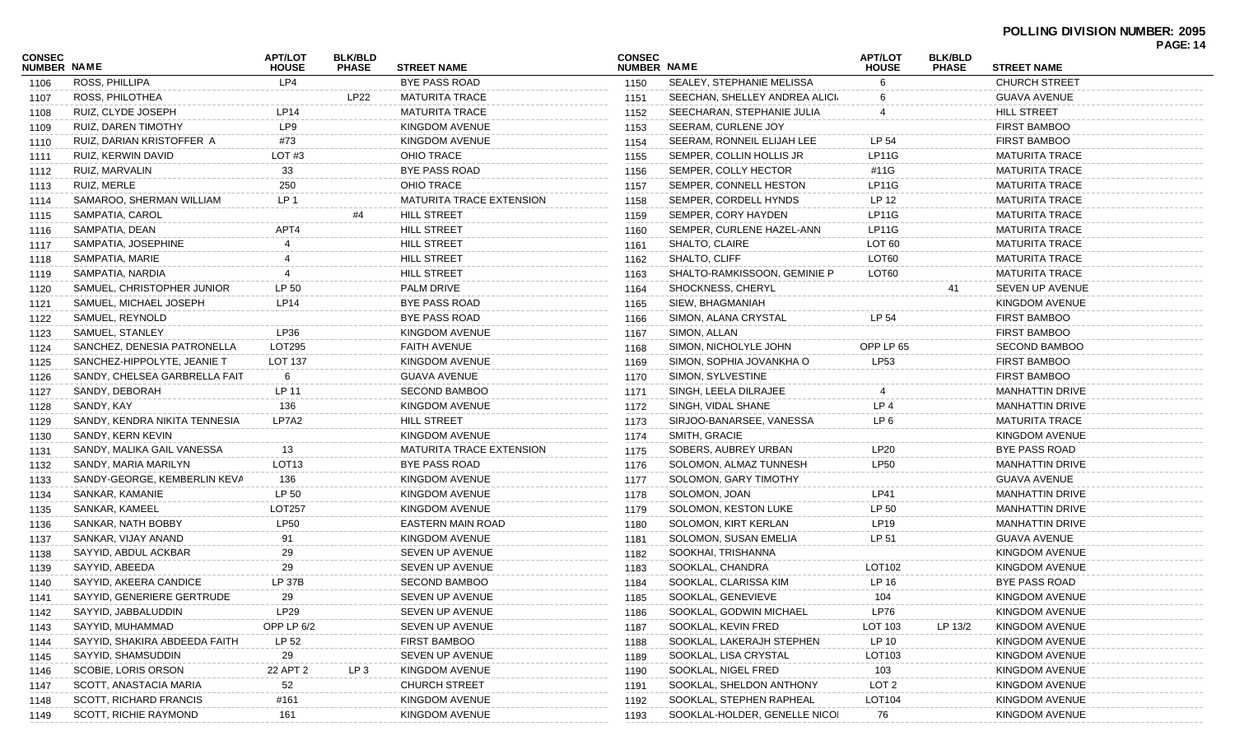| CONSEC<br><b>NUMBER NAME</b> |                               | <b>APT/LOT</b><br><b>HOUSE</b> | <b>BLK/BLD</b><br><b>PHASE</b> | <b>STREET NAME</b>       | <b>CONSEC</b><br>NUMBER NAME |                               | <b>APT/LOT</b><br><b>HOUSE</b> | <b>BLK/BLD</b><br><b>PHASE</b> | <b>STREET NAME</b>     | <b>PAGE: 14</b> |
|------------------------------|-------------------------------|--------------------------------|--------------------------------|--------------------------|------------------------------|-------------------------------|--------------------------------|--------------------------------|------------------------|-----------------|
| 1106                         | ROSS, PHILLIPA                | LP4                            |                                | BYE PASS ROAD            | 1150                         | SEALEY, STEPHANIE MELISSA     | 6                              |                                | <b>CHURCH STREET</b>   |                 |
| 1107                         | ROSS, PHILOTHEA               |                                | LP22                           | <b>MATURITA TRACE</b>    | 1151                         | SEECHAN, SHELLEY ANDREA ALICI | 6                              |                                | GUAVA AVENUE           |                 |
| 1108                         | RUIZ, CLYDE JOSEPH            | LP14                           |                                | MATURITA TRACE           | 1152                         | SEECHARAN, STEPHANIE JULIA    |                                |                                | HILL STREET            |                 |
| 1109                         | RUIZ, DAREN TIMOTHY           | LP9                            |                                | KINGDOM AVENUE           | 1153                         | SEERAM, CURLENE JOY           |                                |                                | <b>FIRST BAMBOO</b>    |                 |
| 1110                         | RUIZ, DARIAN KRISTOFFER A     | #73                            |                                | KINGDOM AVENUE           | 1154                         | SEERAM, RONNEIL ELIJAH LEE    | LP 54                          |                                | FIRST BAMBOO           |                 |
| 1111                         | RUIZ, KERWIN DAVID            | LOT#3                          |                                | <b>OHIO TRACE</b>        | 1155                         | SEMPER, COLLIN HOLLIS JR      | LP11G                          |                                | <b>MATURITA TRACE</b>  |                 |
| 1112                         | RUIZ, MARVALIN                | 33                             |                                | <b>BYE PASS ROAD</b>     | 1156                         | SEMPER, COLLY HECTOR          | #11G                           |                                | <b>MATURITA TRACE</b>  |                 |
| 1113                         | RUIZ, MERLE                   | 250                            |                                | <b>OHIO TRACE</b>        | 1157                         | SEMPER, CONNELL HESTON        | LP11G                          |                                | <b>MATURITA TRACE</b>  |                 |
| 1114                         | SAMAROO, SHERMAN WILLIAM      | LP <sub>1</sub>                |                                | MATURITA TRACE EXTENSION | 1158                         | SEMPER, CORDELL HYNDS         | LP 12                          |                                | <b>MATURITA TRACE</b>  |                 |
| 1115                         | SAMPATIA, CAROL               |                                | #4                             | <b>HILL STREET</b>       | 1159                         | SEMPER, CORY HAYDEN           | LP11G                          |                                | <b>MATURITA TRACE</b>  |                 |
| 1116                         | SAMPATIA, DEAN                | APT4                           |                                | HILL STREET              | 1160                         | SEMPER, CURLENE HAZEL-ANN     | LP11G                          |                                | <b>MATURITA TRACE</b>  |                 |
| 1117                         | SAMPATIA, JOSEPHINE           |                                |                                | HILL STREET              | 1161                         | SHALTO, CLAIRE                | LOT <sub>60</sub>              |                                | <b>MATURITA TRACE</b>  |                 |
| 1118                         | SAMPATIA, MARIE               |                                |                                | <b>HILL STREET</b>       | 1162                         | SHALTO, CLIFF                 | LOT60                          |                                | <b>MATURITA TRACE</b>  |                 |
| 1119                         | SAMPATIA, NARDIA              |                                |                                | <b>HILL STREET</b>       | 1163                         | SHALTO-RAMKISSOON, GEMINIE P  | LOT60                          |                                | <b>MATURITA TRACE</b>  |                 |
| 1120                         | SAMUEL, CHRISTOPHER JUNIOR    | LP 50                          |                                | PALM DRIVE               | 1164                         | SHOCKNESS, CHERYL             |                                | 41                             | SEVEN UP AVENUE        |                 |
| 1121                         | SAMUEL, MICHAEL JOSEPH        | <b>LP14</b>                    |                                | <b>BYE PASS ROAD</b>     | 1165                         | SIEW, BHAGMANIAH              |                                |                                | KINGDOM AVENUE         |                 |
| 1122                         | SAMUEL, REYNOLD               |                                |                                | <b>BYE PASS ROAD</b>     | 1166                         | SIMON, ALANA CRYSTAL          | LP 54                          |                                | <b>FIRST BAMBOO</b>    |                 |
| 1123                         | SAMUEL, STANLEY               | LP36                           |                                | KINGDOM AVENUE           | 1167                         | SIMON, ALLAN                  |                                |                                | <b>FIRST BAMBOO</b>    |                 |
| 1124                         | SANCHEZ, DENESIA PATRONELLA   | LOT295                         |                                | <b>FAITH AVENUE</b>      | 1168                         | SIMON, NICHOLYLE JOHN         | OPP LP 65                      |                                | <b>SECOND BAMBOO</b>   |                 |
| 1125                         | SANCHEZ-HIPPOLYTE, JEANIE T   | LOT 137                        |                                | KINGDOM AVENUE           | 1169                         | SIMON, SOPHIA JOVANKHA O      | <b>LP53</b>                    |                                | <b>FIRST BAMBOO</b>    |                 |
| 1126                         | SANDY, CHELSEA GARBRELLA FAIT | 6                              |                                | <b>GUAVA AVENUE</b>      | 1170                         | SIMON, SYLVESTINE             |                                |                                | <b>FIRST BAMBOO</b>    |                 |
| 1127                         | SANDY, DEBORAH                | LP 11                          |                                | <b>SECOND BAMBOO</b>     | 1171                         | SINGH, LEELA DILRAJEE         |                                |                                | MANHATTIN DRIVE        |                 |
| 1128                         | SANDY, KAY                    | 136                            |                                | KINGDOM AVENUE           | 1172                         | SINGH, VIDAL SHANE            | LP <sub>4</sub>                |                                | <b>MANHATTIN DRIVE</b> |                 |
| 1129                         | SANDY, KENDRA NIKITA TENNESIA | LP7A2                          |                                | <b>HILL STREET</b>       | 1173                         | SIRJOO-BANARSEE, VANESSA      | LP <sub>6</sub>                |                                | <b>MATURITA TRACE</b>  |                 |
| 1130                         | SANDY, KERN KEVIN             |                                |                                | KINGDOM AVENUE           | 1174                         | SMITH, GRACIE                 |                                |                                | KINGDOM AVENUE         |                 |
| 1131                         | SANDY, MALIKA GAIL VANESSA    | 13                             |                                | MATURITA TRACE EXTENSION | 1175                         | SOBERS, AUBREY URBAN          | <b>LP20</b>                    |                                | <b>BYE PASS ROAD</b>   |                 |
| 1132                         | SANDY, MARIA MARILYN          | LOT <sub>13</sub>              |                                | <b>BYE PASS ROAD</b>     | 1176                         | SOLOMON, ALMAZ TUNNESH        | <b>LP50</b>                    |                                | <b>MANHATTIN DRIVE</b> |                 |
| 1133                         | SANDY-GEORGE, KEMBERLIN KEVA  | 136                            |                                | KINGDOM AVENUE           | 1177                         | SOLOMON, GARY TIMOTHY         |                                |                                | GUAVA AVENUE           |                 |
| 1134                         | SANKAR, KAMANIE               | LP 50                          |                                | KINGDOM AVENUE           | 1178                         | SOLOMON, JOAN                 | LP41                           |                                | <b>MANHATTIN DRIVE</b> |                 |
| 1135                         | SANKAR, KAMEEL                | <b>LOT257</b>                  |                                | KINGDOM AVENUE           | 1179                         | SOLOMON, KESTON LUKE          | LP 50                          |                                | MANHATTIN DRIVE        |                 |
| 1136                         | SANKAR, NATH BOBBY            | <b>LP50</b>                    |                                | EASTERN MAIN ROAD        | 1180                         | SOLOMON, KIRT KERLAN          | <b>LP19</b>                    |                                | <b>MANHATTIN DRIVE</b> |                 |
| 1137                         | SANKAR, VIJAY ANAND           | 91                             |                                | KINGDOM AVENUE           | 1181                         | SOLOMON, SUSAN EMELIA         | LP 51                          |                                | <b>GUAVA AVENUE</b>    |                 |
| 1138                         | SAYYID, ABDUL ACKBAR          | 29                             |                                | SEVEN UP AVENUE          | 1182                         | SOOKHAI, TRISHANNA            |                                |                                | KINGDOM AVENUE         |                 |
| 1139                         | SAYYID, ABEEDA                | 29                             |                                | SEVEN UP AVENUE          | 1183                         | SOOKLAL, CHANDRA              | LOT102                         |                                | KINGDOM AVENUE         |                 |
| 1140                         | SAYYID, AKEERA CANDICE        | LP 37B                         |                                | <b>SECOND BAMBOO</b>     | 1184                         | SOOKLAL, CLARISSA KIM         | LP 16                          |                                | BYE PASS ROAD          |                 |
| 1141                         | SAYYID, GENERIERE GERTRUDE    | 29                             |                                | SEVEN UP AVENUE          | 1185                         | SOOKLAL, GENEVIEVE            | 104                            |                                | KINGDOM AVENUE         |                 |
| 1142                         | SAYYID, JABBALUDDIN           | LP29                           |                                | SEVEN UP AVENUE          | 1186                         | SOOKLAL, GODWIN MICHAEL       | LP76                           |                                | <b>KINGDOM AVENUE</b>  |                 |
| 1143                         | SAYYID, MUHAMMAD              | OPP LP 6/2                     |                                | SEVEN UP AVENUE          | 1187                         | SOOKLAL, KEVIN FRED           | LOT 103                        | LP 13/2                        | KINGDOM AVENUE         |                 |
| 1144                         | SAYYID, SHAKIRA ABDEEDA FAITH | LP 52                          |                                | FIRST BAMBOO             | 1188                         | SOOKLAL, LAKERAJH STEPHEN     | LP 10                          |                                | KINGDOM AVENUE         |                 |
| 1145                         | SAYYID, SHAMSUDDIN            | 29                             |                                | SEVEN UP AVENUE          | 1189                         | SOOKLAL, LISA CRYSTAL         | LOT103                         |                                | <b>KINGDOM AVENUE</b>  |                 |
| 1146                         | SCOBIE, LORIS ORSON           | 22 APT 2                       | LP 3                           | KINGDOM AVENUE           | 1190                         | SOOKLAL, NIGEL FRED           | 103                            |                                | KINGDOM AVENUE         |                 |
| 1147                         | SCOTT, ANASTACIA MARIA        | 52                             |                                | <b>CHURCH STREET</b>     | 1191                         | SOOKLAL, SHELDON ANTHONY      | LOT <sub>2</sub>               |                                | KINGDOM AVENUE         |                 |
| 1148                         | SCOTT, RICHARD FRANCIS        | #161                           |                                | KINGDOM AVENUE           | 1192                         | SOOKLAL, STEPHEN RAPHEAL      | LOT104                         |                                | KINGDOM AVENUE         |                 |
| 1149                         | SCOTT, RICHIE RAYMOND         | 161                            |                                | KINGDOM AVENUE           | 1193                         | SOOKLAL-HOLDER, GENELLE NICOI | 76                             |                                | KINGDOM AVENUE         |                 |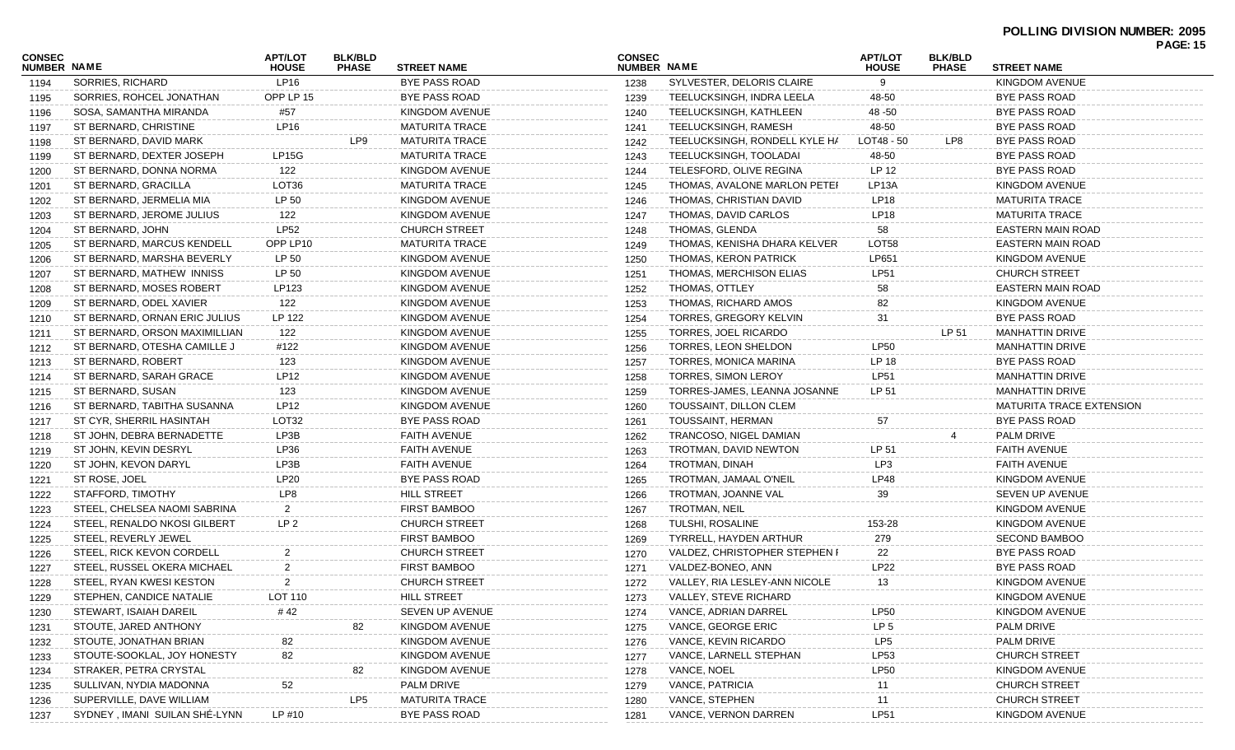# **POLLING DIVISION NUMBER: 2095**

| CONSEC             |                               | <b>APT/LOT</b>   | <b>BLK/BLD</b> |                       | <b>CONSEC</b> |                               | <b>APT/LOT</b>     | <b>BLK/BLD</b> |                                 | <b>PAGE: 15</b> |
|--------------------|-------------------------------|------------------|----------------|-----------------------|---------------|-------------------------------|--------------------|----------------|---------------------------------|-----------------|
| <b>NUMBER NAME</b> |                               | <b>HOUSE</b>     | <b>PHASE</b>   | <b>STREET NAME</b>    | NUMBER NAME   |                               | <b>HOUSE</b>       | <b>PHASE</b>   | <b>STREET NAME</b>              |                 |
| 1194               | SORRIES, RICHARD              | LP16             |                | <b>BYE PASS ROAD</b>  | 1238          | SYLVESTER, DELORIS CLAIRE     | 9                  |                | KINGDOM AVENUE                  |                 |
| 1195               | SORRIES, ROHCEL JONATHAN      | OPP LP 15        |                | <b>BYE PASS ROAD</b>  | 1239          | TEELUCKSINGH, INDRA LEELA     | 48-50              |                | BYE PASS ROAD                   |                 |
| 1196               | SOSA, SAMANTHA MIRANDA        | #57              |                | KINGDOM AVENUE        | 1240          | TEELUCKSINGH, KATHLEEN        | 48 - 50            |                | BYE PASS ROAD                   |                 |
| 1197               | ST BERNARD, CHRISTINE         | LP16             |                | <b>MATURITA TRACE</b> | 1241          | TEELUCKSINGH, RAMESH          | 48-50              |                | <b>BYE PASS ROAD</b>            |                 |
| 1198               | ST BERNARD, DAVID MARK        |                  | LP9            | <b>MATURITA TRACE</b> | 1242          | TEELUCKSINGH, RONDELL KYLE HA | LOT48 - 50         | LP8            | BYE PASS ROAD                   |                 |
| 1199               | ST BERNARD, DEXTER JOSEPH     | LP15G            |                | MATURITA TRACE        | 1243          | TEELUCKSINGH, TOOLADAI        | 48-50              |                | BYE PASS ROAD                   |                 |
| 1200               | ST BERNARD, DONNA NORMA       | 122              |                | KINGDOM AVENUE        | 1244          | TELESFORD, OLIVE REGINA       | LP 12              |                | BYE PASS ROAD                   |                 |
| 1201               | ST BERNARD, GRACILLA          | LOT36            |                | <b>MATURITA TRACE</b> | 1245          | THOMAS, AVALONE MARLON PETER  | LP <sub>13</sub> A |                | KINGDOM AVENUE                  |                 |
| 1202               | ST BERNARD, JERMELIA MIA      | LP 50            |                | KINGDOM AVENUE        | 1246          | THOMAS, CHRISTIAN DAVID       | <b>LP18</b>        |                | <b>MATURITA TRACE</b>           |                 |
| 1203               | ST BERNARD, JEROME JULIUS     | 122              |                | KINGDOM AVENUE        | 1247          | THOMAS, DAVID CARLOS          | LP <sub>18</sub>   |                | <b>MATURITA TRACE</b>           |                 |
| 1204               | ST BERNARD, JOHN              | <b>LP52</b>      |                | <b>CHURCH STREET</b>  | 1248          | THOMAS, GLENDA                | 58                 |                | EASTERN MAIN ROAD               |                 |
| 1205               | ST BERNARD, MARCUS KENDELL    | OPP LP10         |                | <b>MATURITA TRACE</b> | 1249          | THOMAS, KENISHA DHARA KELVER  | LOT58              |                | EASTERN MAIN ROAD               |                 |
| 1206               | ST BERNARD, MARSHA BEVERLY    | LP 50            |                | KINGDOM AVENUE        | 1250          | THOMAS, KERON PATRICK         | LP651              |                | KINGDOM AVENUE                  |                 |
| 1207               | ST BERNARD, MATHEW INNISS     | LP 50            |                | KINGDOM AVENUE        | 1251          | THOMAS, MERCHISON ELIAS       | <b>LP51</b>        |                | <b>CHURCH STREET</b>            |                 |
| 1208               | ST BERNARD, MOSES ROBERT      | LP123            |                | KINGDOM AVENUE        | 1252          | THOMAS, OTTLEY                | 58                 |                | <b>EASTERN MAIN ROAD</b>        |                 |
| 1209               | ST BERNARD, ODEL XAVIER       | 122              |                | KINGDOM AVENUE        | 1253          | THOMAS, RICHARD AMOS          | 82                 |                | KINGDOM AVENUE                  |                 |
| 1210               | ST BERNARD, ORNAN ERIC JULIUS | LP 122           |                | KINGDOM AVENUE        | 1254          | TORRES, GREGORY KELVIN        | 31                 |                | BYE PASS ROAD                   |                 |
| 1211               | ST BERNARD, ORSON MAXIMILLIAN | 122              |                | KINGDOM AVENUE        | 1255          | TORRES, JOEL RICARDO          |                    | LP 51          | <b>MANHATTIN DRIVE</b>          |                 |
| 1212               | ST BERNARD, OTESHA CAMILLE J  | #122             |                | KINGDOM AVENUE        | 1256          | TORRES, LEON SHELDON          | <b>LP50</b>        |                | <b>MANHATTIN DRIVE</b>          |                 |
| 1213               | ST BERNARD, ROBERT            | 123              |                | <b>KINGDOM AVENUE</b> | 1257          | TORRES, MONICA MARINA         | LP 18              |                | BYE PASS ROAD                   |                 |
| 1214               | ST BERNARD, SARAH GRACE       | LP <sub>12</sub> |                | <b>KINGDOM AVENUE</b> | 1258          | TORRES, SIMON LEROY           | LP51               |                | <b>MANHATTIN DRIVE</b>          |                 |
| 1215               | ST BERNARD, SUSAN             | 123              |                | <b>KINGDOM AVENUE</b> | 1259          | TORRES-JAMES, LEANNA JOSANNE  | LP 51              |                | <b>MANHATTIN DRIVE</b>          |                 |
| 1216               | ST BERNARD, TABITHA SUSANNA   | LP <sub>12</sub> |                | KINGDOM AVENUE        | 1260          | TOUSSAINT, DILLON CLEM        |                    |                | <b>MATURITA TRACE EXTENSION</b> |                 |
| 1217               | ST CYR, SHERRIL HASINTAH      | LOT32            |                | <b>BYE PASS ROAD</b>  | 1261          | TOUSSAINT, HERMAN             | 57                 |                | BYE PASS ROAD                   |                 |
| 1218               | ST JOHN, DEBRA BERNADETTE     | LP3B             |                | <b>FAITH AVENUE</b>   | 1262          | TRANCOSO, NIGEL DAMIAN        |                    |                | PALM DRIVE                      |                 |
| 1219               | ST JOHN, KEVIN DESRYL         | LP36             |                | <b>FAITH AVENUE</b>   | 1263          | TROTMAN, DAVID NEWTON         | LP 51              |                | <b>FAITH AVENUE</b>             |                 |
| 1220               | ST JOHN, KEVON DARYL          | LP3B             |                | <b>FAITH AVENUE</b>   | 1264          | TROTMAN, DINAH                | LP3                |                | <b>FAITH AVENUE</b>             |                 |
| 1221               | ST ROSE, JOEL                 | LP20             |                | <b>BYE PASS ROAD</b>  | 1265          | TROTMAN, JAMAAL O'NEIL        | LP48               |                | KINGDOM AVENUE                  |                 |
| 1222               | STAFFORD, TIMOTHY             | LP8              |                | HILL STREET           | 1266          | TROTMAN, JOANNE VAL           | 39                 |                | SEVEN UP AVENUE                 |                 |
| 1223               | STEEL, CHELSEA NAOMI SABRINA  | $\overline{2}$   |                | <b>FIRST BAMBOO</b>   | 1267          | TROTMAN, NEIL                 |                    |                | KINGDOM AVENUE                  |                 |
| 1224               | STEEL, RENALDO NKOSI GILBERT  | LP <sub>2</sub>  |                | <b>CHURCH STREET</b>  | 1268          | TULSHI, ROSALINE              | 153-28             |                | KINGDOM AVENUE                  |                 |
| 1225               | STEEL, REVERLY JEWEL          |                  |                | <b>FIRST BAMBOO</b>   | 1269          | TYRRELL, HAYDEN ARTHUR        | 279                |                | <b>SECOND BAMBOO</b>            |                 |
| 1226               | STEEL, RICK KEVON CORDELL     |                  |                | <b>CHURCH STREET</b>  | 1270          | VALDEZ, CHRISTOPHER STEPHEN F | 22                 |                | BYE PASS ROAD                   |                 |
| 1227               | STEEL, RUSSEL OKERA MICHAEL   | $\overline{2}$   |                | <b>FIRST BAMBOO</b>   | 1271          | VALDEZ-BONEO, ANN             | <b>LP22</b>        |                | BYE PASS ROAD                   |                 |
| 1228               | STEEL, RYAN KWESI KESTON      | $\overline{2}$   |                | <b>CHURCH STREET</b>  | 1272          | VALLEY, RIA LESLEY-ANN NICOLE | 13                 |                | KINGDOM AVENUE                  |                 |
| 1229               | STEPHEN, CANDICE NATALIE      | LOT 110          |                | HILL STREET           | 1273          | VALLEY, STEVE RICHARD         |                    |                | KINGDOM AVENUE                  |                 |
| 1230               | STEWART, ISAIAH DAREIL        | #42              |                | SEVEN UP AVENUE       | 1274          | VANCE, ADRIAN DARREL          | <b>LP50</b>        |                | KINGDOM AVENUE                  |                 |
| 1231               | STOUTE, JARED ANTHONY         |                  | 82             | KINGDOM AVENUE        | 1275          | VANCE, GEORGE ERIC            | LP <sub>5</sub>    |                | PALM DRIVE                      |                 |
| 1232               | STOUTE, JONATHAN BRIAN        | 82               |                | <b>KINGDOM AVENUE</b> | 1276          | VANCE, KEVIN RICARDO          | LP5                |                | PALM DRIVE                      |                 |
| 1233               | STOUTE-SOOKLAL, JOY HONESTY   | 82               |                | <b>KINGDOM AVENUE</b> | 1277          | VANCE, LARNELL STEPHAN        | LP53               |                | <b>CHURCH STREET</b>            |                 |
| 1234               | STRAKER, PETRA CRYSTAL        |                  | 82             | KINGDOM AVENUE        | 1278          | VANCE, NOEL                   | <b>LP50</b>        |                | <b>KINGDOM AVENUE</b>           |                 |
| 1235               | SULLIVAN, NYDIA MADONNA       | 52               |                | PALM DRIVE            | 1279          | VANCE, PATRICIA               | 11                 |                | <b>CHURCH STREET</b>            |                 |
| 1236               | SUPERVILLE, DAVE WILLIAM      |                  | LP5            | <b>MATURITA TRACE</b> | 1280          | VANCE, STEPHEN                | 11                 |                | <b>CHURCH STREET</b>            |                 |
| 1237               | SYDNEY, IMANI SUILAN SHÉ-LYNN | LP #10           |                | <b>BYE PASS ROAD</b>  | 1281          | VANCE, VERNON DARREN          | <b>LP51</b>        |                | KINGDOM AVENUE                  |                 |
|                    |                               |                  |                |                       |               |                               |                    |                |                                 |                 |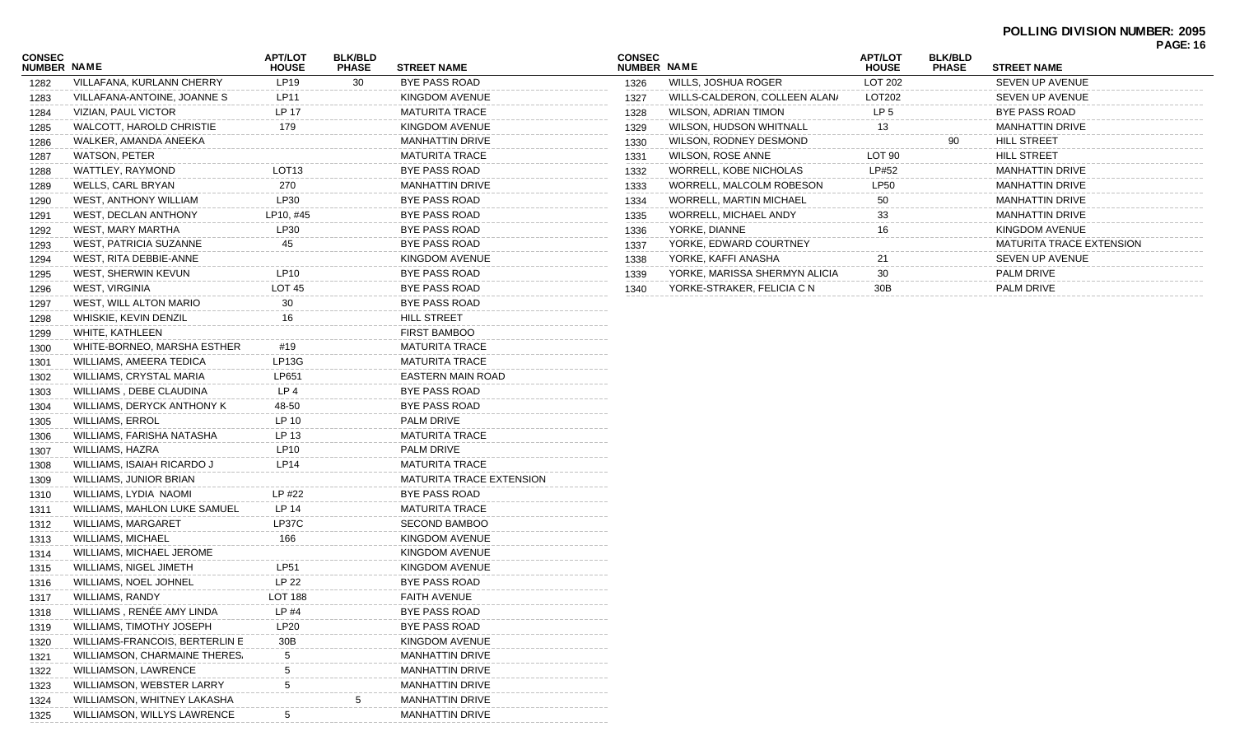| CONSEC<br><b>NUMBER NAME</b> |                                       | <b>APT/LOT</b><br><b>HOUSE</b> | <b>BLK/BLD</b><br><b>PHASE</b> | <b>STREET NAME</b>              | <b>CC</b><br>ΝU |
|------------------------------|---------------------------------------|--------------------------------|--------------------------------|---------------------------------|-----------------|
| 1282                         | VILLAFANA, KURLANN CHERRY             | LP19                           | 30                             | <b>BYE PASS ROAD</b>            | 1               |
| 1283                         | VILLAFANA-ANTOINE, JOANNE S           | LP11                           |                                | KINGDOM AVENUE                  | 1               |
| 1284                         | VIZIAN, PAUL VICTOR                   | LP 17                          |                                | <b>MATURITA TRACE</b>           | 1               |
| 1285                         | WALCOTT, HAROLD CHRISTIE              | 179                            |                                | KINGDOM AVENUE                  | 1               |
| 1286                         | WALKER, AMANDA ANEEKA                 |                                |                                | <b>MANHATTIN DRIVE</b>          | 1               |
| 1287                         | WATSON, PETER                         |                                |                                | <b>MATURITA TRACE</b>           | 1               |
| 1288                         | WATTLEY, RAYMOND                      | LOT <sub>13</sub>              |                                | <b>BYE PASS ROAD</b>            | 1               |
| 1289                         | WELLS, CARL BRYAN                     | 270                            |                                | <b>MANHATTIN DRIVE</b>          | 1               |
| 1290                         | WEST, ANTHONY WILLIAM                 | LP30                           |                                | <b>BYE PASS ROAD</b>            | 1               |
| 1291                         | <b>WEST, DECLAN ANTHONY</b>           | LP10, #45                      |                                | <b>BYE PASS ROAD</b>            | 1               |
| 1292                         | WEST, MARY MARTHA                     | LP30                           |                                | BYE PASS ROAD                   | 1               |
| 1293                         | WEST, PATRICIA SUZANNE                | 45                             |                                | BYE PASS ROAD                   | 1               |
| 1294                         | WEST, RITA DEBBIE-ANNE                |                                |                                | KINGDOM AVENUE                  | 1               |
| 1295                         | WEST, SHERWIN KEVUN                   | LP10                           |                                | <b>BYE PASS ROAD</b>            | 1               |
| 1296                         | <b>WEST, VIRGINIA</b>                 | <b>LOT 45</b>                  |                                | BYE PASS ROAD                   | 1               |
| 1297                         | WEST, WILL ALTON MARIO                | 30                             |                                | <b>BYE PASS ROAD</b>            |                 |
| 1298                         | WHISKIE, KEVIN DENZIL                 | 16                             |                                | HILL STREET                     |                 |
| 1299                         | WHITE, KATHLEEN                       |                                |                                | <b>FIRST BAMBOO</b>             |                 |
| 1300                         | WHITE-BORNEO, MARSHA ESTHER           | #19                            |                                | <b>MATURITA TRACE</b>           |                 |
| 1301                         | WILLIAMS, AMEERA TEDICA               | LP13G                          |                                | <b>MATURITA TRACE</b>           |                 |
| 1302                         | WILLIAMS, CRYSTAL MARIA               | LP651                          |                                | EASTERN MAIN ROAD               |                 |
| 1303                         | WILLIAMS, DEBE CLAUDINA               | LP 4                           |                                | <b>BYE PASS ROAD</b>            |                 |
| 1304                         | WILLIAMS, DERYCK ANTHONY K            | 48-50                          |                                | BYE PASS ROAD                   |                 |
| 1305                         | <b>WILLIAMS, ERROL</b>                | LP 10                          |                                | PALM DRIVE                      |                 |
| 1306                         | WILLIAMS, FARISHA NATASHA             | LP 13                          |                                | <b>MATURITA TRACE</b>           |                 |
| 1307                         | WILLIAMS, HAZRA                       | LP <sub>10</sub>               |                                | PALM DRIVE                      |                 |
| 1308                         | WILLIAMS, ISAIAH RICARDO J            | LP14                           |                                | <b>MATURITA TRACE</b>           |                 |
| 1309                         | WILLIAMS, JUNIOR BRIAN                |                                |                                | <b>MATURITA TRACE EXTENSION</b> |                 |
| 1310                         | WILLIAMS, LYDIA NAOMI                 | LP #22                         |                                | <b>BYE PASS ROAD</b>            |                 |
| 1311                         | WILLIAMS, MAHLON LUKE SAMUEL          | LP 14                          |                                | <b>MATURITA TRACE</b>           |                 |
| 1312                         | <b>WILLIAMS, MARGARET</b>             | LP37C                          |                                | <b>SECOND BAMBOO</b>            |                 |
| 1313                         | WILLIAMS, MICHAEL                     | 166                            |                                | KINGDOM AVENUE                  |                 |
| 1314                         | WILLIAMS, MICHAEL JEROME              |                                |                                | KINGDOM AVENUE                  |                 |
| 1315                         | WILLIAMS, NIGEL JIMETH                | LP51                           |                                | KINGDOM AVENUE                  |                 |
| 1316                         | WILLIAMS, NOEL JOHNEL                 | <b>LP 22</b>                   |                                | BYE PASS ROAD                   |                 |
| 1317                         | WILLIAMS, RANDY                       | <b>LOT 188</b>                 |                                | <b>FAITH AVENUE</b>             |                 |
| 1318                         | WILLIAMS, RENÉE AMY LINDA             | LP #4                          |                                | BYE PASS ROAD                   |                 |
| 1319                         | WILLIAMS, TIMOTHY JOSEPH              | <b>LP20</b>                    |                                | BYE PASS ROAD                   |                 |
| 1320                         | <b>WILLIAMS-FRANCOIS, BERTERLIN E</b> | 30B                            |                                | KINGDOM AVENUE                  |                 |
| 1321                         | WILLIAMSON, CHARMAINE THERES.         | 5                              |                                | <b>MANHATTIN DRIVE</b>          |                 |
| 1322                         | <b>WILLIAMSON, LAWRENCE</b>           | 5                              |                                | MANHATTIN DRIVE                 |                 |
| 1323                         | WILLIAMSON, WEBSTER LARRY             | 5                              |                                | MANHATTIN DRIVE                 |                 |
| 1324                         | WILLIAMSON, WHITNEY LAKASHA           |                                | 5                              | <b>MANHATTIN DRIVE</b>          |                 |
| 1325                         | WILLIAMSON, WILLYS LAWRENCE           | $\,$ 5 $\,$                    |                                | <b>MANHATTIN DRIVE</b>          |                 |
|                              |                                       |                                |                                |                                 |                 |

| <b>CONSEC</b><br><b>NUMBER NAME</b> |                               | <b>APT/LOT</b><br><b>HOUSE</b> | <b>BLK/BLD</b><br><b>PHASE</b> | <b>STREET NAME</b>              |
|-------------------------------------|-------------------------------|--------------------------------|--------------------------------|---------------------------------|
| 1326                                | WILLS, JOSHUA ROGER           | LOT 202                        |                                | <b>SEVEN UP AVENUE</b>          |
| 1327                                | WILLS-CALDERON, COLLEEN ALAN/ | LOT202                         |                                | <b>SEVEN UP AVENUE</b>          |
| 1328                                | <b>WILSON, ADRIAN TIMON</b>   | LP <sub>5</sub>                |                                | <b>BYE PASS ROAD</b>            |
| 1329                                | WILSON, HUDSON WHITNALL       | 13                             |                                | <b>MANHATTIN DRIVE</b>          |
| 1330                                | WILSON, RODNEY DESMOND        |                                | 90                             | <b>HILL STREET</b>              |
| 1331                                | <b>WILSON, ROSE ANNE</b>      | LOT <sub>90</sub>              |                                | <b>HILL STREET</b>              |
| 1332                                | WORRELL, KOBE NICHOLAS        | LP#52                          |                                | <b>MANHATTIN DRIVE</b>          |
| 1333                                | WORRELL, MALCOLM ROBESON      | <b>LP50</b>                    |                                | <b>MANHATTIN DRIVE</b>          |
| 1334                                | WORRELL, MARTIN MICHAEL       | 50                             |                                | <b>MANHATTIN DRIVE</b>          |
| 1335                                | WORRELL, MICHAEL ANDY         | 33                             |                                | <b>MANHATTIN DRIVE</b>          |
| 1336                                | YORKE, DIANNE                 | 16                             |                                | KINGDOM AVENUE                  |
| 1337                                | YORKE, EDWARD COURTNEY        |                                |                                | <b>MATURITA TRACE EXTENSION</b> |
| 1338                                | YORKE, KAFFI ANASHA           | 21                             |                                | <b>SEVEN UP AVENUE</b>          |
| 1339                                | YORKE, MARISSA SHERMYN ALICIA | 30                             |                                | <b>PALM DRIVE</b>               |
| 1340                                | YORKE-STRAKER, FELICIA C N    | 30 <sub>B</sub>                |                                | <b>PALM DRIVE</b>               |
|                                     |                               |                                |                                |                                 |